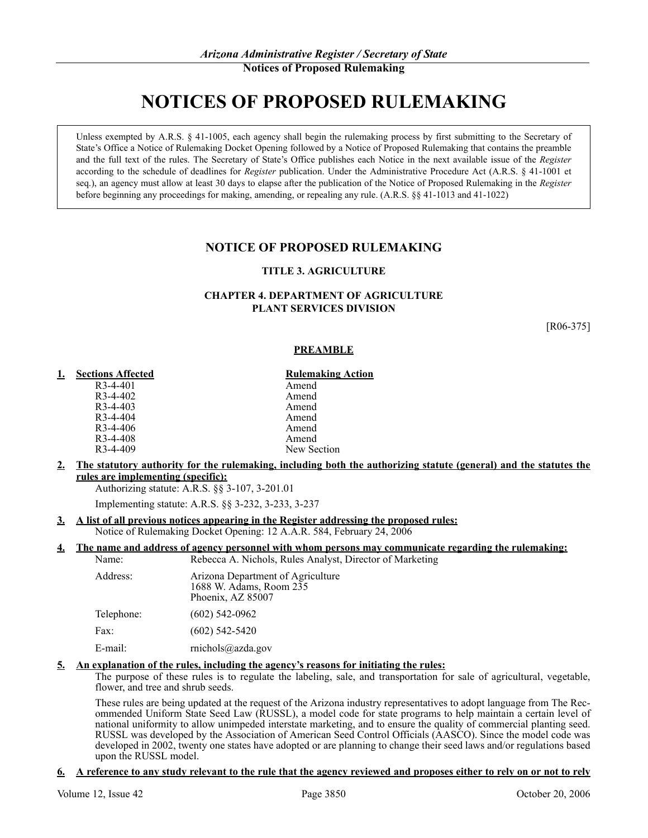# **NOTICES OF PROPOSED RULEMAKING**

Unless exempted by A.R.S. § 41-1005, each agency shall begin the rulemaking process by first submitting to the Secretary of State's Office a Notice of Rulemaking Docket Opening followed by a Notice of Proposed Rulemaking that contains the preamble and the full text of the rules. The Secretary of State's Office publishes each Notice in the next available issue of the *Register* according to the schedule of deadlines for *Register* publication. Under the Administrative Procedure Act (A.R.S. § 41-1001 et seq.), an agency must allow at least 30 days to elapse after the publication of the Notice of Proposed Rulemaking in the *Register* before beginning any proceedings for making, amending, or repealing any rule. (A.R.S. §§ 41-1013 and 41-1022)

# **NOTICE OF PROPOSED RULEMAKING**

# **TITLE 3. AGRICULTURE**

### **CHAPTER 4. DEPARTMENT OF AGRICULTURE PLANT SERVICES DIVISION**

[R06-375]

### **PREAMBLE**

### **1. Sections Affected Rulemaking Action**

| R3-4-401   | Amend       |
|------------|-------------|
| $R3-4-402$ | Amend       |
| $R3-4-403$ | Amend       |
| $R3-4-404$ | Amend       |
| $R3-4-406$ | Amend       |
| R3-4-408   | Amend       |
| $R3-4-409$ | New Section |

**2. The statutory authority for the rulemaking, including both the authorizing statute (general) and the statutes the rules are implementing (specific):**

Authorizing statute: A.R.S. §§ 3-107, 3-201.01

Implementing statute: A.R.S. §§ 3-232, 3-233, 3-237

- **3. A list of all previous notices appearing in the Register addressing the proposed rules:**
	- Notice of Rulemaking Docket Opening: 12 A.A.R. 584, February 24, 2006

### **4. The name and address of agency personnel with whom persons may communicate regarding the rulemaking:** Name: Rebecca A. Nichols, Rules Analyst, Director of Marketing

| Tunio.     | Repetta 71. Preficio, Ruits 7 mary st                                             |
|------------|-----------------------------------------------------------------------------------|
| Address:   | Arizona Department of Agriculture<br>1688 W. Adams, Room 235<br>Phoenix, AZ 85007 |
| Telephone: | $(602)$ 542-0962                                                                  |
| Fax:       | $(602)$ 542-5420                                                                  |
| E-mail:    | $rnichols$ @azda.gov                                                              |
|            |                                                                                   |

### **5. An explanation of the rules, including the agency's reasons for initiating the rules:**

The purpose of these rules is to regulate the labeling, sale, and transportation for sale of agricultural, vegetable, flower, and tree and shrub seeds.

These rules are being updated at the request of the Arizona industry representatives to adopt language from The Recommended Uniform State Seed Law (RUSSL), a model code for state programs to help maintain a certain level of national uniformity to allow unimpeded interstate marketing, and to ensure the quality of commercial planting seed. RUSSL was developed by the Association of American Seed Control Officials (AASCO). Since the model code was developed in 2002, twenty one states have adopted or are planning to change their seed laws and/or regulations based upon the RUSSL model.

### **6. A reference to any study relevant to the rule that the agency reviewed and proposes either to rely on or not to rely**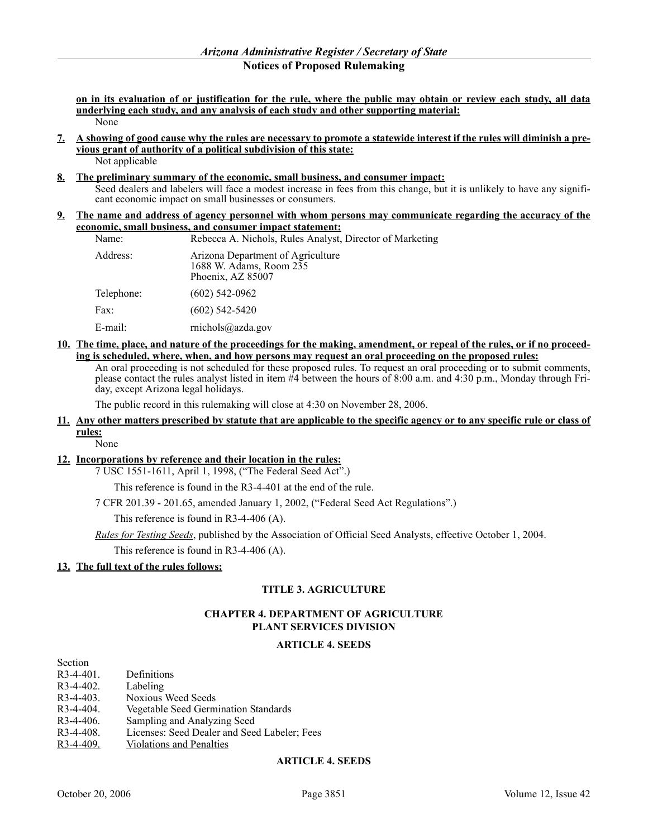**on in its evaluation of or justification for the rule, where the public may obtain or review each study, all data underlying each study, and any analysis of each study and other supporting material:** None

- **7. A showing of good cause why the rules are necessary to promote a statewide interest if the rules will diminish a previous grant of authority of a political subdivision of this state:** Not applicable
- **8. The preliminary summary of the economic, small business, and consumer impact:**

Seed dealers and labelers will face a modest increase in fees from this change, but it is unlikely to have any significant economic impact on small businesses or consumers.

### **9. The name and address of agency personnel with whom persons may communicate regarding the accuracy of the economic, small business, and consumer impact statement:**

| Name:      | Rebecca A. Nichols, Rules Analyst, Director of Marketing                          |
|------------|-----------------------------------------------------------------------------------|
| Address:   | Arizona Department of Agriculture<br>1688 W. Adams, Room 235<br>Phoenix, AZ 85007 |
| Telephone: | $(602)$ 542-0962                                                                  |
| Fax:       | $(602)$ 542-5420                                                                  |
| E-mail:    | michols@a zda.gov                                                                 |

# **10. The time, place, and nature of the proceedings for the making, amendment, or repeal of the rules, or if no proceeding is scheduled, where, when, and how persons may request an oral proceeding on the proposed rules:**

An oral proceeding is not scheduled for these proposed rules. To request an oral proceeding or to submit comments, please contact the rules analyst listed in item #4 between the hours of 8:00 a.m. and 4:30 p.m., Monday through Friday, except Arizona legal holidays.

The public record in this rulemaking will close at 4:30 on November 28, 2006.

### **11. Any other matters prescribed by statute that are applicable to the specific agency or to any specific rule or class of rules:**

### None

### **12. Incorporations by reference and their location in the rules:**

7 USC 1551-1611, April 1, 1998, ("The Federal Seed Act".)

This reference is found in the R3-4-401 at the end of the rule.

7 CFR 201.39 - 201.65, amended January 1, 2002, ("Federal Seed Act Regulations".)

This reference is found in R3-4-406 (A).

*Rules for Testing Seeds*, published by the Association of Official Seed Analysts, effective October 1, 2004.

This reference is found in R3-4-406 (A).

### **13. The full text of the rules follows:**

### **TITLE 3. AGRICULTURE**

### **CHAPTER 4. DEPARTMENT OF AGRICULTURE PLANT SERVICES DIVISION**

### **ARTICLE 4. SEEDS**

| Section      |                                              |
|--------------|----------------------------------------------|
| $R3-4-401$ . | Definitions                                  |
| $R3-4-402$ . | Labeling                                     |
| $R3-4-403$ . | Noxious Weed Seeds                           |
| $R3-4-404$ . | Vegetable Seed Germination Standards         |
| $R3-4-406.$  | Sampling and Analyzing Seed                  |
| $R3-4-408$ . | Licenses: Seed Dealer and Seed Labeler; Fees |
| $R3-4-409$ . | <b>Violations and Penalties</b>              |

### **ARTICLE 4. SEEDS**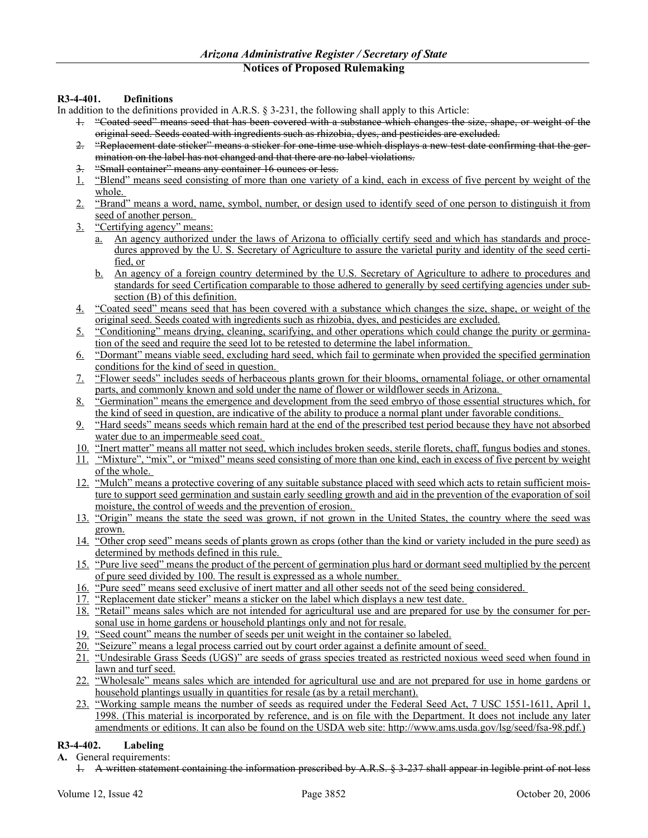# **R3-4-401. Definitions**

In addition to the definitions provided in A.R.S. § 3-231, the following shall apply to this Article:

- 1. "Coated seed" means seed that has been covered with a substance which changes the size, shape, or weight of the original seed. Seeds coated with ingredients such as rhizobia, dyes, and pesticides are excluded.
- 2. "Replacement date sticker" means a sticker for one-time use which displays a new test date confirming that the germination on the label has not changed and that there are no label violations.
- 3. "Small container" means any container 16 ounces or less.
- 1. "Blend" means seed consisting of more than one variety of a kind, each in excess of five percent by weight of the whole.
- 2. "Brand" means a word, name, symbol, number, or design used to identify seed of one person to distinguish it from seed of another person.
- 3. "Certifying agency" means:
	- a. An agency authorized under the laws of Arizona to officially certify seed and which has standards and procedures approved by the U. S. Secretary of Agriculture to assure the varietal purity and identity of the seed certified, or
	- b. An agency of a foreign country determined by the U.S. Secretary of Agriculture to adhere to procedures and standards for seed Certification comparable to those adhered to generally by seed certifying agencies under subsection (B) of this definition.
- 4. "Coated seed" means seed that has been covered with a substance which changes the size, shape, or weight of the original seed. Seeds coated with ingredients such as rhizobia, dyes, and pesticides are excluded.
- 5. "Conditioning" means drying, cleaning, scarifying, and other operations which could change the purity or germination of the seed and require the seed lot to be retested to determine the label information.
- 6. "Dormant" means viable seed, excluding hard seed, which fail to germinate when provided the specified germination conditions for the kind of seed in question.
- 7. "Flower seeds" includes seeds of herbaceous plants grown for their blooms, ornamental foliage, or other ornamental parts, and commonly known and sold under the name of flower or wildflower seeds in Arizona.
- 8. "Germination" means the emergence and development from the seed embryo of those essential structures which, for the kind of seed in question, are indicative of the ability to produce a normal plant under favorable conditions.
- 9. "Hard seeds" means seeds which remain hard at the end of the prescribed test period because they have not absorbed water due to an impermeable seed coat.
- 10. "Inert matter" means all matter not seed, which includes broken seeds, sterile florets, chaff, fungus bodies and stones.
- 11. "Mixture", "mix", or "mixed" means seed consisting of more than one kind, each in excess of five percent by weight of the whole.
- 12. "Mulch" means a protective covering of any suitable substance placed with seed which acts to retain sufficient moisture to support seed germination and sustain early seedling growth and aid in the prevention of the evaporation of soil moisture, the control of weeds and the prevention of erosion.
- 13. "Origin" means the state the seed was grown, if not grown in the United States, the country where the seed was grown.
- 14. "Other crop seed" means seeds of plants grown as crops (other than the kind or variety included in the pure seed) as determined by methods defined in this rule.
- 15. "Pure live seed" means the product of the percent of germination plus hard or dormant seed multiplied by the percent of pure seed divided by 100. The result is expressed as a whole number.
- 16. "Pure seed" means seed exclusive of inert matter and all other seeds not of the seed being considered.
- 17. "Replacement date sticker" means a sticker on the label which displays a new test date.
- 18. "Retail" means sales which are not intended for agricultural use and are prepared for use by the consumer for personal use in home gardens or household plantings only and not for resale.
- 19. "Seed count" means the number of seeds per unit weight in the container so labeled.
- 20. "Seizure" means a legal process carried out by court order against a definite amount of seed.
- 21. "Undesirable Grass Seeds (UGS)" are seeds of grass species treated as restricted noxious weed seed when found in lawn and turf seed.
- 22. "Wholesale" means sales which are intended for agricultural use and are not prepared for use in home gardens or household plantings usually in quantities for resale (as by a retail merchant).
- 23. "Working sample means the number of seeds as required under the Federal Seed Act, 7 USC 1551-1611, April 1, 1998. (This material is incorporated by reference, and is on file with the Department. It does not include any later amendments or editions. It can also be found on the USDA web site: http://www.ams.usda.gov/lsg/seed/fsa-98.pdf.)

# **R3-4-402. Labeling**

- **A.** General requirements:
	- 1. A written statement containing the information prescribed by A.R.S. § 3-237 shall appear in legible print of not less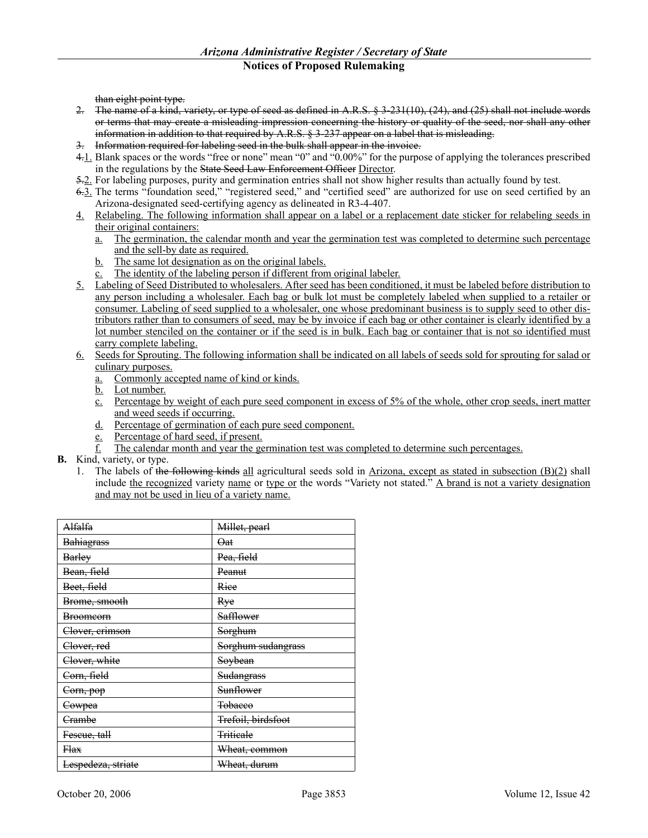than eight point type.

- 2. The name of a kind, variety, or type of seed as defined in A.R.S. § 3-231(10), (24), and (25) shall not include words or terms that may create a misleading impression concerning the history or quality of the seed, nor shall any other information in addition to that required by A.R.S. § 3-237 appear on a label that is misleading.
- 3. Information required for labeling seed in the bulk shall appear in the invoice.
- 4.1. Blank spaces or the words "free or none" mean "0" and "0.00%" for the purpose of applying the tolerances prescribed in the regulations by the State Seed Law Enforcement Officer Director.
- 5.2. For labeling purposes, purity and germination entries shall not show higher results than actually found by test.
- 6.3. The terms "foundation seed," "registered seed," and "certified seed" are authorized for use on seed certified by an Arizona-designated seed-certifying agency as delineated in R3-4-407.
- 4. Relabeling. The following information shall appear on a label or a replacement date sticker for relabeling seeds in their original containers:
	- a. The germination, the calendar month and year the germination test was completed to determine such percentage and the sell-by date as required.
	- b. The same lot designation as on the original labels.
	- c. The identity of the labeling person if different from original labeler.
- 5. Labeling of Seed Distributed to wholesalers. After seed has been conditioned, it must be labeled before distribution to any person including a wholesaler. Each bag or bulk lot must be completely labeled when supplied to a retailer or consumer. Labeling of seed supplied to a wholesaler, one whose predominant business is to supply seed to other distributors rather than to consumers of seed, may be by invoice if each bag or other container is clearly identified by a lot number stenciled on the container or if the seed is in bulk. Each bag or container that is not so identified must carry complete labeling.
- 6. Seeds for Sprouting. The following information shall be indicated on all labels of seeds sold for sprouting for salad or culinary purposes.
	- a. Commonly accepted name of kind or kinds.
	- b. Lot number.
	- c. Percentage by weight of each pure seed component in excess of 5% of the whole, other crop seeds, inert matter and weed seeds if occurring.
	- d. Percentage of germination of each pure seed component.
	- e. Percentage of hard seed, if present.
	- $f<sub>l</sub>$  The calendar month and year the germination test was completed to determine such percentages.
- **B.** Kind, variety, or type.
	- 1. The labels of the following kinds all agricultural seeds sold in Arizona, except as stated in subsection (B)(2) shall include the recognized variety name or type or the words "Variety not stated." A brand is not a variety designation and may not be used in lieu of a variety name.

| Alfalfa                | Millet, pearl      |
|------------------------|--------------------|
| <b>Bahiagrass</b>      | Oat                |
| <b>Barley</b>          | Pea, field         |
| Bean, field            | Peanut             |
| Beet, field            | Rice               |
| Brome, smooth          | Rye                |
| <b>Broomeorn</b>       | Safflower          |
| Clover, erimson        | Sorghum            |
| <del>Clover, red</del> | Sorghum sudangrass |
| Clover, white          | Soybean            |
| Corn, field            | Sudangrass         |
| <del>Corn, pop</del>   | Sunflower          |
| Cowpea                 | <b>Tobacco</b>     |
| Crambe                 | Trefoil, birdsfoot |
| Feseue, tall           | <b>Triticale</b>   |
| Flax                   | Wheat, common      |
| Lespedeza, striate     | Wheat, durum       |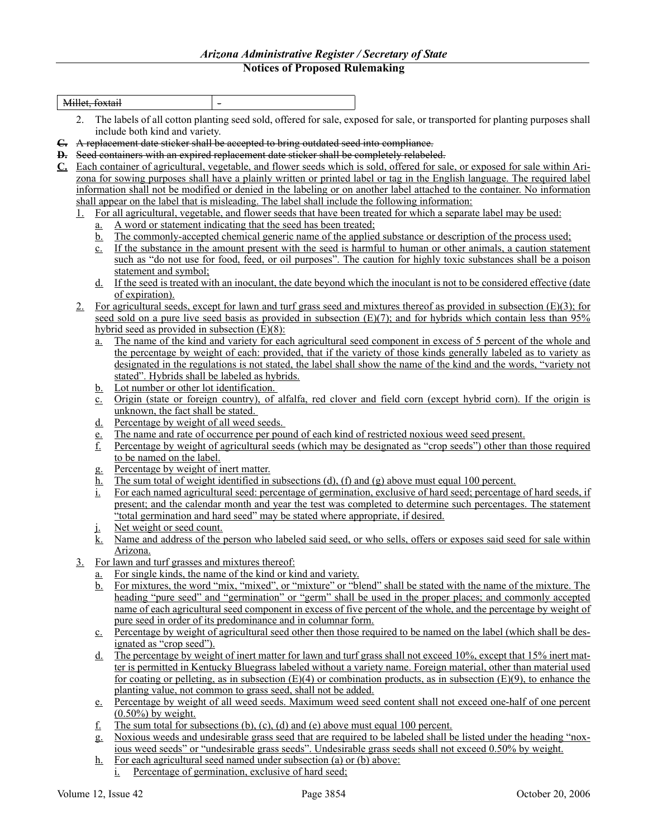|                            |             | Millet, foxtail        |                                                  |                                                                                                   |                                                                                                                                                                                                                                   |
|----------------------------|-------------|------------------------|--------------------------------------------------|---------------------------------------------------------------------------------------------------|-----------------------------------------------------------------------------------------------------------------------------------------------------------------------------------------------------------------------------------|
|                            | 2.          |                        |                                                  |                                                                                                   | The labels of all cotton planting seed sold, offered for sale, exposed for sale, or transported for planting purposes shall                                                                                                       |
|                            |             |                        | include both kind and variety.                   |                                                                                                   |                                                                                                                                                                                                                                   |
|                            |             |                        |                                                  | E. A replacement date sticker shall be accepted to bring outdated seed into compliance.           |                                                                                                                                                                                                                                   |
|                            |             |                        |                                                  | <b>D.</b> Seed containers with an expired replacement date sticker shall be completely relabeled. |                                                                                                                                                                                                                                   |
| $\underline{\mathbf{C}}$ . |             |                        |                                                  |                                                                                                   | Each container of agricultural, vegetable, and flower seeds which is sold, offered for sale, or exposed for sale within Ari-                                                                                                      |
|                            |             |                        |                                                  |                                                                                                   | zona for sowing purposes shall have a plainly written or printed label or tag in the English language. The required label                                                                                                         |
|                            |             |                        |                                                  |                                                                                                   | information shall not be modified or denied in the labeling or on another label attached to the container. No information                                                                                                         |
|                            |             |                        |                                                  | shall appear on the label that is misleading. The label shall include the following information:  |                                                                                                                                                                                                                                   |
|                            |             |                        |                                                  |                                                                                                   | For all agricultural, vegetable, and flower seeds that have been treated for which a separate label may be used:                                                                                                                  |
|                            |             | <u>a.</u>              |                                                  | A word or statement indicating that the seed has been treated;                                    |                                                                                                                                                                                                                                   |
|                            |             | <u>b.</u>              |                                                  |                                                                                                   | The commonly-accepted chemical generic name of the applied substance or description of the process used;                                                                                                                          |
|                            |             | $c_{\cdot}$            |                                                  |                                                                                                   | If the substance in the amount present with the seed is harmful to human or other animals, a caution statement                                                                                                                    |
|                            |             |                        |                                                  |                                                                                                   | such as "do not use for food, feed, or oil purposes". The caution for highly toxic substances shall be a poison                                                                                                                   |
|                            |             |                        | statement and symbol;                            |                                                                                                   |                                                                                                                                                                                                                                   |
|                            |             | d.                     |                                                  |                                                                                                   | If the seed is treated with an inoculant, the date beyond which the inoculant is not to be considered effective (date                                                                                                             |
|                            |             |                        | of expiration).                                  |                                                                                                   |                                                                                                                                                                                                                                   |
|                            | $2_{\cdot}$ |                        |                                                  |                                                                                                   | For agricultural seeds, except for lawn and turf grass seed and mixtures thereof as provided in subsection $(E)(3)$ ; for                                                                                                         |
|                            |             |                        | hybrid seed as provided in subsection $(E)(8)$ : |                                                                                                   | seed sold on a pure live seed basis as provided in subsection $(E)(7)$ ; and for hybrids which contain less than 95%                                                                                                              |
|                            |             |                        |                                                  |                                                                                                   | The name of the kind and variety for each agricultural seed component in excess of 5 percent of the whole and                                                                                                                     |
|                            |             | а.                     |                                                  |                                                                                                   | the percentage by weight of each: provided, that if the variety of those kinds generally labeled as to variety as                                                                                                                 |
|                            |             |                        |                                                  |                                                                                                   | designated in the regulations is not stated, the label shall show the name of the kind and the words, "variety not                                                                                                                |
|                            |             |                        | stated". Hybrids shall be labeled as hybrids.    |                                                                                                   |                                                                                                                                                                                                                                   |
|                            |             | $\mathbf{b}$ .         | Lot number or other lot identification.          |                                                                                                   |                                                                                                                                                                                                                                   |
|                            |             | $c_{\cdot}$            |                                                  |                                                                                                   | Origin (state or foreign country), of alfalfa, red clover and field corn (except hybrid corn). If the origin is                                                                                                                   |
|                            |             |                        | unknown, the fact shall be stated.               |                                                                                                   |                                                                                                                                                                                                                                   |
|                            |             | <u>d.</u>              | Percentage by weight of all weed seeds.          |                                                                                                   |                                                                                                                                                                                                                                   |
|                            |             | $\frac{e}{f}$          |                                                  |                                                                                                   | The name and rate of occurrence per pound of each kind of restricted noxious weed seed present.                                                                                                                                   |
|                            |             |                        |                                                  |                                                                                                   | Percentage by weight of agricultural seeds (which may be designated as "crop seeds") other than those required                                                                                                                    |
|                            |             |                        | to be named on the label.                        |                                                                                                   |                                                                                                                                                                                                                                   |
|                            |             | g.                     | Percentage by weight of inert matter.            |                                                                                                   |                                                                                                                                                                                                                                   |
|                            |             | <u>h.</u>              |                                                  |                                                                                                   | The sum total of weight identified in subsections (d), (f) and (g) above must equal 100 percent.                                                                                                                                  |
|                            |             | <u>i.</u>              |                                                  |                                                                                                   | For each named agricultural seed: percentage of germination, exclusive of hard seed; percentage of hard seeds, if<br>present; and the calendar month and year the test was completed to determine such percentages. The statement |
|                            |             |                        |                                                  | "total germination and hard seed" may be stated where appropriate, if desired.                    |                                                                                                                                                                                                                                   |
|                            |             |                        | Net weight or seed count.                        |                                                                                                   |                                                                                                                                                                                                                                   |
|                            |             | <u>j.</u><br><u>k.</u> |                                                  |                                                                                                   | Name and address of the person who labeled said seed, or who sells, offers or exposes said seed for sale within                                                                                                                   |
|                            |             |                        | Arizona.                                         |                                                                                                   |                                                                                                                                                                                                                                   |
|                            | 3.          |                        | For lawn and turf grasses and mixtures thereof:  |                                                                                                   |                                                                                                                                                                                                                                   |
|                            |             | <u>a.</u>              |                                                  | For single kinds, the name of the kind or kind and variety.                                       |                                                                                                                                                                                                                                   |
|                            |             | <u>b.</u>              |                                                  |                                                                                                   | For mixtures, the word "mix, "mixed", or "mixture" or "blend" shall be stated with the name of the mixture. The                                                                                                                   |
|                            |             |                        |                                                  |                                                                                                   | heading "pure seed" and "germination" or "germ" shall be used in the proper places; and commonly accepted                                                                                                                         |
|                            |             |                        |                                                  |                                                                                                   | name of each agricultural seed component in excess of five percent of the whole, and the percentage by weight of                                                                                                                  |
|                            |             |                        |                                                  | pure seed in order of its predominance and in columnar form.                                      |                                                                                                                                                                                                                                   |
|                            |             | $c_{\cdot}$            | ignated as "crop seed").                         |                                                                                                   | Percentage by weight of agricultural seed other then those required to be named on the label (which shall be des-                                                                                                                 |
|                            |             | <u>d.</u>              |                                                  |                                                                                                   | The percentage by weight of inert matter for lawn and turf grass shall not exceed 10%, except that 15% inert mat-                                                                                                                 |
|                            |             |                        |                                                  |                                                                                                   | ter is permitted in Kentucky Bluegrass labeled without a variety name. Foreign material, other than material used                                                                                                                 |
|                            |             |                        |                                                  |                                                                                                   | for coating or pelleting, as in subsection $(E)(4)$ or combination products, as in subsection $(E)(9)$ , to enhance the                                                                                                           |
|                            |             |                        |                                                  | planting value, not common to grass seed, shall not be added.                                     |                                                                                                                                                                                                                                   |
|                            |             | $e_{-}$                |                                                  |                                                                                                   | Percentage by weight of all weed seeds. Maximum weed seed content shall not exceed one-half of one percent                                                                                                                        |
|                            |             |                        | $(0.50\%)$ by weight.                            |                                                                                                   |                                                                                                                                                                                                                                   |
|                            |             | f.                     |                                                  | The sum total for subsections (b), (c), (d) and (e) above must equal 100 percent.                 |                                                                                                                                                                                                                                   |
|                            |             | g.                     |                                                  |                                                                                                   | Noxious weeds and undesirable grass seed that are required to be labeled shall be listed under the heading "nox-                                                                                                                  |
|                            |             |                        |                                                  |                                                                                                   | ious weed seeds" or "undesirable grass seeds". Undesirable grass seeds shall not exceed 0.50% by weight.                                                                                                                          |

- h. For each agricultural seed named under subsection (a) or (b) above:
	- i. Percentage of germination, exclusive of hard seed;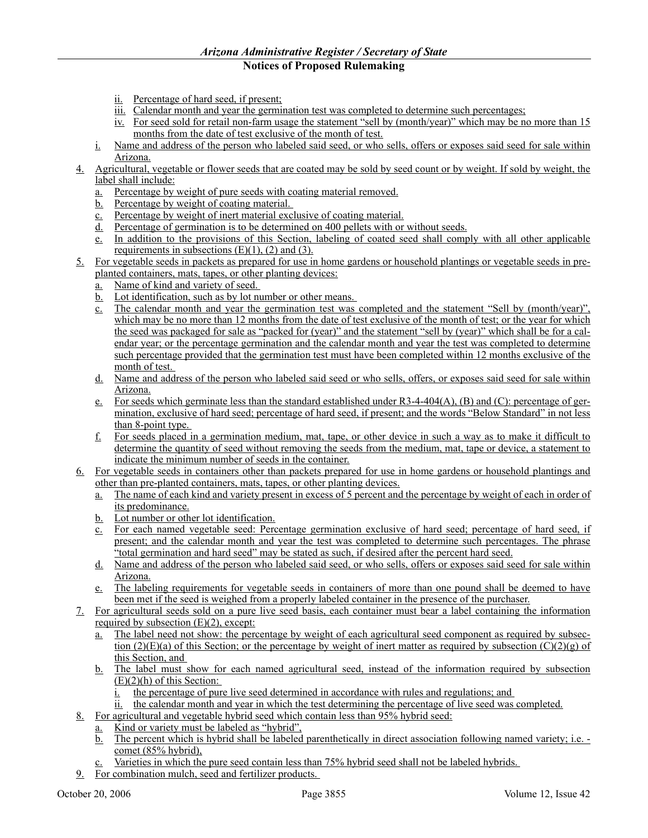- ii. Percentage of hard seed, if present;
- iii. Calendar month and year the germination test was completed to determine such percentages;
- iv. For seed sold for retail non-farm usage the statement "sell by (month/year)" which may be no more than 15 months from the date of test exclusive of the month of test.
- i. Name and address of the person who labeled said seed, or who sells, offers or exposes said seed for sale within Arizona.
- 4. Agricultural, vegetable or flower seeds that are coated may be sold by seed count or by weight. If sold by weight, the label shall include:
	- a. Percentage by weight of pure seeds with coating material removed.
	- b. Percentage by weight of coating material.
	- c. Percentage by weight of inert material exclusive of coating material.
	- d. Percentage of germination is to be determined on 400 pellets with or without seeds.
	- e. In addition to the provisions of this Section, labeling of coated seed shall comply with all other applicable requirements in subsections  $(E)(1)$ ,  $(2)$  and  $(3)$ .
- 5. For vegetable seeds in packets as prepared for use in home gardens or household plantings or vegetable seeds in preplanted containers, mats, tapes, or other planting devices:
	- a. Name of kind and variety of seed.
	- b. Lot identification, such as by lot number or other means.
	- c. The calendar month and year the germination test was completed and the statement "Sell by (month/year)", which may be no more than 12 months from the date of test exclusive of the month of test; or the year for which the seed was packaged for sale as "packed for (year)" and the statement "sell by (year)" which shall be for a calendar year; or the percentage germination and the calendar month and year the test was completed to determine such percentage provided that the germination test must have been completed within 12 months exclusive of the month of test.
	- d. Name and address of the person who labeled said seed or who sells, offers, or exposes said seed for sale within Arizona.
	- e. For seeds which germinate less than the standard established under R3-4-404(A), (B) and (C): percentage of germination, exclusive of hard seed; percentage of hard seed, if present; and the words "Below Standard" in not less than 8-point type.
	- f. For seeds placed in a germination medium, mat, tape, or other device in such a way as to make it difficult to determine the quantity of seed without removing the seeds from the medium, mat, tape or device, a statement to indicate the minimum number of seeds in the container.
- 6. For vegetable seeds in containers other than packets prepared for use in home gardens or household plantings and other than pre-planted containers, mats, tapes, or other planting devices.
	- a. The name of each kind and variety present in excess of 5 percent and the percentage by weight of each in order of its predominance.
	- b. Lot number or other lot identification.
	- c. For each named vegetable seed: Percentage germination exclusive of hard seed; percentage of hard seed, if present; and the calendar month and year the test was completed to determine such percentages. The phrase "total germination and hard seed" may be stated as such, if desired after the percent hard seed.
	- d. Name and address of the person who labeled said seed, or who sells, offers or exposes said seed for sale within Arizona.
	- e. The labeling requirements for vegetable seeds in containers of more than one pound shall be deemed to have been met if the seed is weighed from a properly labeled container in the presence of the purchaser.
- 7. For agricultural seeds sold on a pure live seed basis, each container must bear a label containing the information required by subsection  $(E)(2)$ , except:
	- a. The label need not show: the percentage by weight of each agricultural seed component as required by subsection (2)(E)(a) of this Section; or the percentage by weight of inert matter as required by subsection (C)(2)(g) of this Section, and
	- b. The label must show for each named agricultural seed, instead of the information required by subsection  $(E)(2)(h)$  of this Section:
		- i. the percentage of pure live seed determined in accordance with rules and regulations; and
		- ii. the calendar month and year in which the test determining the percentage of live seed was completed.
- 8. For agricultural and vegetable hybrid seed which contain less than 95% hybrid seed:
	- a. Kind or variety must be labeled as "hybrid",
		- b. The percent which is hybrid shall be labeled parenthetically in direct association following named variety; i.e. comet (85% hybrid),
		- Varieties in which the pure seed contain less than 75% hybrid seed shall not be labeled hybrids.
- 9. For combination mulch, seed and fertilizer products.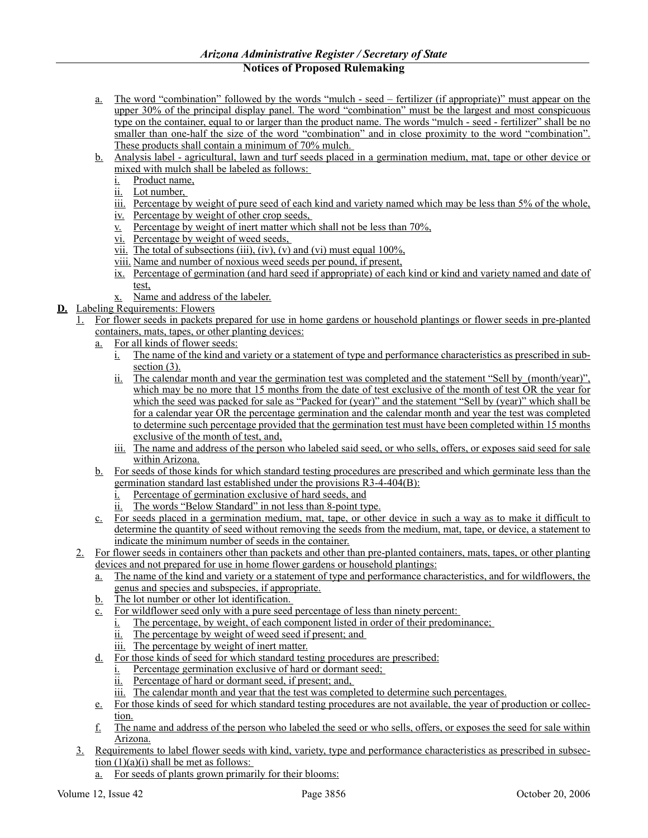- a. The word "combination" followed by the words "mulch seed fertilizer (if appropriate)" must appear on the upper 30% of the principal display panel. The word "combination" must be the largest and most conspicuous type on the container, equal to or larger than the product name. The words "mulch - seed - fertilizer" shall be no smaller than one-half the size of the word "combination" and in close proximity to the word "combination". These products shall contain a minimum of 70% mulch.
- b. Analysis label agricultural, lawn and turf seeds placed in a germination medium, mat, tape or other device or mixed with mulch shall be labeled as follows:
	- i. Product name,
	- ii. Lot number,
	- iii. Percentage by weight of pure seed of each kind and variety named which may be less than 5% of the whole,
	- iv. Percentage by weight of other crop seeds,
	- v. Percentage by weight of inert matter which shall not be less than 70%,
	- vi. Percentage by weight of weed seeds,
	- vii. The total of subsections (iii), (iv), (v) and (vi) must equal  $100\%$ ,
	- viii. Name and number of noxious weed seeds per pound, if present,
	- ix. Percentage of germination (and hard seed if appropriate) of each kind or kind and variety named and date of test,
	- x. Name and address of the labeler.
- **D.** Labeling Requirements: Flowers
	- 1. For flower seeds in packets prepared for use in home gardens or household plantings or flower seeds in pre-planted containers, mats, tapes, or other planting devices:
		- a. For all kinds of flower seeds:
			- i. The name of the kind and variety or a statement of type and performance characteristics as prescribed in subsection  $(3)$ .
			- ii. The calendar month and year the germination test was completed and the statement "Sell by\_(month/year)", which may be no more that 15 months from the date of test exclusive of the month of test OR the year for which the seed was packed for sale as "Packed for (year)" and the statement "Sell by (year)" which shall be for a calendar year OR the percentage germination and the calendar month and year the test was completed to determine such percentage provided that the germination test must have been completed within 15 months exclusive of the month of test, and,
			- iii. The name and address of the person who labeled said seed, or who sells, offers, or exposes said seed for sale within Arizona.
		- b. For seeds of those kinds for which standard testing procedures are prescribed and which germinate less than the germination standard last established under the provisions R3-4-404(B):
			- i. Percentage of germination exclusive of hard seeds, and
			- ii. The words "Below Standard" in not less than 8-point type.
		- c. For seeds placed in a germination medium, mat, tape, or other device in such a way as to make it difficult to determine the quantity of seed without removing the seeds from the medium, mat, tape, or device, a statement to indicate the minimum number of seeds in the container.
	- 2. For flower seeds in containers other than packets and other than pre-planted containers, mats, tapes, or other planting devices and not prepared for use in home flower gardens or household plantings:
		- a. The name of the kind and variety or a statement of type and performance characteristics, and for wildflowers, the genus and species and subspecies, if appropriate.
		- b. The lot number or other lot identification.
		- c. For wildflower seed only with a pure seed percentage of less than ninety percent:
			- i. The percentage, by weight, of each component listed in order of their predominance;
			- ii. The percentage by weight of weed seed if present; and
			- iii. The percentage by weight of inert matter.
		- d. For those kinds of seed for which standard testing procedures are prescribed:
			- i. Percentage germination exclusive of hard or dormant seed;
			- ii. Percentage of hard or dormant seed, if present; and,
			- iii. The calendar month and year that the test was completed to determine such percentages.
		- e. For those kinds of seed for which standard testing procedures are not available, the year of production or collection.
		- $f<sub>i</sub>$  The name and address of the person who labeled the seed or who sells, offers, or exposes the seed for sale within Arizona.
	- 3. Requirements to label flower seeds with kind, variety, type and performance characteristics as prescribed in subsection (1)(a)(i) shall be met as follows:
		- a. For seeds of plants grown primarily for their blooms: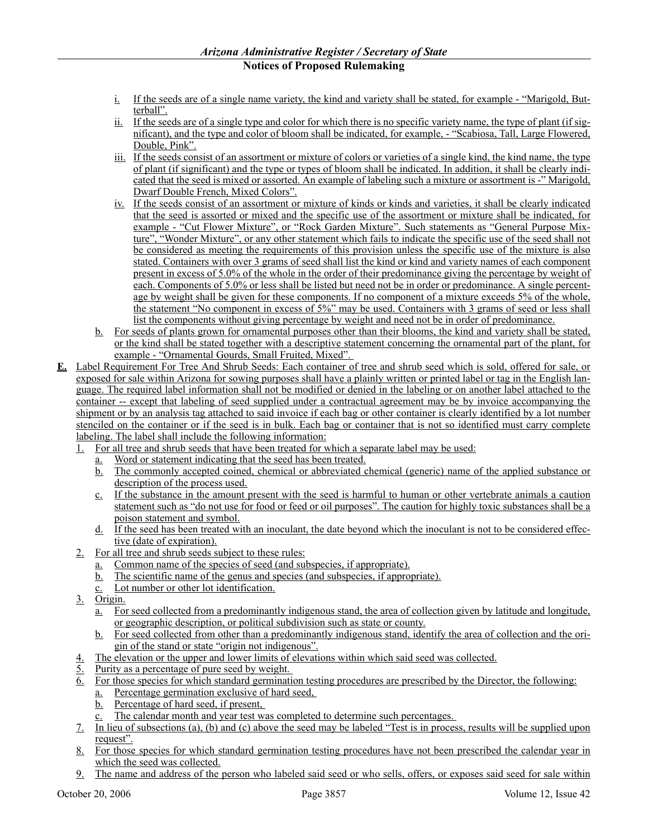- i. If the seeds are of a single name variety, the kind and variety shall be stated, for example "Marigold, Butterball".
- ii. If the seeds are of a single type and color for which there is no specific variety name, the type of plant (if significant), and the type and color of bloom shall be indicated, for example, - "Scabiosa, Tall, Large Flowered, Double, Pink".
- iii. If the seeds consist of an assortment or mixture of colors or varieties of a single kind, the kind name, the type of plant (if significant) and the type or types of bloom shall be indicated. In addition, it shall be clearly indicated that the seed is mixed or assorted. An example of labeling such a mixture or assortment is -" Marigold, Dwarf Double French, Mixed Colors".
- iv. If the seeds consist of an assortment or mixture of kinds or kinds and varieties, it shall be clearly indicated that the seed is assorted or mixed and the specific use of the assortment or mixture shall be indicated, for example - "Cut Flower Mixture", or "Rock Garden Mixture". Such statements as "General Purpose Mixture", "Wonder Mixture", or any other statement which fails to indicate the specific use of the seed shall not be considered as meeting the requirements of this provision unless the specific use of the mixture is also stated. Containers with over 3 grams of seed shall list the kind or kind and variety names of each component present in excess of 5.0% of the whole in the order of their predominance giving the percentage by weight of each. Components of 5.0% or less shall be listed but need not be in order or predominance. A single percentage by weight shall be given for these components. If no component of a mixture exceeds 5% of the whole, the statement "No component in excess of 5%" may be used. Containers with 3 grams of seed or less shall list the components without giving percentage by weight and need not be in order of predominance.
- b. For seeds of plants grown for ornamental purposes other than their blooms, the kind and variety shall be stated, or the kind shall be stated together with a descriptive statement concerning the ornamental part of the plant, for example - "Ornamental Gourds, Small Fruited, Mixed".
- **E.** Label Requirement For Tree And Shrub Seeds: Each container of tree and shrub seed which is sold, offered for sale, or exposed for sale within Arizona for sowing purposes shall have a plainly written or printed label or tag in the English language. The required label information shall not be modified or denied in the labeling or on another label attached to the container -- except that labeling of seed supplied under a contractual agreement may be by invoice accompanying the shipment or by an analysis tag attached to said invoice if each bag or other container is clearly identified by a lot number stenciled on the container or if the seed is in bulk. Each bag or container that is not so identified must carry complete labeling. The label shall include the following information:
	- 1. For all tree and shrub seeds that have been treated for which a separate label may be used:
		- a. Word or statement indicating that the seed has been treated.
		- b. The commonly accepted coined, chemical or abbreviated chemical (generic) name of the applied substance or description of the process used.
		- c. If the substance in the amount present with the seed is harmful to human or other vertebrate animals a caution statement such as "do not use for food or feed or oil purposes". The caution for highly toxic substances shall be a poison statement and symbol.
		- d. If the seed has been treated with an inoculant, the date beyond which the inoculant is not to be considered effective (date of expiration).
	- 2. For all tree and shrub seeds subject to these rules:
		- a. Common name of the species of seed (and subspecies, if appropriate).
		- b. The scientific name of the genus and species (and subspecies, if appropriate).
		- c. Lot number or other lot identification.
	- 3. Origin.
		- a. For seed collected from a predominantly indigenous stand, the area of collection given by latitude and longitude, or geographic description, or political subdivision such as state or county.
		- b. For seed collected from other than a predominantly indigenous stand, identify the area of collection and the origin of the stand or state "origin not indigenous".
	- 4. The elevation or the upper and lower limits of elevations within which said seed was collected.
	- Purity as a percentage of pure seed by weight.
	- 6. For those species for which standard germination testing procedures are prescribed by the Director, the following: a. Percentage germination exclusive of hard seed,
		- b. Percentage of hard seed, if present,
		- c. The calendar month and year test was completed to determine such percentages.
	- 7. In lieu of subsections (a), (b) and (c) above the seed may be labeled "Test is in process, results will be supplied upon request".
	- 8. For those species for which standard germination testing procedures have not been prescribed the calendar year in which the seed was collected.
	- 9. The name and address of the person who labeled said seed or who sells, offers, or exposes said seed for sale within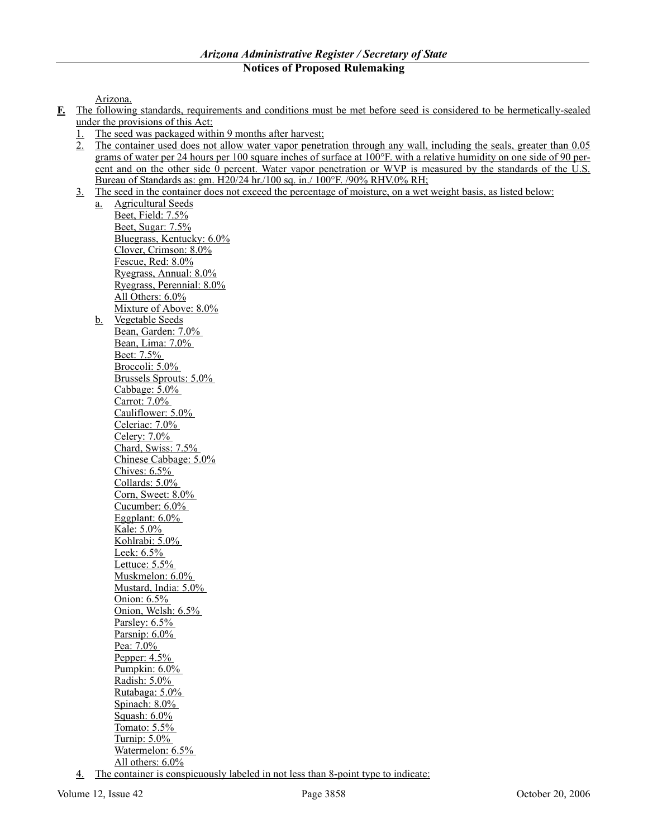Arizona.

- **F.** The following standards, requirements and conditions must be met before seed is considered to be hermetically-sealed under the provisions of this Act:
	- 1. The seed was packaged within 9 months after harvest;
	- 2. The container used does not allow water vapor penetration through any wall, including the seals, greater than 0.05 grams of water per 24 hours per 100 square inches of surface at 100°F. with a relative humidity on one side of 90 percent and on the other side 0 percent. Water vapor penetration or WVP is measured by the standards of the U.S. Bureau of Standards as: gm. H20/24 hr./100 sq. in./ 100°F. /90% RHV.0% RH;
	- 3. The seed in the container does not exceed the percentage of moisture, on a wet weight basis, as listed below:

a. Agricultural Seeds Beet, Field: 7.5% Beet, Sugar: 7.5% Bluegrass, Kentucky: 6.0% Clover, Crimson: 8.0% Fescue, Red: 8.0% Ryegrass, Annual: 8.0% Ryegrass, Perennial: 8.0% All Others: 6.0% Mixture of Above: 8.0% b. Vegetable Seeds Bean, Garden: 7.0% Bean, Lima: 7.0% Beet: 7.5% Broccoli: 5.0% Brussels Sprouts: 5.0% Cabbage: 5.0% Carrot: 7.0% Cauliflower: 5.0% Celeriac: 7.0% Celery: 7.0% Chard, Swiss: 7.5% Chinese Cabbage: 5.0% Chives: 6.5% Collards: 5.0% Corn, Sweet: 8.0% Cucumber: 6.0% Eggplant: 6.0% Kale: 5.0% Kohlrabi: 5.0% Leek: 6.5% Lettuce: 5.5% Muskmelon: 6.0% Mustard, India: 5.0% Onion: 6.5% Onion, Welsh: 6.5% Parsley:  $6.5\%$ Parsnip: 6.0% Pea: 7.0% Pepper: 4.5% Pumpkin: 6.0% Radish: 5.0% Rutabaga: 5.0% Spinach: 8.0% Squash: 6.0% Tomato: 5.5% Turnip: 5.0% Watermelon: 6.5% All others: 6.0%

4. The container is conspicuously labeled in not less than 8-point type to indicate: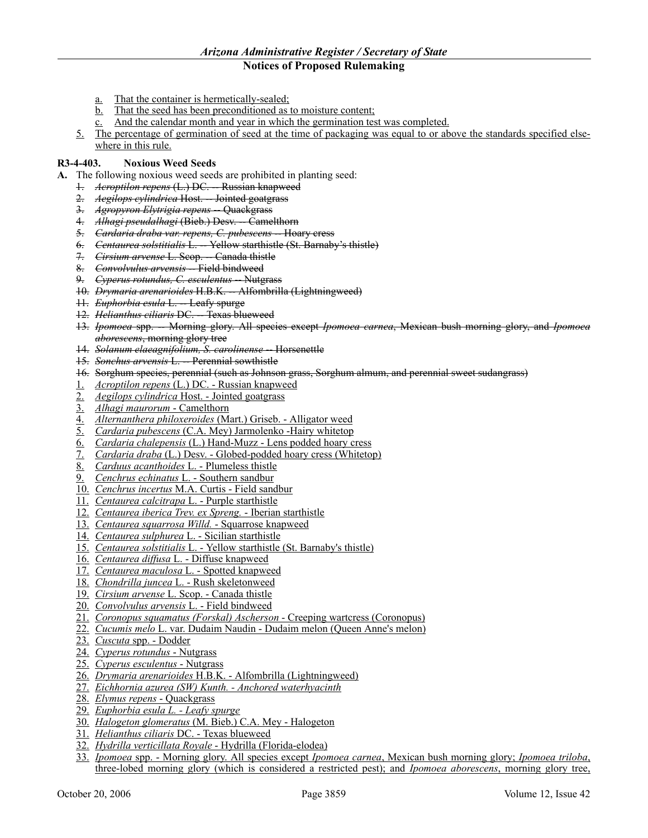### *Arizona Administrative Register / Secretary of State*

# **Notices of Proposed Rulemaking**

- a. That the container is hermetically-sealed;
- b. That the seed has been preconditioned as to moisture content;
- $\overline{c}$ . And the calendar month and year in which the germination test was completed.
- 5. The percentage of germination of seed at the time of packaging was equal to or above the standards specified elsewhere in this rule.

### **R3-4-403. Noxious Weed Seeds**

- **A.** The following noxious weed seeds are prohibited in planting seed:
	- 1. *Acroptilon repens* (L.) DC. -- Russian knapweed
	- 2. *Aegilops cylindrica* Host. Jointed goatgrass
	- 3. *Agropyron Elytrigia repens* -- Quackgrass
	- 4. *Alhagi pseudalhagi* (Bieb.) Desv. -- Camelthorn
	- 5. Cardaria draba var. repens, C. pubescens Hoary cress
	- 6. *Centaurea solstitialis* L. -- Yellow starthistle (St. Barnaby's thistle)
	- 7. *Cirsium arvense* L. Scop. -- Canada thistle
	- 8. *Convolvulus arvensis* Field bindweed
	- 9. *Cyperus rotundus, C. esculentus* -- Nutgrass
	- 10. *Drymaria arenarioides* H.B.K. -- Alfombrilla (Lightningweed)
	- 11. *Euphorbia esula* L. Leafy spurge
	- 12. *Helianthus ciliaris* DC. -- Texas blueweed
	- 13. *Ipomoea* spp. -- Morning glory. All species except *Ipomoea carnea*, Mexican bush morning glory, and *Ipomoea aborescens*, morning glory tree
	- 14. *Solanum elaeagnifolium, S. carolinense* -- Horsenettle
	- 15. *Sonchus arvensis* L. -- Perennial sowthistle
	- 16. Sorghum species, perennial (such as Johnson grass, Sorghum almum, and perennial sweet sudangrass)
	- 1. *Acroptilon repens* (L.) DC. Russian knapweed
	- 2. *Aegilops cylindrica* Host. Jointed goatgrass
	- 3. *Alhagi maurorum* Camelthorn
	- 4. *Alternanthera philoxeroides* (Mart.) Griseb. Alligator weed
	- 5. *Cardaria pubescens* (C.A. Mey) Jarmolenko -Hairy whitetop
	- 6. *Cardaria chalepensis* (L.) Hand-Muzz Lens podded hoary cress
	- 7. *Cardaria draba* (L.) Desv. Globed-podded hoary cress (Whitetop)
	- 8. *Carduus acanthoides* L. Plumeless thistle
	- 9. *Cenchrus echinatus* L. Southern sandbur
	- 10. *Cenchrus incertus* M.A. Curtis Field sandbur
	- 11. *Centaurea calcitrapa* L. Purple starthistle
	- 12. *Centaurea iberica Trev. ex Spreng.* Iberian starthistle
	- 13. *Centaurea squarrosa Willd.* Squarrose knapweed
	- 14. *Centaurea sulphurea* L. Sicilian starthistle
	- 15. *Centaurea solstitialis* L. Yellow starthistle (St. Barnaby's thistle)
	- 16. *Centaurea diffusa* L. Diffuse knapweed
	- 17. *Centaurea maculosa* L. Spotted knapweed
	- 18. *Chondrilla juncea* L. Rush skeletonweed
	- 19. *Cirsium arvense* L. Scop. Canada thistle
	- 20. *Convolvulus arvensis* L. Field bindweed
	- 21. *Coronopus squamatus (Forskal) Ascherson* Creeping wartcress (Coronopus)
	- 22. *Cucumis melo* L. var. Dudaim Naudin Dudaim melon (Queen Anne's melon)
	- 23. *Cuscuta* spp. Dodder
	- 24. *Cyperus rotundus* Nutgrass
	- 25. *Cyperus esculentus* Nutgrass
	- 26. *Drymaria arenarioides* H.B.K. Alfombrilla (Lightningweed)
	- 27. *Eichhornia azurea (SW) Kunth. Anchored waterhyacinth*
	- 28. *Elymus repens* Quackgrass
	- 29. *Euphorbia esula L. Leafy spurge*
	- 30. *Halogeton glomeratus* (M. Bieb.) C.A. Mey Halogeton
	- 31. *Helianthus ciliaris* DC. Texas blueweed
	- 32. *Hydrilla verticillata Royale* Hydrilla (Florida-elodea)
	- 33. *Ipomoea* spp. Morning glory. All species except *Ipomoea carnea*, Mexican bush morning glory; *Ipomoea triloba*, three-lobed morning glory (which is considered a restricted pest); and *Ipomoea aborescens*, morning glory tree,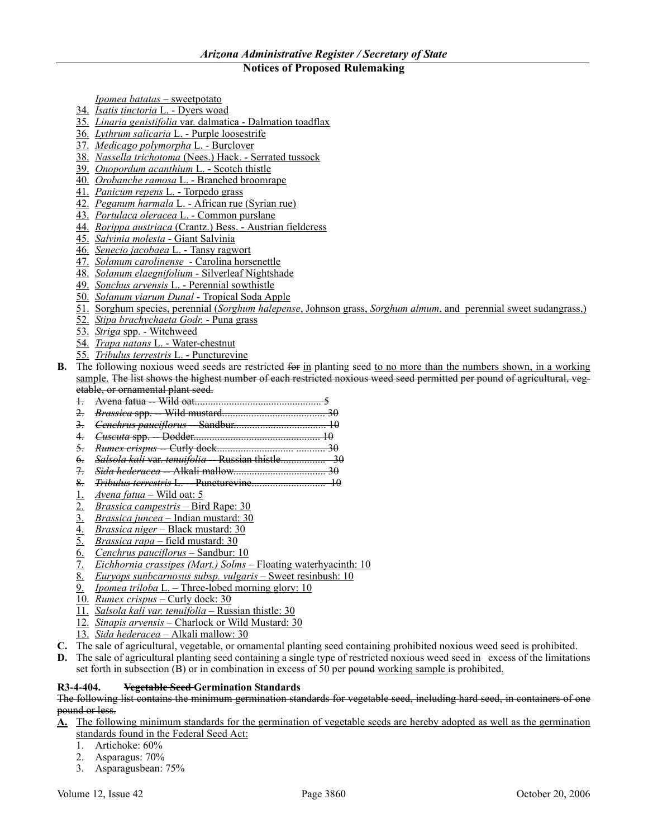*Ipomea batatas* – sweetpotato

- 34. *Isatis tinctoria* L. Dyers woad
- 35. *Linaria genistifolia* var. dalmatica Dalmation toadflax
- 36. *Lythrum salicaria* L. Purple loosestrife
- 37. *Medicago polymorpha* L. Burclover
- 38. *Nassella trichotoma* (Nees.) Hack. Serrated tussock
- 39. *Onopordum acanthium* L. Scotch thistle
- 40. *Orobanche ramosa* L. Branched broomrape
- 41. *Panicum repens* L. Torpedo grass
- 42. *Peganum harmala* L. African rue (Syrian rue)
- 43. *Portulaca oleracea* L. Common purslane
- 44. *Rorippa austriaca* (Crantz.) Bess. Austrian fieldcress
- 45. *Salvinia molesta* Giant Salvinia
- 46. *Senecio jacobaea* L. Tansy ragwort
- 47. *Solanum carolinense* Carolina horsenettle
- 48. *Solanum elaegnifolium* Silverleaf Nightshade
- 49. *Sonchus arvensis* L. Perennial sowthistle
- 50. *Solanum viarum Dunal* Tropical Soda Apple
- 51. Sorghum species, perennial (*Sorghum halepense*, Johnson grass, *Sorghum almum*, and perennial sweet sudangrass,)
- 52. *Stipa brachychaeta Godr.* Puna grass
- 53. *Striga* spp. Witchweed
- 54. *Trapa natans* L. Water-chestnut
- 55. *Tribulus terrestris* L. Puncturevine
- **B.** The following noxious weed seeds are restricted for in planting seed to no more than the numbers shown, in a working sample. The list shows the highest number of each restricted noxious weed seed permitted per pound of agricultural, vegetable, or ornamental plant seed.
	- 1. Avena fatua -- Wild oat................................................ 5
	- 2. *Brassica* spp. -- Wild mustard....................................... 30
	- 3. *Cenchrus pauciflorus* -- Sandbur................................... 10
	- 4. *Cuscuta* spp. -- Dodder................................................ 10
	- 5. *Rumex crispus* -- Curly dock............................. ........... 30
	- 6. *Salsola kali* var. *tenuifolia* -- Russian thistle................. 30
	- 7. *Sida hederacea* -- Alkali mallow................................... 30 8. *Tribulus terrestris* L. -- Puncturevine............................ 10
	- 1. *Avena fatua* Wild oat: 5
	- 2. *Brassica campestris* Bird Rape: 30
	- 3. *Brassica juncea* Indian mustard: 30
	-
	- 4. *Brassica niger* Black mustard: 30 5. *Brassica rapa* – field mustard: 30
	- 6. *Cenchrus pauciflorus* Sandbur: 10
	- 7. *Eichhornia crassipes (Mart.) Solms* Floating waterhyacinth: 10
	- 8. *Euryops sunbcarnosus subsp. vulgaris* Sweet resinbush: 10
	- 9. *Ipomea triloba* L. Three-lobed morning glory: 10
	- 10. *Rumex crispus* Curly dock: 30
	- 11. *Salsola kali var. tenuifolia* Russian thistle: 30
	- 12. *Sinapis arvensis* Charlock or Wild Mustard: 30
	- 13. *Sida hederacea* Alkali mallow: 30
- **C.** The sale of agricultural, vegetable, or ornamental planting seed containing prohibited noxious weed seed is prohibited.
- **D.** The sale of agricultural planting seed containing a single type of restricted noxious weed seed in excess of the limitations set forth in subsection (B) or in combination in excess of 50 per pound working sample is prohibited.

### **R3-4-404. Vegetable Seed Germination Standards**

The following list contains the minimum germination standards for vegetable seed, including hard seed, in containers of one pound or less.

- **A.** The following minimum standards for the germination of vegetable seeds are hereby adopted as well as the germination standards found in the Federal Seed Act:
	- 1. Artichoke: 60%
	- 2. Asparagus: 70%
	- 3. Asparagusbean: 75%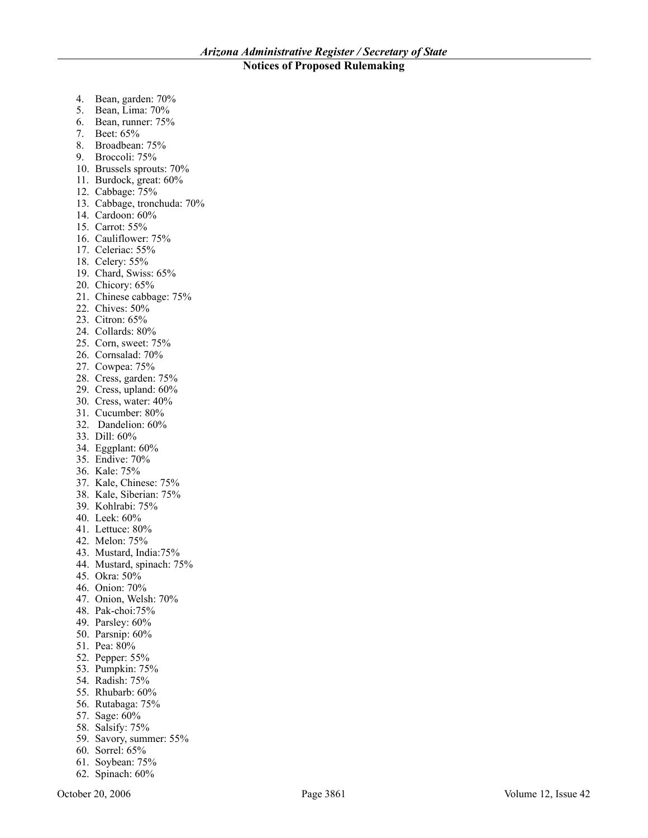- 4. Bean, garden: 70%
- 5. Bean, Lima: 70%
- 6. Bean, runner: 75%
- 7. Beet: 65%
- 8. Broadbean: 75%
- 9. Broccoli: 75%
- 10. Brussels sprouts: 70%
- 11. Burdock, great: 60%
- 12. Cabbage: 75%
- 13. Cabbage, tronchuda: 70%
- 14. Cardoon: 60%
- 15. Carrot: 55%
- 16. Cauliflower: 75%
- 17. Celeriac: 55%
- 18. Celery: 55%
- 19. Chard, Swiss: 65%
- 20. Chicory: 65%
- 21. Chinese cabbage: 75%
- 22. Chives: 50%
- 23. Citron: 65%
- 24. Collards: 80%
- 25. Corn, sweet: 75%
- 26. Cornsalad: 70%
- 27. Cowpea: 75%
- 28. Cress, garden: 75%
- 29. Cress, upland: 60%
- 30. Cress, water: 40%
- 31. Cucumber: 80%
- 32. Dandelion: 60%
- 33. Dill: 60%
- 34. Eggplant: 60%
- 35. Endive: 70%
- 36. Kale: 75%
- 37. Kale, Chinese: 75%
- 38. Kale, Siberian: 75%
- 39. Kohlrabi: 75%
- 40. Leek: 60%
- 41. Lettuce: 80%
- 42. Melon: 75%
- 43. Mustard, India:75%
- 44. Mustard, spinach: 75%
- 45. Okra: 50%
- 46. Onion: 70%
- 47. Onion, Welsh: 70%
- 48. Pak-choi:75%
- 49. Parsley: 60%
- 50. Parsnip: 60%
- 51. Pea: 80%
- 52. Pepper: 55%
- 53. Pumpkin: 75%
- 54. Radish: 75%
- 55. Rhubarb: 60%
- 56. Rutabaga: 75%
- 57. Sage: 60%
- 
- 58. Salsify: 75%
- 59. Savory, summer: 55%
- 60. Sorrel: 65%
- 61. Soybean: 75%
- 62. Spinach: 60%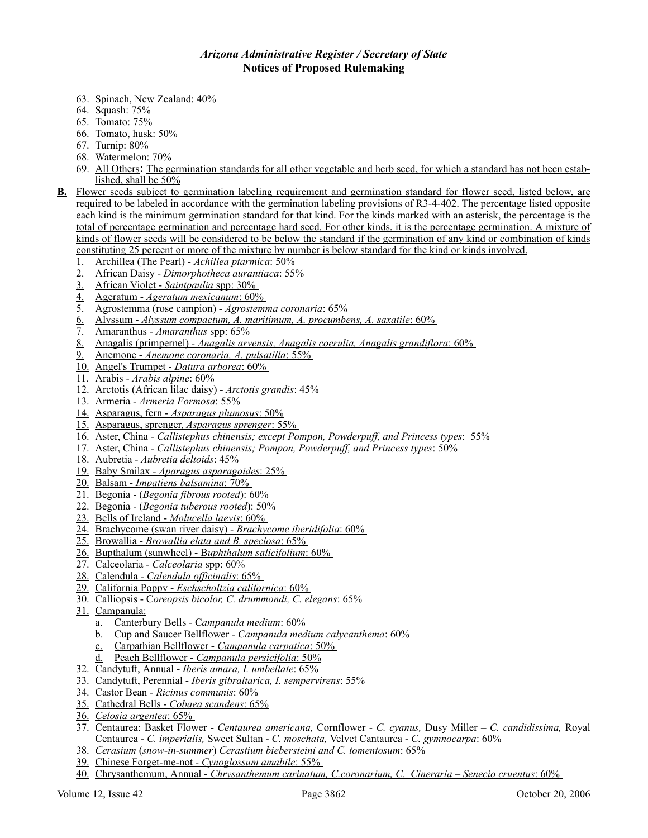- 63. Spinach, New Zealand: 40%
- 64. Squash: 75%
- 65. Tomato: 75%
- 66. Tomato, husk: 50%
- 67. Turnip: 80%
- 68. Watermelon: 70%
- 69. All Others: The germination standards for all other vegetable and herb seed, for which a standard has not been established, shall be 50%
- **B.** Flower seeds subject to germination labeling requirement and germination standard for flower seed, listed below, are required to be labeled in accordance with the germination labeling provisions of R3-4-402. The percentage listed opposite each kind is the minimum germination standard for that kind. For the kinds marked with an asterisk, the percentage is the total of percentage germination and percentage hard seed. For other kinds, it is the percentage germination. A mixture of kinds of flower seeds will be considered to be below the standard if the germination of any kind or combination of kinds constituting 25 percent or more of the mixture by number is below standard for the kind or kinds involved.
	- 1. Archillea (The Pearl) *Achillea ptarmica*: 50%
	- 2. African Daisy *Dimorphotheca aurantiaca*: 55%
	- 3. African Violet *Saintpaulia* spp: 30%
	- 4. Ageratum *Ageratum mexicanum*: 60%
	- 5. Agrostemma (rose campion) *Agrostemma coronaria*: 65%
	- 6. Alyssum *Alyssum compactum, A. maritimum, A. procumbens, A. saxatile*: 60%
	- 7. Amaranthus *Amaranthus* spp: 65%
	- 8. Anagalis (primpernel) *Anagalis arvensis, Anagalis coerulia, Anagalis grandiflora*: 60%
	- 9. Anemone *Anemone coronaria, A. pulsatilla*: 55%
	- 10. Angel's Trumpet *Datura arborea*: 60%
	- 11. Arabis *Arabis alpine*: 60%
	- 12. Arctotis (African lilac daisy) *Arctotis grandis*: 45%
	- 13. Armeria *Armeria Formosa*: 55%
	- 14. Asparagus, fern *Asparagus plumosus*: 50%
	- 15. Asparagus, sprenger, *Asparagus sprenger*: 55%
	- 16. Aster, China *Callistephus chinensis; except Pompon, Powderpuff, and Princess types*: 55%
	- 17. Aster, China *Callistephus chinensis; Pompon, Powderpuff, and Princess types*: 50%
	- 18. Aubretia *Aubretia deltoids*: 45%
	- 19. Baby Smilax *Aparagus asparagoides*: 25%
	- 20. Balsam *Impatiens balsamina*: 70%
	- 21. Begonia (*Begonia fibrous rooted*): 60%
	- 22. Begonia (*Begonia tuberous rooted*): 50%
	- 23. Bells of Ireland *Molucella laevis*: 60%
	- 24. Brachycome (swan river daisy) *Brachycome iberidifolia*: 60%
	- 25. Browallia *Browallia elata and B. speciosa*: 65%
	- 26. Bupthalum (sunwheel) B*uphthalum salicifolium*: 60%
	- 27. Calceolaria *Calceolaria* spp: 60%
	- 28. Calendula *Calendula officinalis*: 65%
	- 29. California Poppy *Eschscholtzia californica*: 60%
	- 30. Calliopsis C*oreopsis bicolor, C. drummondi, C. elegans*: 65%
	- 31. Campanula:
		- a. Canterbury Bells C*ampanula medium*: 60%
		- b. Cup and Saucer Bellflower *Campanula medium calycanthema*: 60%
		- c. Carpathian Bellflower *Campanula carpatica*: 50%
		- d. Peach Bellflower *Campanula persicifolia*: 50%
	- 32. Candytuft, Annual *Iberis amara, I. umbellate*: 65%
	- 33. Candytuft, Perennial *Iberis gibraltarica, I. sempervirens*: 55%
	- 34. Castor Bean *Ricinus communis*: 60%
	- 35. Cathedral Bells *Cobaea scandens*: 65%
	- 36. *Celosia argentea*: 65%
	- 37. Centaurea: Basket Flower *Centaurea americana,* Cornflower *C. cyanus,* Dusy Miller *C. candidissima,* Royal Centaurea *- C. imperialis,* Sweet Sultan *- C. moschata,* Velvet Cantaurea *- C. gymnocarpa*: 60%
	- 38. *Cerasium* (*snow-in-summer*) *Cerastium biebersteini and C. tomentosum*: 65%
	- 39. Chinese Forget-me-not *Cynoglossum amabile*: 55%
	- 40. Chrysanthemum, Annual *Chrysanthemum carinatum, C.coronarium, C. Cineraria Senecio cruentus*: 60%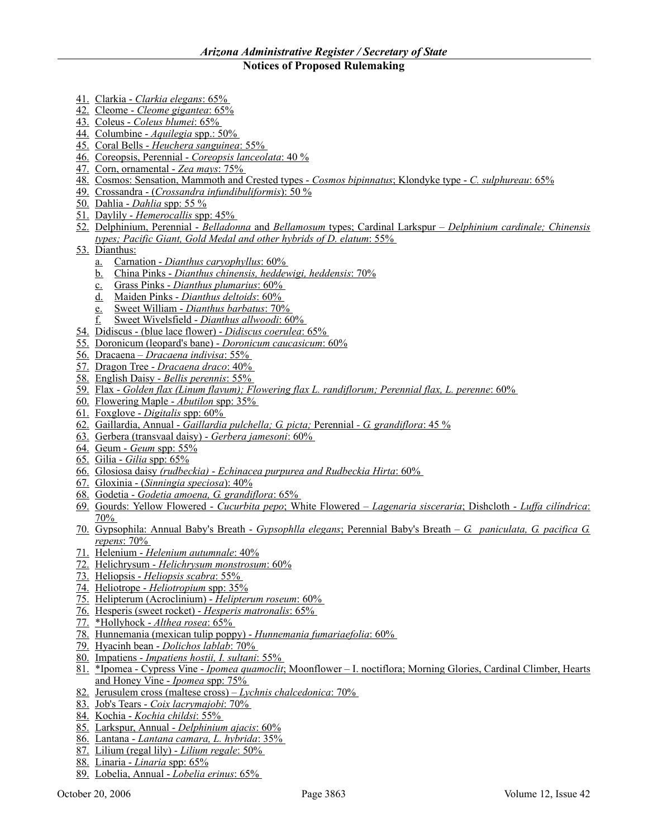- 41. Clarkia *Clarkia elegans*: 65%
- 42. Cleome *Cleome gigantea*: 65%
- 43. Coleus *Coleus blumei*: 65%
- 44. Columbine *Aquilegia* spp.: 50%
- 45. Coral Bells *Heuchera sanguinea*: 55%
- 46. Coreopsis, Perennial *Coreopsis lanceolata*: 40 %
- 47. Corn, ornamental *Zea mays*: 75%
- 48. Cosmos: Sensation, Mammoth and Crested types *Cosmos bipinnatus*; Klondyke type *C. sulphureau*: 65%
- 49. Crossandra (*Crossandra infundibuliformis*): 50 %
- 50. Dahlia *Dahlia* spp: 55 %
- 51. Daylily *Hemerocallis* spp: 45%
- 52. Delphinium, Perennial *Belladonna* and *Bellamosum* types; Cardinal Larkspur *Delphinium cardinale; Chinensis types; Pacific Giant, Gold Medal and other hybrids of D. elatum*: 55%
- 53. Dianthus:
	- a. Carnation *Dianthus caryophyllus*: 60%
	- b. China Pinks *Dianthus chinensis, heddewigi, heddensis*: 70%
	- c. Grass Pinks *Dianthus plumarius*: 60%
	- d. Maiden Pinks *Dianthus deltoids*: 60%
	- e. Sweet William *Dianthus barbatus*: 70%
	- f. Sweet Wivelsfield *Dianthus allwoodi*: 60%
- 54. Didiscus (blue lace flower) *Didiscus coerulea*: 65%
- 55. Doronicum (leopard's bane) *Doronicum caucasicum*: 60%
- 56. Dracaena *Dracaena indivisa*: 55%
- 57. Dragon Tree *Dracaena draco*: 40%
- 58. English Daisy *Bellis perennis*: 55%
- 59. Flax *Golden flax (Linum flavum); Flowering flax L. randiflorum; Perennial flax, L. perenne*: 60%
- 60. Flowering Maple *Abutilon* spp: 35%
- 61. Foxglove *Digitalis* spp: 60%
- 62. Gaillardia, Annual *Gaillardia pulchella; G. picta;* Perennial *G. grandiflora*: 45 %
- 63. Gerbera (transvaal daisy) *Gerbera jamesoni*: 60%
- 64. Geum *Geum* spp: 55%
- 65. Gilia *Gilia* spp: 65%
- 66. Glosiosa daisy *(rudbeckia) Echinacea purpurea and Rudbeckia Hirta*: 60%
- 67. Gloxinia (*Sinningia speciosa*): 40%
- 68. Godetia *Godetia amoena, G. grandiflora*: 65%
- 69. Gourds: Yellow Flowered *Cucurbita pepo*; White Flowered *Lagenaria sisceraria*; Dishcloth *Luffa cilíndrica*: 70%
- 70. Gypsophila: Annual Baby's Breath *Gypsophlla elegans*; Perennial Baby's Breath *G. paniculata, G. pacifica G. repens*: 70%
- 71. Helenium *Helenium autumnale*: 40%
- 72. Helichrysum *Helichrysum monstrosum*: 60%
- 73. Heliopsis *Heliopsis scabra*: 55%
- 74. Heliotrope *Heliotropium* spp: 35%
- 75. Helipterum (Acroclinium) *Helipterum roseum*: 60%
- 76. Hesperis (sweet rocket) *Hesperis matronalis*: 65%
- 77. \*Hollyhock *Althea rosea*: 65%
- 78. Hunnemania (mexican tulip poppy) *Hunnemania fumariaefolia*: 60%
- 79. Hyacinh bean *Dolichos lablab*: 70%
- 80. Impatiens *Impatiens hostii, I. sultani*: 55%
- 81. \*Ipomea Cypress Vine *Ipomea quamoclit*; Moonflower I. noctiflora; Morning Glories, Cardinal Climber, Hearts and Honey Vine - *Ipomea* spp: 75%
- 82. Jerusulem cross (maltese cross) *Lychnis chalcedonica*: 70%
- 83. Job's Tears *Coix lacrymajobi*: 70%
- 84. Kochia *Kochia childsi*: 55%
- 85. Larkspur, Annual *Delphinium ajacis*: 60%
- 86. Lantana *Lantana camara, L. hybrida*: 35%
- 87. Lilium (regal lily) *Lilium regale*: 50%
- 88. Linaria *Linaria* spp: 65%
- 89. Lobelia, Annual *Lobelia erinus*: 65%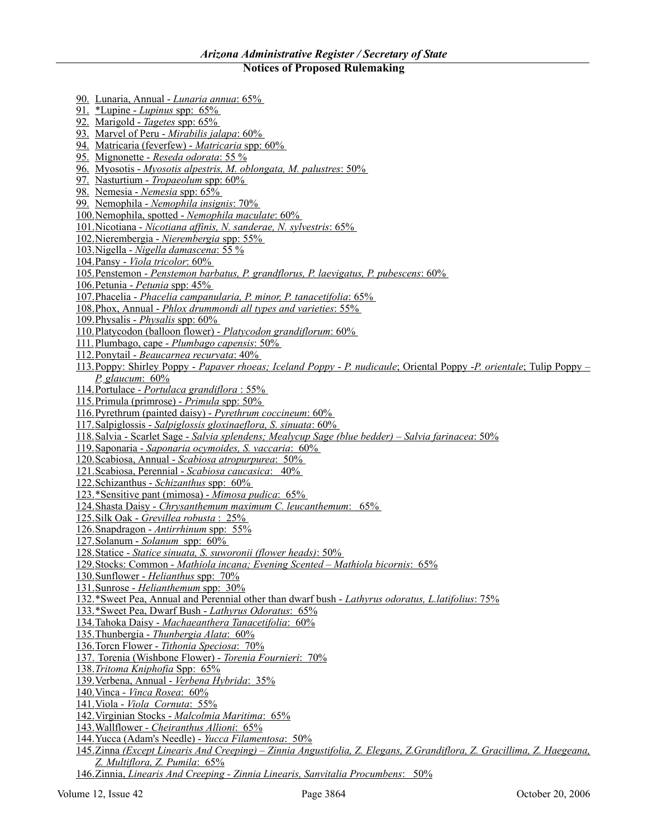90. Lunaria, Annual - *Lunaria annua*: 65% 91. \*Lupine - *Lupinus* spp: 65% 92. Marigold - *Tagetes* spp: 65% 93. Marvel of Peru - *Mirabilis jalapa*: 60% 94. Matricaria (feverfew) - *Matricaria* spp: 60% 95. Mignonette - *Reseda odorata*: 55 % 96. Myosotis - *Myosotis alpestris, M. oblongata, M. palustres*: 50% 97. Nasturtium - *Tropaeolum* spp: 60% 98. Nemesia - *Nemesia* spp: 65% 99. Nemophila - *Nemophila insignis*: 70% 100.Nemophila, spotted - *Nemophila maculate*: 60% 101.Nicotiana - *Nicotiana affinis, N. sanderae, N. sylvestris*: 65% 102.Nierembergia - *Nierembergia* spp: 55% 103.Nigella - *Nigella damascena*: 55 % 104.Pansy - *Viola tricolor*: 60% 105.Penstemon - *Penstemon barbatus, P. grandflorus, P. laevigatus, P. pubescens*: 60% 106.Petunia - *Petunia* spp: 45% 107.Phacelia - *Phacelia campanularia, P. minor, P. tanacetifolia*: 65% 108.Phox, Annual - *Phlox drummondi all types and varieties*: 55% 109.Physalis - *Physalis* spp: 60% 110.Platycodon (balloon flower) - *Platycodon grandiflorum*: 60% 111.Plumbago, cape - *Plumbago capensis*: 50% 112.Ponytail - *Beaucarnea recurvata*: 40% 113.Poppy: Shirley Poppy - *Papaver rhoeas; Iceland Poppy* - *P. nudicaule*; Oriental Poppy -*P. orientale*; Tulip Poppy – *P. glaucum*: 60% 114.Portulace - *Portulaca grandiflora* : 55% 115.Primula (primrose) - *Primula* spp: 50% 116.Pyrethrum (painted daisy) - *Pyrethrum coccineum*: 60% 117.Salpiglossis - *Salpiglossis gloxinaeflora, S. sinuata*: 60% 118.Salvia - Scarlet Sage - *Salvia splendens; Mealycup Sage (blue bedder) – Salvia farinacea*: 50% 119.Saponaria - *Saponaria ocymoides, S. vaccaria*: 60% 120.Scabiosa, Annual - *Scabiosa atropurpurea*: 50% 121.Scabiosa, Perennial - *Scabiosa caucasica*: 40% 122.Schizanthus - *Schizanthus* spp: 60% 123.\*Sensitive pant (mimosa) - *Mimosa pudica*: 65% 124.Shasta Daisy - *Chrysanthemum maximum C. leucanthemum*: 65% 125.Silk Oak - *Grevillea robusta* : 25% 126.Snapdragon - *Antirrhinum* spp: 55% 127.Solanum - *Solanum* spp: 60% 128.Statice - *Statice sinuata, S. suworonii (flower heads)*: 50% 129.Stocks: Common - *Mathiola incana; Evening Scented – Mathiola bicornis*: 65% 130.Sunflower - *Helianthus* spp: 70% 131.Sunrose - *Helianthemum* spp: 30% 132.\*Sweet Pea, Annual and Perennial other than dwarf bush - *Lathyrus odoratus, L.latifolius*: 75% 133.\*Sweet Pea, Dwarf Bush - *Lathyrus Odoratus*: 65% 134.Tahoka Daisy - *Machaeanthera Tanacetifolia*: 60% 135.Thunbergia - *Thunbergia Alata*: 60% 136.Torcn Flower - *Tithonia Speciosa*: 70% 137. Torenia (Wishbone Flower) - *Torenia Fournieri*: 70% 138.*Tritoma Kniphofia* Spp: 65% 139.Verbena, Annual - *Verbena Hybrida*: 35% 140.Vinca - *Vinca Rosea*: 60% 141.Viola - *Viola Cornuta*: 55% 142.Virginian Stocks - *Malcolmia Maritima*: 65% 143.Wallflower - *Cheiranthus Allioni*: 65% 144.Yucca (Adam's Needle) - *Yucca Filamentosa*: 50% 145.Zinna *(Except Linearis And Creeping) – Zinnia Angustifolia, Z. Elegans, Z.Grandiflora, Z. Gracillima, Z. Haegeana, Z. Multiflora, Z. Pumila*: 65% 146.Zinnia, *Linearis And Creeping - Zinnia Linearis, Sanvitalia Procumbens*: 50%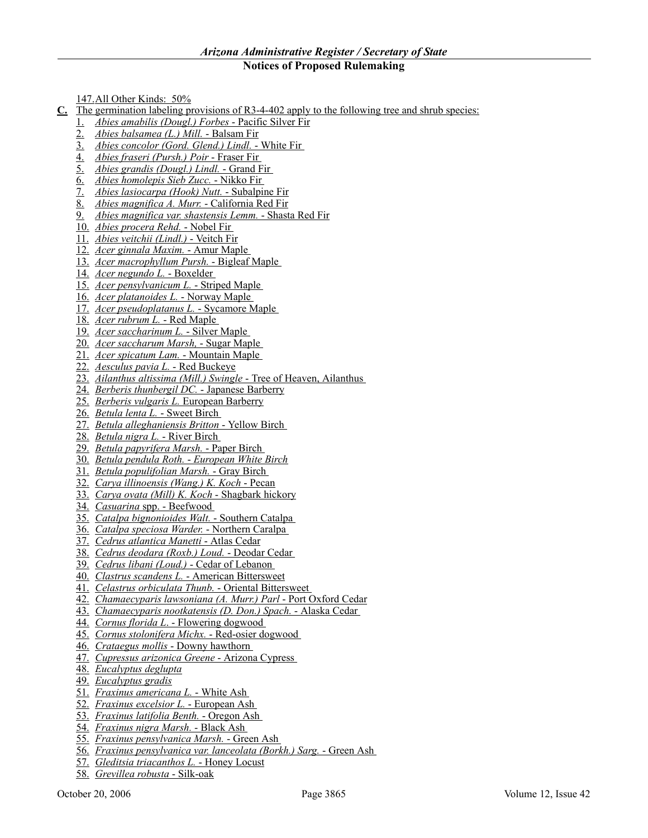147.All Other Kinds: 50%

- **C.** The germination labeling provisions of R3-4-402 apply to the following tree and shrub species:
	- 1. *Abies amabilis (Dougl.) Forbes* Pacific Silver Fir
	- 2. *Abies balsamea (L.) Mill.* Balsam Fir
	- 3. *Abies concolor (Gord. Glend.) Lindl.* White Fir
	- 4. *Abies fraseri (Pursh.) Poir* Fraser Fir
	- 5. *Abies grandis (Dougl.) Lindl.* Grand Fir
	- 6. *Abies homolepis Sieb Zucc.* Nikko Fir
	- 7. *Abies lasiocarpa (Hook) Nutt.* Subalpine Fir
	- 8. *Abies magnifica A. Murr.* California Red Fir
	- 9. *Abies magnifica var. shastensis Lemm.* Shasta Red Fir
	- 10. *Abies procera Rehd.* Nobel Fir
	- 11. *Abies veitchii (Lindl.)* Veitch Fir
	- 12. *Acer ginnala Maxim.* Amur Maple
	- 13. *Acer macrophyllum Pursh.* Bigleaf Maple
	- 14. *Acer negundo L.* Boxelder
	- 15. *Acer pensylvanicum L.* Striped Maple
	- 16. *Acer platanoides L.* Norway Maple
	- 17. *Acer pseudoplatanus L.* Sycamore Maple
	- 18. *Acer rubrum L.* Red Maple
	- 19. *Acer saccharinum L.* Silver Maple
	- 20. *Acer saccharum Marsh,* Sugar Maple
	- 21. *Acer spicatum Lam.* Mountain Maple
	- 22. *Aesculus pavia L.* Red Buckeye
	- 23. *Ailanthus altissima (Mill.) Swingle* Tree of Heaven, Ailanthus
	- 24. *Berberis thunbergil DC.* Japanese Barberry
	- 25. *Berberis vulgaris L.* European Barberry
	- 26. *Betula lenta L.* Sweet Birch
	- 27. *Betula alleghaniensis Britton* Yellow Birch
	- 28. *Betula nigra L.* River Birch
	- 29. *Betula papyrifera Marsh.* Paper Birch
	- 30. *Betula pendula Roth. European White Birch*
	- 31. *Betula populifolian Marsh.* Gray Birch
	- 32. *Carya illinoensis (Wang.) K. Koch* Pecan
	- 33. *Carya ovata (Mill) K. Koch* Shagbark hickory
	- 34. *Casuarina* spp. Beefwood
	- 35. *Catalpa bignonioides Walt.* Southern Catalpa
	- 36. *Catalpa speciosa Warder.* Northern Caralpa
	- 37. *Cedrus atlantica Manetti* Atlas Cedar
	- 38. *Cedrus deodara (Roxb.) Loud.* Deodar Cedar
	- 39. *Cedrus libani (Loud.)* Cedar of Lebanon
	- 40. *Clastrus scandens L.* American Bittersweet
	- 41. *Celastrus orbiculata Thunb.* Oriental Bittersweet
	- 42. *Chamaecyparis lawsoniana (A. Murr.) Parl* Port Oxford Cedar
	- 43. *Chamaecyparis nootkatensis (D. Don.) Spach.* Alaska Cedar
	- 44. *Cornus florida L*. Flowering dogwood
	- 45. *Cornus stolonifera Michx.* Red-osier dogwood
	- 46. *Crataegus mollis* Downy hawthorn
	- 47. *Cupressus arizonica Greene* Arizona Cypress
	- 48. *Eucalyptus deglupta*
	- 49. *Eucalyptus gradis*
	- 51. *Fraxinus americana L.* White Ash
	- 52. *Fraxinus excelsior L.* European Ash
	- 53. *Fraxinus latifolia Benth.* Oregon Ash
	- 54. *Fraxinus nigra Marsh.* Black Ash
	- 55. *Fraxinus pensylvanica Marsh.* Green Ash
	- 56. *Fraxinus pensylvanica var. lanceolata (Borkh.) Sarg.* Green Ash
	- 57. *Gleditsia triacanthos L.* Honey Locust
	- 58. *Grevillea robusta* Silk-oak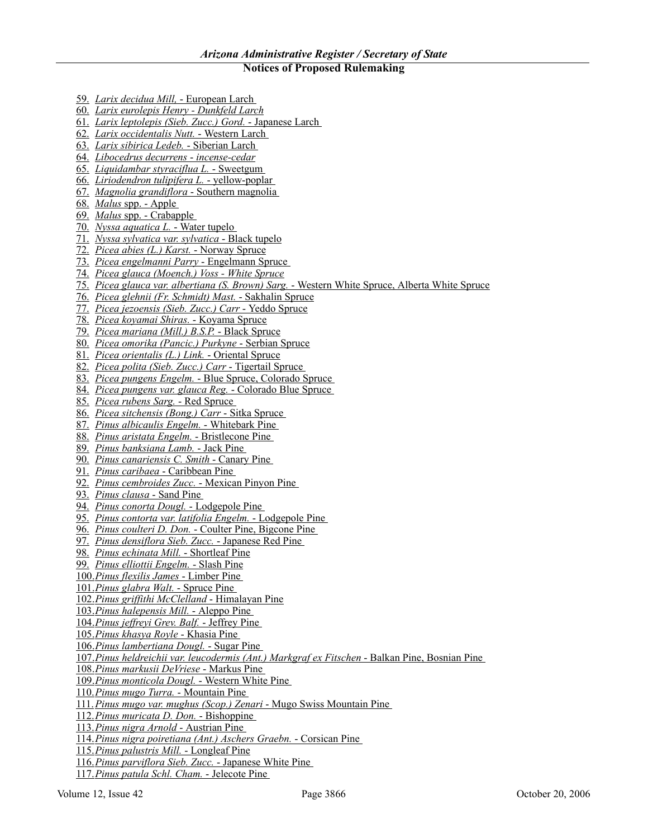- 59. *Larix decidua Mill,* European Larch
- 60. *Larix eurolepis Henry Dunkfeld Larch*
- 61. *Larix leptolepis (Sieb. Zucc.) Gord.* Japanese Larch
- 62. *Larix occidentalis Nutt.* Western Larch
- 63. *Larix sibirica Ledeb.* Siberian Larch
- 64. *Libocedrus decurrens incense-cedar*
- 65. *Liquidambar styraciflua L.* Sweetgum
- 66. *Liriodendron tulipifera L.* yellow-poplar
- 67. *Magnolia grandiflora* Southern magnolia
- 68. *Malus* spp. Apple
- 69. *Malus* spp. Crabapple
- 70. *Nyssa aquatica L.* Water tupelo
- 71. *Nyssa sylvatica var. sylvatica* Black tupelo
- 72. *Picea abies (L.) Karst.* Norway Spruce
- 73. *Picea engelmanni Parry* Engelmann Spruce
- 74. *Picea glauca (Moench.) Voss White Spruce*
- 75. *Picea glauca var. albertiana (S. Brown) Sarg.* Western White Spruce, Alberta White Spruce
- 76. *Picea glehnii (Fr. Schmidt) Mast.* Sakhalin Spruce
- 77. *Picea jezoensis (Sieb. Zucc.) Carr* Yeddo Spruce
- 78. *Picea koyamai Shiras.* Koyama Spruce
- 79. *Picea mariana (Mill.) B.S.P.* Black Spruce
- 80. *Picea omorika (Pancic.) Purkyne* Serbian Spruce
- 81. *Picea orientalis (L.) Link.* Oriental Spruce
- 82. *Picea polita (Sieb. Zucc.) Carr* Tigertail Spruce
- 83. *Picea pungens Engelm.* Blue Spruce, Colorado Spruce
- 84. *Picea pungens var. glauca Reg.* Colorado Blue Spruce
- 85. *Picea rubens Sarg.* Red Spruce
- 86. *Picea sitchensis (Bong.) Carr* Sitka Spruce
- 87. *Pinus albicaulis Engelm.* Whitebark Pine
- 88. *Pinus aristata Engelm.* Bristlecone Pine
- 89. *Pinus banksiana Lamb.* Jack Pine
- 90. *Pinus canariensis C. Smith* Canary Pine
- 91. *Pinus caribaea* Caribbean Pine
- 92. *Pinus cembroides Zucc.* Mexican Pinyon Pine
- 93. *Pinus clausa* Sand Pine
- 94. *Pinus conorta Dougl.* Lodgepole Pine
- 95. *Pinus contorta var. latifolia Engelm.* Lodgepole Pine
- 96. *Pinus coulteri D. Don.* Coulter Pine, Bigcone Pine
- 97. *Pinus densiflora Sieb. Zucc.* Japanese Red Pine
- 98. *Pinus echinata Mill.* Shortleaf Pine
- 99. *Pinus elliottii Engelm.* Slash Pine
- 100.*Pinus flexilis James* Limber Pine
- 101.*Pinus glabra Walt.* Spruce Pine
- 102.*Pinus griffithi McClelland* Himalayan Pine
- 103.*Pinus halepensis Mill.* Aleppo Pine
- 104.*Pinus jeffreyi Grev. Balf.* Jeffrey Pine
- 105.*Pinus khasya Royle* Khasia Pine
- 106.*Pinus lambertiana Dougl.* Sugar Pine
- 107.*Pinus heldreichii var. leucodermis (Ant.) Markgraf ex Fitschen* Balkan Pine, Bosnian Pine
- 108.*Pinus markusii DeVriese* Markus Pine
- 109.*Pinus monticola Dougl.* Western White Pine
- 110.*Pinus mugo Turra.* Mountain Pine
- 111.*Pinus mugo var. mughus (Scop.) Zenari* Mugo Swiss Mountain Pine
- 112.*Pinus muricata D. Don.* Bishoppine
- 113.*Pinus nigra Arnold*  Austrian Pine
- 114.*Pinus nigra poiretiana (Ant.) Aschers Graebn.* Corsican Pine
- 115.*Pinus palustris Mill.* Longleaf Pine
- 116.*Pinus parviflora Sieb. Zucc.* Japanese White Pine
- 117.*Pinus patula Schl. Cham.* Jelecote Pine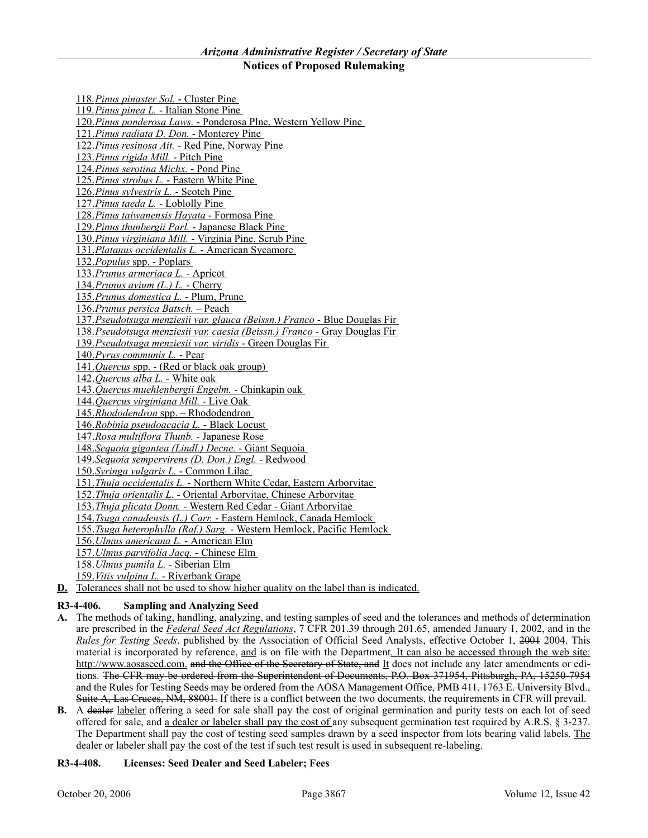118.*Pinus pinaster Sol.* - Cluster Pine 119.*Pinus pinea L.* - Italian Stone Pine 120.*Pinus ponderosa Laws.* - Ponderosa Plne, Western Yellow Pine 121.*Pinus radiata D. Don.* - Monterey Pine 122.*Pinus resinosa Ait.* - Red Pine, Norway Pine 123.*Pinus rigida Mill.* - Pitch Pine 124.*Pinus serotina Michx.* - Pond Pine 125.*Pinus strobus L.* - Eastern White Pine 126.*Pinus sylvestris L.* - Scotch Pine 127.*Pinus taeda L.* - Loblolly Pine 128.*Pinus taiwanensis Hayata* - Formosa Pine 129.*Pinus thunbergii Parl.* - Japanese Black Pine 130.*Pinus virginiana Mill.* - Virginia Pine, Scrub Pine 131.*Platanus occidentalis L.* - American Sycamore 132.*Populus* spp. - Poplars 133.*Prunus armeriaca L.* - Apricot 134.*Prunus avium (L.) L.* - Cherry 135.*Prunus domestica L.* - Plum, Prune 136.*Prunus persica Batsch.* – Peach 137.*Pseudotsuga menziesii var. glauca (Beissn.) Franco* - Blue Douglas Fir 138.*Pseudotsuga menziesii var. caesia (Beissn.) Franco* - Gray Douglas Fir 139.*Pseudotsuga menziesii var. viridis* - Green Douglas Fir 140.*Pyrus communis L.* - Pear 141.*Quercus* spp. - (Red or black oak group) 142.*Quercus alba L.* - White oak 143.*Quercus muehlenbergii Engelm.* - Chinkapin oak 144.*Quercus virginiana Mill.* - Live Oak 145.*Rhododendron* spp. – Rhododendron 146.*Robinia pseudoacacia L.* - Black Locust 147.*Rosa multiflora Thunb.* - Japanese Rose 148.*Sequoia gigantea (Lindl.) Decne.* - Giant Sequoia 149.*Sequoia sempervirens (D. Don.) Engl.* - Redwood 150.*Syringa vulgaris L.* - Common Lilac 151.*Thuja occidentalis L.* - Northern White Cedar, Eastern Arborvitae 152.*Thuja orientalis L.* - Oriental Arborvitae, Chinese Arborvitae 153.*Thuja plicata Donn.* - Western Red Cedar - Giant Arborvitae 154.*Tsuga canadensis (L.) Carr.* - Eastern Hemlock, Canada Hemlock 155.*Tsuga heterophylla (Raf.) Sarg.* - Western Hemlock, Pacific Hemlock 156.*Ulmus americana L.* - American Elm 157.*Ulmus parvifolia Jacq.* - Chinese Elm 158.*Ulmus pumila L.* - Siberian Elm

159.*Vitis vulpina L.* - Riverbank Grape

**D.** Tolerances shall not be used to show higher quality on the label than is indicated.

### **R3-4-406. Sampling and Analyzing Seed**

- **A.** The methods of taking, handling, analyzing, and testing samples of seed and the tolerances and methods of determination are prescribed in the *Federal Seed Act Regulations*, 7 CFR 201.39 through 201.65, amended January 1, 2002, and in the *Rules for Testing Seeds*, published by the Association of Official Seed Analysts, effective October 1, 2004 2004. This material is incorporated by reference, and is on file with the Department. It can also be accessed through the web site: http://www.aosaseed.com. and the Office of the Secretary of State, and It does not include any later amendments or editions. The CFR may be ordered from the Superintendent of Documents, P.O. Box 371954, Pittsburgh, PA, 15250-7954 and the Rules for Testing Seeds may be ordered from the AOSA Management Office, PMB 411, 1763 E. University Blvd., Suite A, Las Cruces, NM, 88001. If there is a conflict between the two documents, the requirements in CFR will prevail.
- **B.** A dealer labeler offering a seed for sale shall pay the cost of original germination and purity tests on each lot of seed offered for sale, and a dealer or labeler shall pay the cost of any subsequent germination test required by A.R.S. § 3-237. The Department shall pay the cost of testing seed samples drawn by a seed inspector from lots bearing valid labels. The dealer or labeler shall pay the cost of the test if such test result is used in subsequent re-labeling.

### **R3-4-408. Licenses: Seed Dealer and Seed Labeler; Fees**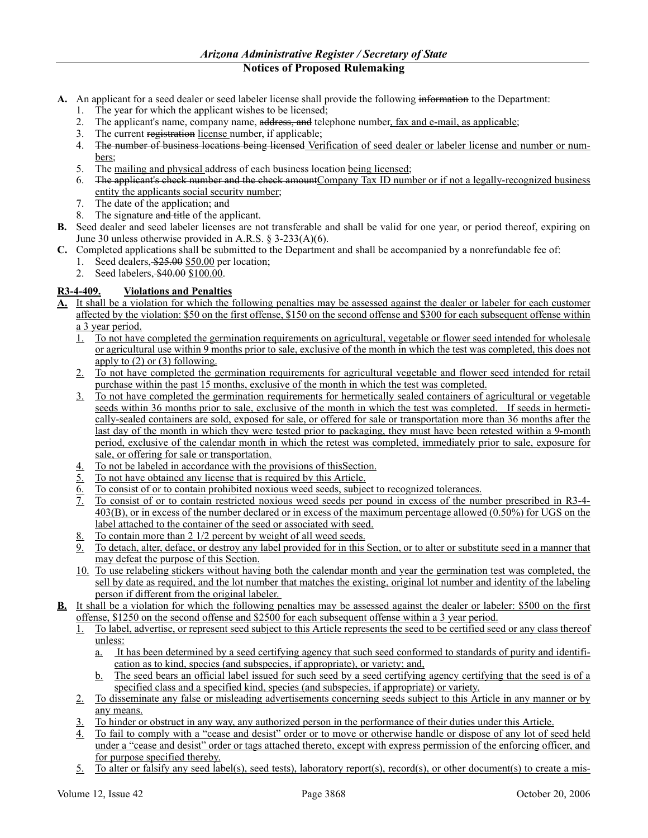- **A.** An applicant for a seed dealer or seed labeler license shall provide the following information to the Department:
	- 1. The year for which the applicant wishes to be licensed;
	- 2. The applicant's name, company name, address, and telephone number, fax and e-mail, as applicable;
	- 3. The current registration license number, if applicable;
	- 4. The number of business locations being licensed Verification of seed dealer or labeler license and number or numbers;
	- 5. The mailing and physical address of each business location being licensed;
	- 6. The applicant's check number and the check amount Company Tax ID number or if not a legally-recognized business entity the applicants social security number;
	- 7. The date of the application; and
	- 8. The signature and title of the applicant.
- **B.** Seed dealer and seed labeler licenses are not transferable and shall be valid for one year, or period thereof, expiring on June 30 unless otherwise provided in A.R.S. § 3-233(A)(6).
- **C.** Completed applications shall be submitted to the Department and shall be accompanied by a nonrefundable fee of:
	- 1. Seed dealers, \$25.00 \$50.00 per location;
	- 2. Seed labelers, \$40.00 \$100.00.

# **R3-4-409. Violations and Penalties**

- **A.** It shall be a violation for which the following penalties may be assessed against the dealer or labeler for each customer affected by the violation: \$50 on the first offense, \$150 on the second offense and \$300 for each subsequent offense within a 3 year period.
	- 1. To not have completed the germination requirements on agricultural, vegetable or flower seed intended for wholesale or agricultural use within 9 months prior to sale, exclusive of the month in which the test was completed, this does not apply to (2) or (3) following.
	- 2. To not have completed the germination requirements for agricultural vegetable and flower seed intended for retail purchase within the past 15 months, exclusive of the month in which the test was completed.
	- 3. To not have completed the germination requirements for hermetically sealed containers of agricultural or vegetable seeds within 36 months prior to sale, exclusive of the month in which the test was completed. If seeds in hermetically-sealed containers are sold, exposed for sale, or offered for sale or transportation more than 36 months after the last day of the month in which they were tested prior to packaging, they must have been retested within a 9-month period, exclusive of the calendar month in which the retest was completed, immediately prior to sale, exposure for sale, or offering for sale or transportation.
	- 4. To not be labeled in accordance with the provisions of thisSection.
	- $\overline{5}$ . To not have obtained any license that is required by this Article.
	- 6. To consist of or to contain prohibited noxious weed seeds, subject to recognized tolerances.
	- 7. To consist of or to contain restricted noxious weed seeds per pound in excess of the number prescribed in R3-4- 403(B), or in excess of the number declared or in excess of the maximum percentage allowed (0.50%) for UGS on the label attached to the container of the seed or associated with seed.
	- 8. To contain more than 2 1/2 percent by weight of all weed seeds.
	- 9. To detach, alter, deface, or destroy any label provided for in this Section, or to alter or substitute seed in a manner that may defeat the purpose of this Section.
	- 10. To use relabeling stickers without having both the calendar month and year the germination test was completed, the sell by date as required, and the lot number that matches the existing, original lot number and identity of the labeling person if different from the original labeler.
- **B.** It shall be a violation for which the following penalties may be assessed against the dealer or labeler: \$500 on the first offense, \$1250 on the second offense and \$2500 for each subsequent offense within a 3 year period.
	- 1. To label, advertise, or represent seed subject to this Article represents the seed to be certified seed or any class thereof unless:
		- a. It has been determined by a seed certifying agency that such seed conformed to standards of purity and identification as to kind, species (and subspecies, if appropriate), or variety; and,
		- b. The seed bears an official label issued for such seed by a seed certifying agency certifying that the seed is of a specified class and a specified kind, species (and subspecies, if appropriate) or variety.
	- 2. To disseminate any false or misleading advertisements concerning seeds subject to this Article in any manner or by any means.
	- 3. To hinder or obstruct in any way, any authorized person in the performance of their duties under this Article.
	- 4. To fail to comply with a "cease and desist" order or to move or otherwise handle or dispose of any lot of seed held under a "cease and desist" order or tags attached thereto, except with express permission of the enforcing officer, and for purpose specified thereby.
	- 5. To alter or falsify any seed label(s), seed tests), laboratory report(s), record(s), or other document(s) to create a mis-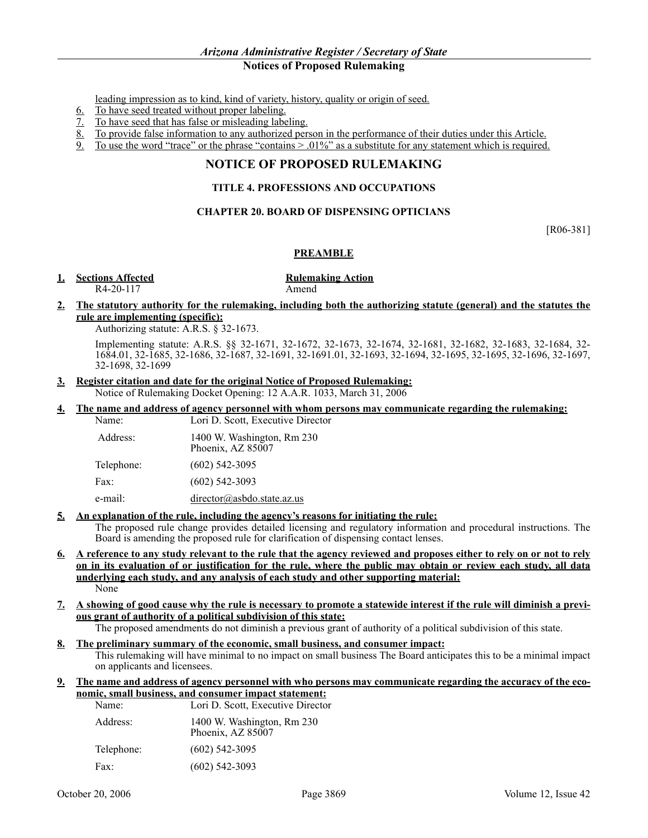leading impression as to kind, kind of variety, history, quality or origin of seed.

- 6. To have seed treated without proper labeling.
- 7. To have seed that has false or misleading labeling.
- 8. To provide false information to any authorized person in the performance of their duties under this Article.
- 9. To use the word "trace" or the phrase "contains  $> .01\%$ " as a substitute for any statement which is required.

# **NOTICE OF PROPOSED RULEMAKING**

### **TITLE 4. PROFESSIONS AND OCCUPATIONS**

### **CHAPTER 20. BOARD OF DISPENSING OPTICIANS**

[R06-381]

### **PREAMBLE**

### **1. Sections Affected Rulemaking Action**

R4-20-117 Amend

### **2. The statutory authority for the rulemaking, including both the authorizing statute (general) and the statutes the rule are implementing (specific):**

Authorizing statute: A.R.S. § 32-1673.

Implementing statute: A.R.S. §§ 32-1671, 32-1672, 32-1673, 32-1674, 32-1681, 32-1682, 32-1683, 32-1684, 32- 1684.01, 32-1685, 32-1686, 32-1687, 32-1691, 32-1691.01, 32-1693, 32-1694, 32-1695, 32-1695, 32-1696, 32-1697, 32-1698, 32-1699

### **3. Register citation and date for the original Notice of Proposed Rulemaking:**

Notice of Rulemaking Docket Opening: 12 A.A.R. 1033, March 31, 2006

**4. The name and address of agency personnel with whom persons may communicate regarding the rulemaking:** Name: Lori D. Scott, Executive Director

| Address:   | 1400 W. Washington, Rm 230<br>Phoenix, AZ 85007 |
|------------|-------------------------------------------------|
| Telephone: | $(602)$ 542-3095                                |
| Fax:       | $(602)$ 542-3093                                |
| e-mail:    | director@asbdo.state.az.us                      |

### **5. An explanation of the rule, including the agency's reasons for initiating the rule:**

The proposed rule change provides detailed licensing and regulatory information and procedural instructions. The Board is amending the proposed rule for clarification of dispensing contact lenses.

- **6. A reference to any study relevant to the rule that the agency reviewed and proposes either to rely on or not to rely on in its evaluation of or justification for the rule, where the public may obtain or review each study, all data underlying each study, and any analysis of each study and other supporting material:** None
- **7. A showing of good cause why the rule is necessary to promote a statewide interest if the rule will diminish a previous grant of authority of a political subdivision of this state:**

The proposed amendments do not diminish a previous grant of authority of a political subdivision of this state.

### **8. The preliminary summary of the economic, small business, and consumer impact:**

This rulemaking will have minimal to no impact on small business The Board anticipates this to be a minimal impact on applicants and licensees.

### **9. The name and address of agency personnel with who persons may communicate regarding the accuracy of the economic, small business, and consumer impact statement:**

| Name:      | Lori D. Scott, Executive Director               |
|------------|-------------------------------------------------|
| Address:   | 1400 W. Washington, Rm 230<br>Phoenix, AZ 85007 |
| Telephone: | $(602)$ 542-3095                                |
| Fax:       | $(602)$ 542-3093                                |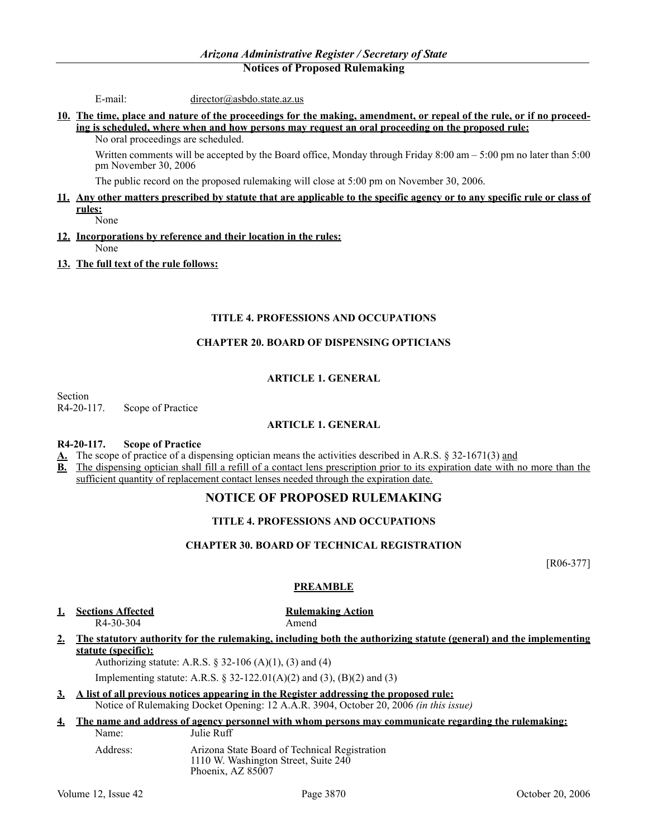E-mail: director@asbdo.state.az.us

**10. The time, place and nature of the proceedings for the making, amendment, or repeal of the rule, or if no proceeding is scheduled, where when and how persons may request an oral proceeding on the proposed rule:**

No oral proceedings are scheduled.

Written comments will be accepted by the Board office, Monday through Friday  $8:00$  am  $-5:00$  pm no later than  $5:00$ pm November 30, 2006

The public record on the proposed rulemaking will close at 5:00 pm on November 30, 2006.

### **11. Any other matters prescribed by statute that are applicable to the specific agency or to any specific rule or class of rules:**

None

- **12. Incorporations by reference and their location in the rules:** None
- **13. The full text of the rule follows:**

### **TITLE 4. PROFESSIONS AND OCCUPATIONS**

### **CHAPTER 20. BOARD OF DISPENSING OPTICIANS**

### **ARTICLE 1. GENERAL**

Section

R4-20-117. Scope of Practice

### **ARTICLE 1. GENERAL**

### **R4-20-117. Scope of Practice**

**A.** The scope of practice of a dispensing optician means the activities described in A.R.S. § 32-1671(3) and

**B.** The dispensing optician shall fill a refill of a contact lens prescription prior to its expiration date with no more than the sufficient quantity of replacement contact lenses needed through the expiration date.

# **NOTICE OF PROPOSED RULEMAKING**

### **TITLE 4. PROFESSIONS AND OCCUPATIONS**

### **CHAPTER 30. BOARD OF TECHNICAL REGISTRATION**

[R06-377]

# **PREAMBLE**

# **1.1. Sections Affected 1.1. <b>Rulemaking Action**

R4-30-304 Amend

**2. The statutory authority for the rulemaking, including both the authorizing statute (general) and the implementing statute (specific):**

Authorizing statute: A.R.S. § 32-106 (A)(1), (3) and (4)

Implementing statute: A.R.S. § 32-122.01(A)(2) and (3), (B)(2) and (3)

**3. A list of all previous notices appearing in the Register addressing the proposed rule:**

Notice of Rulemaking Docket Opening: 12 A.A.R. 3904, October 20, 2006 *(in this issue)*

### **4. The name and address of agency personnel with whom persons may communicate regarding the rulemaking:** Name: Julie Ruff

Address: Arizona State Board of Technical Registration 1110 W. Washington Street, Suite 240 Phoenix, AZ 85007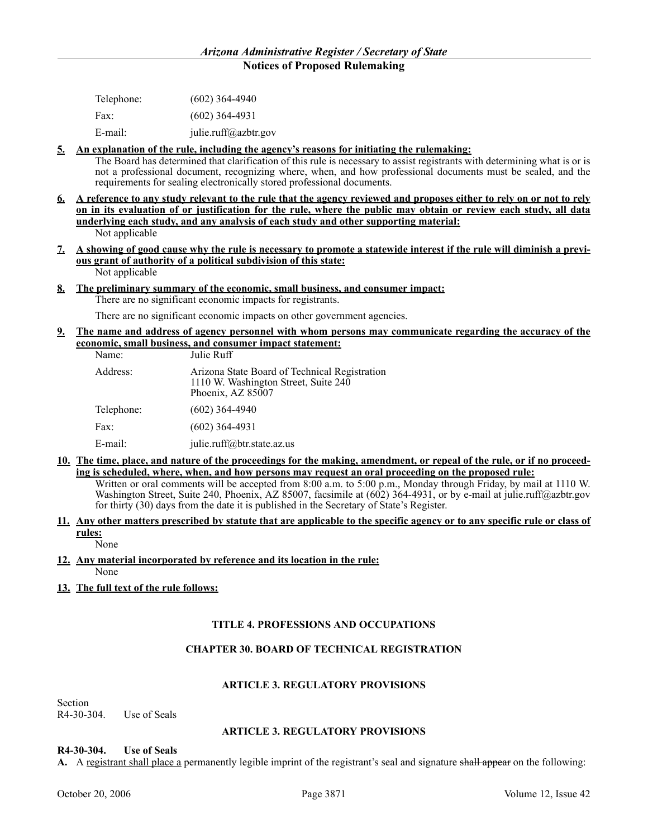| Telephone: | $(602)$ 364-4940     |
|------------|----------------------|
| Fax:       | $(602)$ 364-4931     |
| E-mail:    | julie.ruff@azbtr.gov |

### **5. An explanation of the rule, including the agency's reasons for initiating the rulemaking:**

The Board has determined that clarification of this rule is necessary to assist registrants with determining what is or is not a professional document, recognizing where, when, and how professional documents must be sealed, and the requirements for sealing electronically stored professional documents.

- **6. A reference to any study relevant to the rule that the agency reviewed and proposes either to rely on or not to rely on in its evaluation of or justification for the rule, where the public may obtain or review each study, all data underlying each study, and any analysis of each study and other supporting material:** Not applicable
- **7. A showing of good cause why the rule is necessary to promote a statewide interest if the rule will diminish a previous grant of authority of a political subdivision of this state:** Not applicable
- **8. The preliminary summary of the economic, small business, and consumer impact:** There are no significant economic impacts for registrants.

There are no significant economic impacts on other government agencies.

**9. The name and address of agency personnel with whom persons may communicate regarding the accuracy of the economic, small business, and consumer impact statement:**

| Arizona State Board of Technical Registration<br>Address:<br>1110 W. Washington Street, Suite 240<br>Phoenix, AZ 85007 |  |
|------------------------------------------------------------------------------------------------------------------------|--|
| Telephone:<br>$(602)$ 364-4940                                                                                         |  |
| $(602)$ 364-4931<br>Fax:                                                                                               |  |
| E-mail:<br>julie.ruff@btr.state.az.us                                                                                  |  |

**10. The time, place, and nature of the proceedings for the making, amendment, or repeal of the rule, or if no proceeding is scheduled, where, when, and how persons may request an oral proceeding on the proposed rule:**

Written or oral comments will be accepted from 8:00 a.m. to 5:00 p.m., Monday through Friday, by mail at 1110 W. Washington Street, Suite 240, Phoenix, AZ 85007, facsimile at (602) 364-4931, or by e-mail at julie.ruff@azbtr.gov for thirty (30) days from the date it is published in the Secretary of State's Register.

**11. Any other matters prescribed by statute that are applicable to the specific agency or to any specific rule or class of rules:**

None

### **12. Any material incorporated by reference and its location in the rule:** None

**13. The full text of the rule follows:**

# **TITLE 4. PROFESSIONS AND OCCUPATIONS**

# **CHAPTER 30. BOARD OF TECHNICAL REGISTRATION**

### **ARTICLE 3. REGULATORY PROVISIONS**

Section R4-30-304. Use of Seals

### **ARTICLE 3. REGULATORY PROVISIONS**

**R4-30-304. Use of Seals**

**A.** A registrant shall place a permanently legible imprint of the registrant's seal and signature shall appear on the following: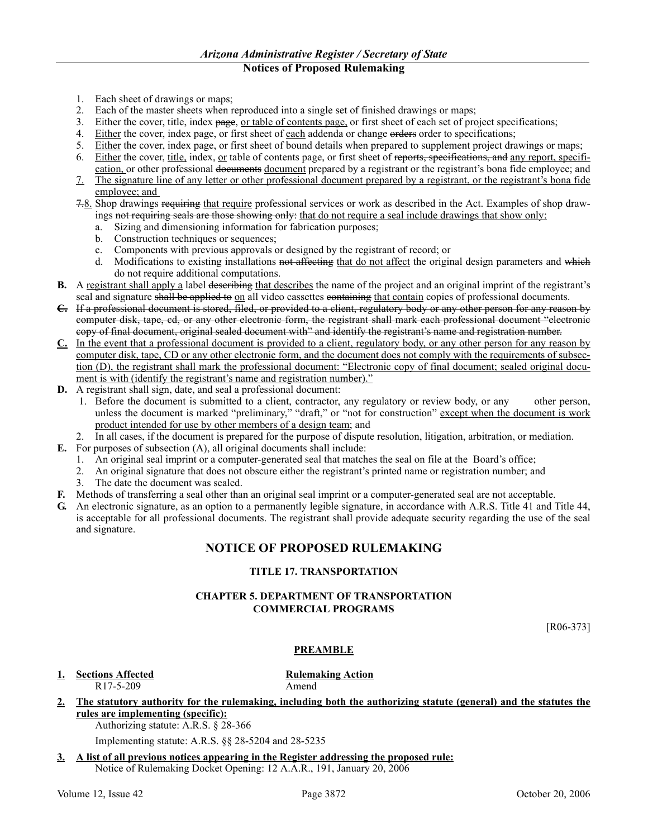- 1. Each sheet of drawings or maps;
- 2. Each of the master sheets when reproduced into a single set of finished drawings or maps;
- 3. Either the cover, title, index page, or table of contents page, or first sheet of each set of project specifications;
- 4. Either the cover, index page, or first sheet of each addenda or change orders order to specifications;
- 5. Either the cover, index page, or first sheet of bound details when prepared to supplement project drawings or maps;
- 6. Either the cover, title, index, or table of contents page, or first sheet of reports, specifications, and any report, specification, or other professional documents document prepared by a registrant or the registrant's bona fide employee; and
- 7. The signature line of any letter or other professional document prepared by a registrant, or the registrant's bona fide employee; and
- 7.8. Shop drawings requiring that require professional services or work as described in the Act. Examples of shop drawings not requiring seals are those showing only: that do not require a seal include drawings that show only:
	- a. Sizing and dimensioning information for fabrication purposes;
	- b. Construction techniques or sequences;
	- c. Components with previous approvals or designed by the registrant of record; or
	- d. Modifications to existing installations not affecting that do not affect the original design parameters and which do not require additional computations.
- **B.** A registrant shall apply a label describing that describes the name of the project and an original imprint of the registrant's seal and signature shall be applied to on all video cassettes containing that contain copies of professional documents.
- **C.** If a professional document is stored, filed, or provided to a client, regulatory body or any other person for any reason by computer disk, tape, cd, or any other electronic form, the registrant shall mark each professional document "electronic copy of final document, original sealed document with" and identify the registrant's name and registration number.
- **C.** In the event that a professional document is provided to a client, regulatory body, or any other person for any reason by computer disk, tape, CD or any other electronic form, and the document does not comply with the requirements of subsection (D), the registrant shall mark the professional document: "Electronic copy of final document; sealed original document is with (identify the registrant's name and registration number)."
- **D.** A registrant shall sign, date, and seal a professional document:
	- 1. Before the document is submitted to a client, contractor, any regulatory or review body, or any other person, unless the document is marked "preliminary," "draft," or "not for construction" except when the document is work product intended for use by other members of a design team; and
- 2. In all cases, if the document is prepared for the purpose of dispute resolution, litigation, arbitration, or mediation.
- **E.** For purposes of subsection (A), all original documents shall include:
	- 1. An original seal imprint or a computer-generated seal that matches the seal on file at the Board's office;<br>2. An original signature that does not obscure either the registrant's printed name or registration number: an
	- 2. An original signature that does not obscure either the registrant's printed name or registration number; and
	- 3. The date the document was sealed.
- **F.** Methods of transferring a seal other than an original seal imprint or a computer-generated seal are not acceptable.
- **G.** An electronic signature, as an option to a permanently legible signature, in accordance with A.R.S. Title 41 and Title 44, is acceptable for all professional documents. The registrant shall provide adequate security regarding the use of the seal and signature.

# **NOTICE OF PROPOSED RULEMAKING**

### **TITLE 17. TRANSPORTATION**

### **CHAPTER 5. DEPARTMENT OF TRANSPORTATION COMMERCIAL PROGRAMS**

[R06-373]

### **PREAMBLE**

**1. Sections Affected Rulemaking Action** R17-5-209 Amend

- **2. The statutory authority for the rulemaking, including both the authorizing statute (general) and the statutes the rules are implementing (specific):**
	- Authorizing statute: A.R.S. § 28-366

Implementing statute: A.R.S. §§ 28-5204 and 28-5235

**3. A list of all previous notices appearing in the Register addressing the proposed rule:** Notice of Rulemaking Docket Opening: 12 A.A.R., 191, January 20, 2006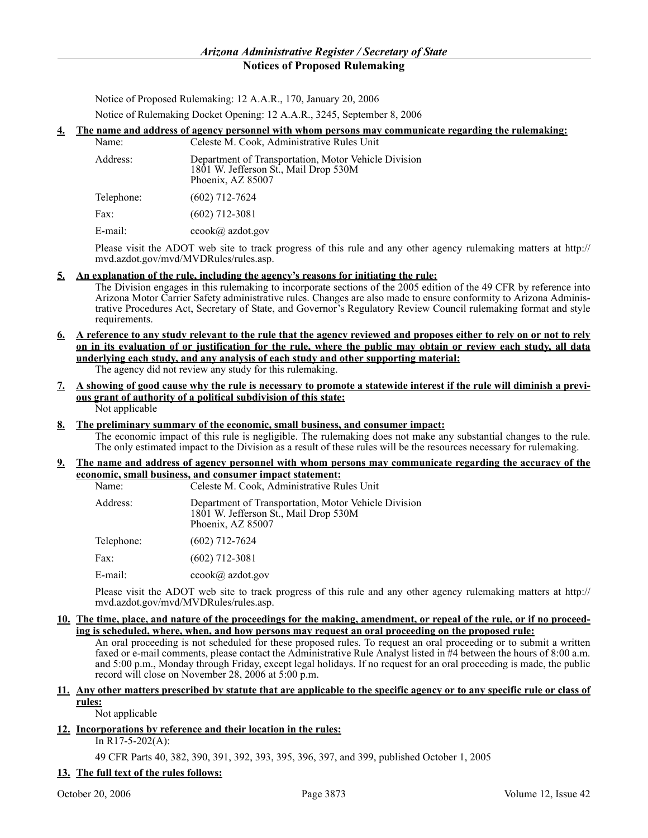Notice of Proposed Rulemaking: 12 A.A.R., 170, January 20, 2006 Notice of Rulemaking Docket Opening: 12 A.A.R., 3245, September 8, 2006

### **4. The name and address of agency personnel with whom persons may communicate regarding the rulemaking:**

| Name:      | Celeste M. Cook, Administrative Rules Unit                                                                         |
|------------|--------------------------------------------------------------------------------------------------------------------|
| Address:   | Department of Transportation, Motor Vehicle Division<br>1801 W. Jefferson St., Mail Drop 530M<br>Phoenix, AZ 85007 |
| Telephone: | $(602)$ 712-7624                                                                                                   |
| Fax:       | $(602)$ 712-3081                                                                                                   |
| E-mail:    | $ccook(a)$ azdot.gov                                                                                               |

Please visit the ADOT web site to track progress of this rule and any other agency rulemaking matters at http:// mvd.azdot.gov/mvd/MVDRules/rules.asp.

### **5. An explanation of the rule, including the agency's reasons for initiating the rule:**

The Division engages in this rulemaking to incorporate sections of the 2005 edition of the 49 CFR by reference into Arizona Motor Carrier Safety administrative rules. Changes are also made to ensure conformity to Arizona Administrative Procedures Act, Secretary of State, and Governor's Regulatory Review Council rulemaking format and style requirements.

- **6. A reference to any study relevant to the rule that the agency reviewed and proposes either to rely on or not to rely on in its evaluation of or justification for the rule, where the public may obtain or review each study, all data underlying each study, and any analysis of each study and other supporting material:** The agency did not review any study for this rulemaking.
- **7. A showing of good cause why the rule is necessary to promote a statewide interest if the rule will diminish a previous grant of authority of a political subdivision of this state:** Not applicable
- **8. The preliminary summary of the economic, small business, and consumer impact:** The economic impact of this rule is negligible. The rulemaking does not make any substantial changes to the rule. The only estimated impact to the Division as a result of these rules will be the resources necessary for rulemaking.
- **9. The name and address of agency personnel with whom persons may communicate regarding the accuracy of the economic, small business, and consumer impact statement:**

| Name:      | Celeste M. Cook, Administrative Rules Unit                                                                         |
|------------|--------------------------------------------------------------------------------------------------------------------|
| Address:   | Department of Transportation, Motor Vehicle Division<br>1801 W. Jefferson St., Mail Drop 530M<br>Phoenix, AZ 85007 |
| Telephone: | $(602)$ 712-7624                                                                                                   |
| Fax:       | $(602)$ 712-3081                                                                                                   |
| $E$ -mail: | $ccook(a)$ azdot.gov                                                                                               |

Please visit the ADOT web site to track progress of this rule and any other agency rulemaking matters at http:// mvd.azdot.gov/mvd/MVDRules/rules.asp.

**10. The time, place, and nature of the proceedings for the making, amendment, or repeal of the rule, or if no proceeding is scheduled, where, when, and how persons may request an oral proceeding on the proposed rule:**

An oral proceeding is not scheduled for these proposed rules. To request an oral proceeding or to submit a written faxed or e-mail comments, please contact the Administrative Rule Analyst listed in #4 between the hours of 8:00 a.m. and 5:00 p.m., Monday through Friday, except legal holidays. If no request for an oral proceeding is made, the public record will close on November 28, 2006 at 5:00 p.m.

### **11. Any other matters prescribed by statute that are applicable to the specific agency or to any specific rule or class of rules:**

Not applicable

### **12. Incorporations by reference and their location in the rules:**

In R17-5-202(A):

49 CFR Parts 40, 382, 390, 391, 392, 393, 395, 396, 397, and 399, published October 1, 2005

### **13. The full text of the rules follows:**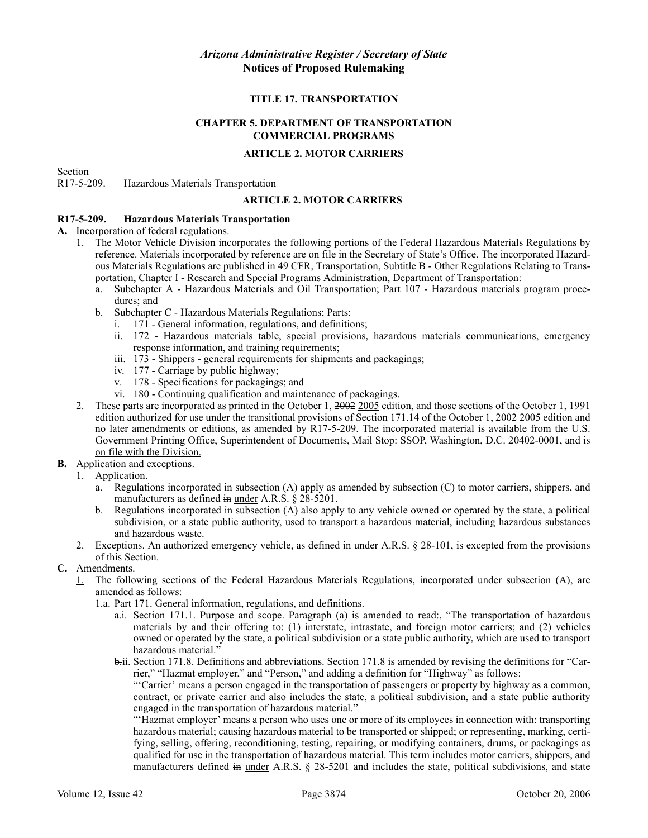### **TITLE 17. TRANSPORTATION**

### **CHAPTER 5. DEPARTMENT OF TRANSPORTATION COMMERCIAL PROGRAMS**

### **ARTICLE 2. MOTOR CARRIERS**

Section

R17-5-209. Hazardous Materials Transportation

### **ARTICLE 2. MOTOR CARRIERS**

### **R17-5-209. Hazardous Materials Transportation**

- **A.** Incorporation of federal regulations.
	- 1. The Motor Vehicle Division incorporates the following portions of the Federal Hazardous Materials Regulations by reference. Materials incorporated by reference are on file in the Secretary of State's Office. The incorporated Hazardous Materials Regulations are published in 49 CFR, Transportation, Subtitle B - Other Regulations Relating to Transportation, Chapter I - Research and Special Programs Administration, Department of Transportation:
		- a. Subchapter A Hazardous Materials and Oil Transportation; Part 107 Hazardous materials program procedures; and
		- b. Subchapter C Hazardous Materials Regulations; Parts:
			- i. 171 General information, regulations, and definitions;
			- ii. 172 Hazardous materials table, special provisions, hazardous materials communications, emergency response information, and training requirements;
			- iii. 173 Shippers general requirements for shipments and packagings;
			- iv. 177 Carriage by public highway;
			- v. 178 Specifications for packagings; and
			- vi. 180 Continuing qualification and maintenance of packagings.
	- 2. These parts are incorporated as printed in the October 1, 2002 2005 edition, and those sections of the October 1, 1991 edition authorized for use under the transitional provisions of Section 171.14 of the October 1, 2002 2005 edition and no later amendments or editions, as amended by R17-5-209. The incorporated material is available from the U.S. Government Printing Office, Superintendent of Documents, Mail Stop: SSOP, Washington, D.C. 20402-0001, and is on file with the Division.
- **B.** Application and exceptions.
	- 1. Application.
		- a. Regulations incorporated in subsection (A) apply as amended by subsection (C) to motor carriers, shippers, and manufacturers as defined in under A.R.S. § 28-5201.
		- b. Regulations incorporated in subsection (A) also apply to any vehicle owned or operated by the state, a political subdivision, or a state public authority, used to transport a hazardous material, including hazardous substances and hazardous waste.
	- 2. Exceptions. An authorized emergency vehicle, as defined in <u>under</u> A.R.S. § 28-101, is excepted from the provisions of this Section.
- **C.** Amendments.
	- 1. The following sections of the Federal Hazardous Materials Regulations, incorporated under subsection (A), are amended as follows:
		- 1.a. Part 171. General information, regulations, and definitions.
			- a.i. Section 171.1. Purpose and scope. Paragraph (a) is amended to read: "The transportation of hazardous materials by and their offering to: (1) interstate, intrastate, and foreign motor carriers; and (2) vehicles owned or operated by the state, a political subdivision or a state public authority, which are used to transport hazardous material."

b.ii. Section 171.8. Definitions and abbreviations. Section 171.8 is amended by revising the definitions for "Carrier," "Hazmat employer," and "Person," and adding a definition for "Highway" as follows:

"'Carrier' means a person engaged in the transportation of passengers or property by highway as a common, contract, or private carrier and also includes the state, a political subdivision, and a state public authority engaged in the transportation of hazardous material."

"'Hazmat employer' means a person who uses one or more of its employees in connection with: transporting hazardous material; causing hazardous material to be transported or shipped; or representing, marking, certifying, selling, offering, reconditioning, testing, repairing, or modifying containers, drums, or packagings as qualified for use in the transportation of hazardous material. This term includes motor carriers, shippers, and manufacturers defined in <u>under</u> A.R.S.  $\S$  28-5201 and includes the state, political subdivisions, and state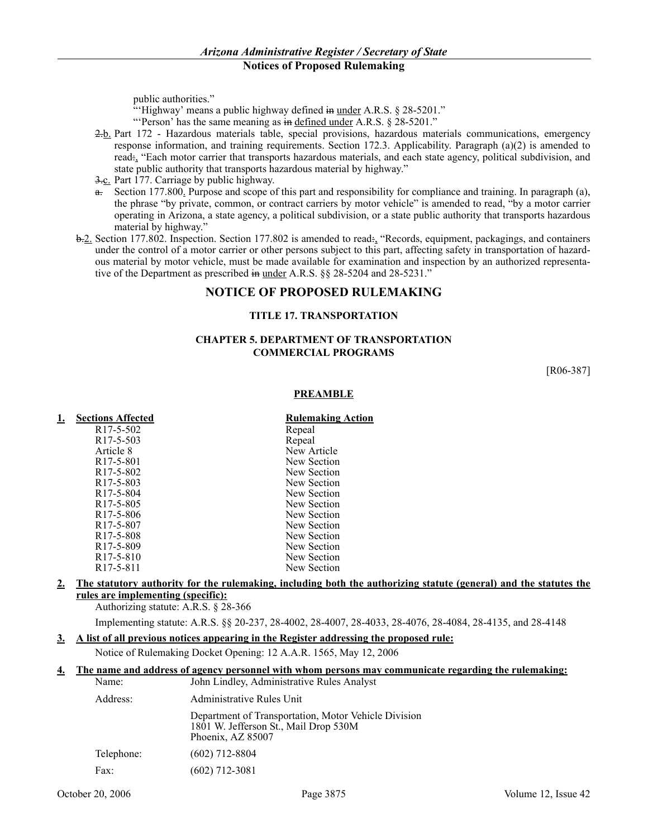public authorities."

"Highway' means a public highway defined in under A.R.S. § 28-5201."

"'Person' has the same meaning as in defined under A.R.S. § 28-5201."

- 2.b. Part 172 Hazardous materials table, special provisions, hazardous materials communications, emergency response information, and training requirements. Section 172.3. Applicability. Paragraph (a)(2) is amended to read:, "Each motor carrier that transports hazardous materials, and each state agency, political subdivision, and state public authority that transports hazardous material by highway."
- 3.c. Part 177. Carriage by public highway.
- a. Section 177.800. Purpose and scope of this part and responsibility for compliance and training. In paragraph (a), the phrase "by private, common, or contract carriers by motor vehicle" is amended to read, "by a motor carrier operating in Arizona, a state agency, a political subdivision, or a state public authority that transports hazardous material by highway."
- b.2. Section 177.802. Inspection. Section 177.802 is amended to read:, "Records, equipment, packagings, and containers under the control of a motor carrier or other persons subject to this part, affecting safety in transportation of hazardous material by motor vehicle, must be made available for examination and inspection by an authorized representative of the Department as prescribed in under A.R.S. §§ 28-5204 and 28-5231."

### **NOTICE OF PROPOSED RULEMAKING**

### **TITLE 17. TRANSPORTATION**

### **CHAPTER 5. DEPARTMENT OF TRANSPORTATION COMMERCIAL PROGRAMS**

[R06-387]

### **PREAMBLE**

| <b>Sections Affected</b>           | <b>Rulemaking Action</b> |
|------------------------------------|--------------------------|
| R <sub>17</sub> -5-502             | Repeal                   |
| R <sub>17</sub> -5-503             | Repeal                   |
| Article 8                          | New Article              |
| R <sub>17</sub> -5-801             | New Section              |
| R <sub>17</sub> -5-802             | New Section              |
| R <sub>17</sub> -5-803             | New Section              |
| R <sub>17</sub> -5-804             | New Section              |
| R <sub>17</sub> -5-805             | New Section              |
| R <sub>17</sub> -5-806             | New Section              |
| R <sub>17</sub> -5-807             | New Section              |
| R <sub>17</sub> -5-808             | New Section              |
| R <sub>17</sub> -5-809             | New Section              |
| R <sub>17</sub> -5-8 <sub>10</sub> | New Section              |
| R <sub>17</sub> -5-8 <sub>11</sub> | New Section              |
|                                    |                          |

### **2. The statutory authority for the rulemaking, including both the authorizing statute (general) and the statutes the rules are implementing (specific):**

Authorizing statute: A.R.S. § 28-366

Implementing statute: A.R.S. §§ 20-237, 28-4002, 28-4007, 28-4033, 28-4076, 28-4084, 28-4135, and 28-4148

### **3. A list of all previous notices appearing in the Register addressing the proposed rule:**

Notice of Rulemaking Docket Opening: 12 A.A.R. 1565, May 12, 2006

### **4. The name and address of agency personnel with whom persons may communicate regarding the rulemaking:** Name: John Lindley, Administrative Rules Analyst

| $1$ $\alpha$ $111$ $\sigma$ . | JOHN LINGUEY, AUNINISTIATIVE KUIES ANALYST                                                                         |
|-------------------------------|--------------------------------------------------------------------------------------------------------------------|
| Address:                      | Administrative Rules Unit                                                                                          |
|                               | Department of Transportation, Motor Vehicle Division<br>1801 W. Jefferson St., Mail Drop 530M<br>Phoenix, AZ 85007 |
| Telephone:                    | $(602)$ 712-8804                                                                                                   |
| Fax:                          | (602) 712-3081                                                                                                     |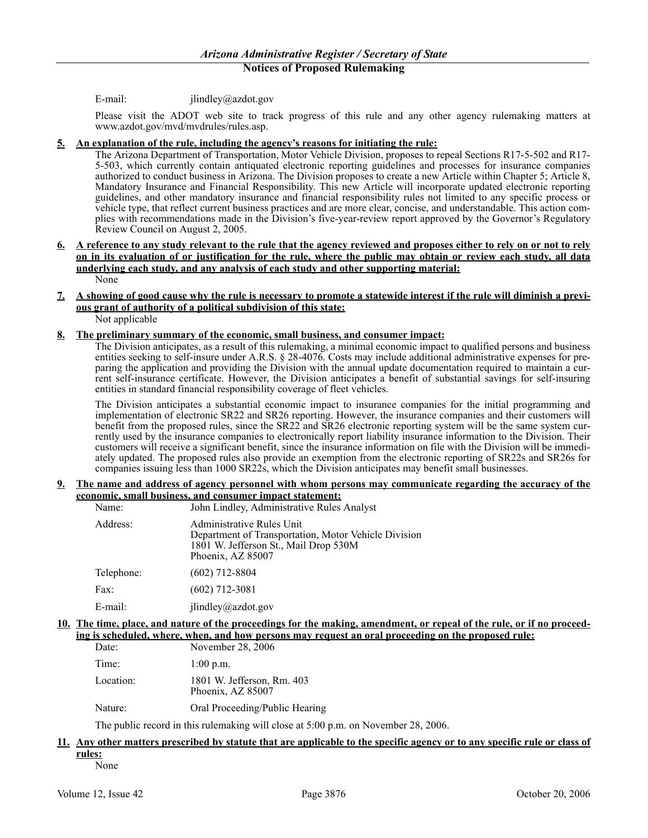E-mail: jlindley@azdot.gov

Please visit the ADOT web site to track progress of this rule and any other agency rulemaking matters at www.azdot.gov/mvd/mvdrules/rules.asp.

### **5. An explanation of the rule, including the agency's reasons for initiating the rule:**

The Arizona Department of Transportation, Motor Vehicle Division, proposes to repeal Sections R17-5-502 and R17- 5-503, which currently contain antiquated electronic reporting guidelines and processes for insurance companies authorized to conduct business in Arizona. The Division proposes to create a new Article within Chapter 5; Article 8, Mandatory Insurance and Financial Responsibility. This new Article will incorporate updated electronic reporting guidelines, and other mandatory insurance and financial responsibility rules not limited to any specific process or vehicle type, that reflect current business practices and are more clear, concise, and understandable. This action complies with recommendations made in the Division's five-year-review report approved by the Governor's Regulatory Review Council on August 2, 2005.

**6. A reference to any study relevant to the rule that the agency reviewed and proposes either to rely on or not to rely on in its evaluation of or justification for the rule, where the public may obtain or review each study, all data underlying each study, and any analysis of each study and other supporting material:** None

# **7. A showing of good cause why the rule is necessary to promote a statewide interest if the rule will diminish a previous grant of authority of a political subdivision of this state:**

Not applicable

### **8. The preliminary summary of the economic, small business, and consumer impact:**

The Division anticipates, as a result of this rulemaking, a minimal economic impact to qualified persons and business entities seeking to self-insure under A.R.S. § 28-4076. Costs may include additional administrative expenses for preparing the application and providing the Division with the annual update documentation required to maintain a current self-insurance certificate. However, the Division anticipates a benefit of substantial savings for self-insuring entities in standard financial responsibility coverage of fleet vehicles.

The Division anticipates a substantial economic impact to insurance companies for the initial programming and implementation of electronic SR22 and SR26 reporting. However, the insurance companies and their customers will benefit from the proposed rules, since the SR22 and SR26 electronic reporting system will be the same system currently used by the insurance companies to electronically report liability insurance information to the Division. Their customers will receive a significant benefit, since the insurance information on file with the Division will be immediately updated. The proposed rules also provide an exemption from the electronic reporting of SR22s and SR26s for companies issuing less than 1000 SR22s, which the Division anticipates may benefit small businesses.

### **9. The name and address of agency personnel with whom persons may communicate regarding the accuracy of the economic, small business, and consumer impact statement:**

| Name:      | John Lindley, Administrative Rules Analyst                                                                                                      |
|------------|-------------------------------------------------------------------------------------------------------------------------------------------------|
| Address:   | Administrative Rules Unit<br>Department of Transportation, Motor Vehicle Division<br>1801 W. Jefferson St., Mail Drop 530M<br>Phoenix, AZ 85007 |
| Telephone: | $(602)$ 712-8804                                                                                                                                |
| Fax:       | $(602)$ 712-3081                                                                                                                                |
| $E$ -mail: | $j$ lindley@azdot.gov                                                                                                                           |

### **10. The time, place, and nature of the proceedings for the making, amendment, or repeal of the rule, or if no proceeding is scheduled, where, when, and how persons may request an oral proceeding on the proposed rule:**

| Date:     | November 28, 2006                               |
|-----------|-------------------------------------------------|
| Time:     | $1:00$ p.m.                                     |
| Location: | 1801 W. Jefferson, Rm. 403<br>Phoenix, AZ 85007 |
| Nature:   | Oral Proceeding/Public Hearing                  |

The public record in this rulemaking will close at 5:00 p.m. on November 28, 2006.

# **11. Any other matters prescribed by statute that are applicable to the specific agency or to any specific rule or class of rules:**

None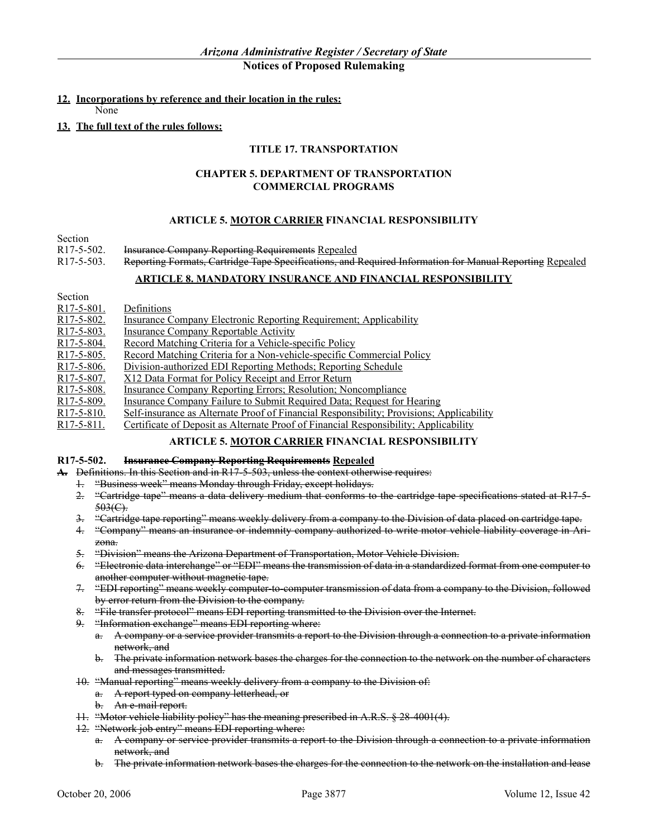### **12. Incorporations by reference and their location in the rules:**

None

### **13. The full text of the rules follows:**

### **TITLE 17. TRANSPORTATION**

### **CHAPTER 5. DEPARTMENT OF TRANSPORTATION COMMERCIAL PROGRAMS**

### **ARTICLE 5. MOTOR CARRIER FINANCIAL RESPONSIBILITY**

- Section<br>R17-5-502. R17-5-502. Insurance Company Reporting Requirements Repealed<br>R17-5-503 Reporting Formats Cartridge Tape Specifications and
- Reporting Formats, Cartridge Tape Specifications, and Required Information for Manual Reporting Repealed

### **ARTICLE 8. MANDATORY INSURANCE AND FINANCIAL RESPONSIBILITY**

R17-5-801. Definitions

- R17-5-802. Insurance Company Electronic Reporting Requirement; Applicability
- R17-5-803. Insurance Company Reportable Activity
- R17-5-804. Record Matching Criteria for a Vehicle-specific Policy
- R17-5-805. Record Matching Criteria for a Non-vehicle-specific Commercial Policy<br>R17-5-806. Division-authorized EDI Reporting Methods: Reporting Schedule
- Division-authorized EDI Reporting Methods; Reporting Schedule
- R17-5-807. X12 Data Format for Policy Receipt and Error Return<br>R17-5-808. Insurance Company Reporting Errors; Resolution; Nor
- R17-5-808. Insurance Company Reporting Errors; Resolution; Noncompliance<br>R17-5-809. Insurance Company Failure to Submit Required Data; Request for I
- Insurance Company Failure to Submit Required Data; Request for Hearing
- R17-5-810. Self-insurance as Alternate Proof of Financial Responsibility; Provisions; Applicability
- R17-5-811. Certificate of Deposit as Alternate Proof of Financial Responsibility; Applicability

### **ARTICLE 5. MOTOR CARRIER FINANCIAL RESPONSIBILITY**

### **R17-5-502. Insurance Company Reporting Requirements Repealed**

**A.** Definitions. In this Section and in R17-5-503, unless the context otherwise requires:

- 1. "Business week" means Monday through Friday, except holidays.
- 2. "Cartridge tape" means a data delivery medium that conforms to the cartridge tape specifications stated at R17-5-  $503(C)$ .
- 3. "Cartridge tape reporting" means weekly delivery from a company to the Division of data placed on cartridge tape.
- 4. "Company" means an insurance or indemnity company authorized to write motor vehicle liability coverage in Arizona.
- 5. "Division" means the Arizona Department of Transportation, Motor Vehicle Division.
- 6. "Electronic data interchange" or "EDI" means the transmission of data in a standardized format from one computer to another computer without magnetic tape.
- 7. "EDI reporting" means weekly computer to computer transmission of data from a company to the Division, followed by error return from the Division to the company.
- 8. "File transfer protocol" means EDI reporting transmitted to the Division over the Internet.
- 9. "Information exchange" means EDI reporting where:
	- a. A company or a service provider transmits a report to the Division through a connection to a private information network, and
	- b. The private information network bases the charges for the connection to the network on the number of characters and messages transmitted.
- 10. "Manual reporting" means weekly delivery from a company to the Division of:
	- a. A report typed on company letterhead, or
		- b. An e-mail report.
- 11. "Motor vehicle liability policy" has the meaning prescribed in A.R.S. § 28-4001(4).
- 12. "Network job entry" means EDI reporting where:
	- a. A company or service provider transmits a report to the Division through a connection to a private information network, and
	- b. The private information network bases the charges for the connection to the network on the installation and lease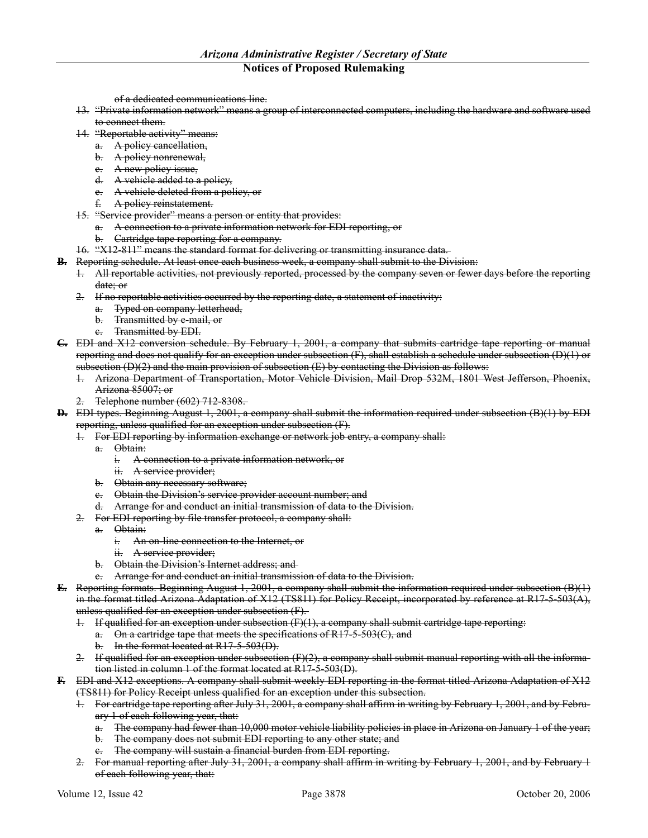of a dedicated communications line.

- 13. "Private information network" means a group of interconnected computers, including the hardware and software used to connect them.
- 14. "Reportable activity" means:
	- a. A policy cancellation,
	- b. A policy nonrenewal,
	- e. A new policy issue,
	- d. A vehicle added to a policy,
	- e. A vehicle deleted from a policy, or
	- f. A policy reinstatement.
- 15. "Service provider" means a person or entity that provides:
	- a. A connection to a private information network for EDI reporting, or
		- b. Cartridge tape reporting for a company.
- 16. "X12-811" means the standard format for delivering or transmitting insurance data.
- **B.** Reporting schedule. At least once each business week, a company shall submit to the Division:
	- 1. All reportable activities, not previously reported, processed by the company seven or fewer days before the reporting date; or
	- 2. If no reportable activities occurred by the reporting date, a statement of inactivity:
		- a. Typed on company letterhead,
		- b. Transmitted by e-mail, or
		- c. Transmitted by EDI.
- **C.** EDI and X12 conversion schedule. By February 1, 2001, a company that submits cartridge tape reporting or manual reporting and does not qualify for an exception under subsection  $(F)$ , shall establish a schedule under subsection  $(D)(1)$  or subsection  $(D)(2)$  and the main provision of subsection  $(E)$  by contacting the Division as follows:
	- 1. Arizona Department of Transportation, Motor Vehicle Division, Mail Drop 532M, 1801 West Jefferson, Phoenix, Arizona 85007; or
	- Telephone number (602) 712-8308.
- **D.** EDI types. Beginning August 1, 2001, a company shall submit the information required under subsection (B)(1) by EDI reporting, unless qualified for an exception under subsection (F).
	- 1. For EDI reporting by information exchange or network job entry, a company shall:
	- a. Obtain:
		- i. A connection to a private information network, or
		- ii. A service provider;
		- b. Obtain any necessary software;
	- e. Obtain the Division's service provider account number; and
	- d. Arrange for and conduct an initial transmission of data to the Division.
	- 2. For EDI reporting by file transfer protocol, a company shall:
		- a. Obtain:
			- i. An on-line connection to the Internet, or
			- ii. A service provider;
		- b. Obtain the Division's Internet address; and
		- c. Arrange for and conduct an initial transmission of data to the Division.
- **E.** Reporting formats. Beginning August 1, 2001, a company shall submit the information required under subsection (B)(1) in the format titled Arizona Adaptation of X12 (TS811) for Policy Receipt, incorporated by reference at R17-5-503(A), unless qualified for an exception under subsection (F).
	- 1. If qualified for an exception under subsection  $(F)(1)$ , a company shall submit cartridge tape reporting:
		- a. On a cartridge tape that meets the specifications of R17-5-503(C), and b. In the format located at  $R17-5-503(D)$ .
	- 2. If qualified for an exception under subsection  $(F)(2)$ , a company shall submit manual reporting with all the information listed in column 1 of the format located at R17-5-503(D).
- **F.** EDI and X12 exceptions. A company shall submit weekly EDI reporting in the format titled Arizona Adaptation of X12 (TS811) for Policy Receipt unless qualified for an exception under this subsection.
	- 1. For cartridge tape reporting after July 31, 2001, a company shall affirm in writing by February 1, 2001, and by February 1 of each following year, that:
		- a. The company had fewer than 10,000 motor vehicle liability policies in place in Arizona on January 1 of the year;
		- b. The company does not submit EDI reporting to any other state; and
		- c. The company will sustain a financial burden from EDI reporting.
	- 2. For manual reporting after July 31, 2001, a company shall affirm in writing by February 1, 2001, and by February 1 of each following year, that: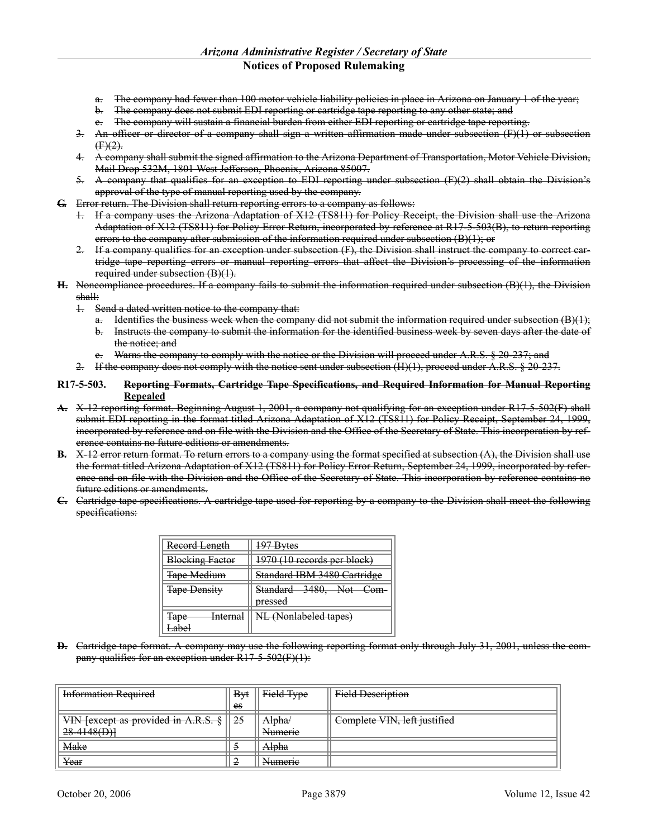- a. The company had fewer than 100 motor vehicle liability policies in place in Arizona on January 1 of the year;
- b. The company does not submit EDI reporting or cartridge tape reporting to any other state; and
- c. The company will sustain a financial burden from either EDI reporting or cartridge tape reporting.
- 3. An officer or director of a company shall sign a written affirmation made under subsection (F)(1) or subsection  $(F)(2)$ .
- 4. A company shall submit the signed affirmation to the Arizona Department of Transportation, Motor Vehicle Division, Mail Drop 532M, 1801 West Jefferson, Phoenix, Arizona 85007.
- 5. A company that qualifies for an exception to EDI reporting under subsection (F)(2) shall obtain the Division's approval of the type of manual reporting used by the company.
- **G.** Error return. The Division shall return reporting errors to a company as follows:
	- 1. If a company uses the Arizona Adaptation of X12 (TS811) for Policy Receipt, the Division shall use the Arizona Adaptation of X12 (TS811) for Policy Error Return, incorporated by reference at R17-5-503(B), to return reporting errors to the company after submission of the information required under subsection (B)(1); or
	- 2. If a company qualifies for an exception under subsection (F), the Division shall instruct the company to correct cartridge tape reporting errors or manual reporting errors that affect the Division's processing of the information required under subsection (B)(1).
- **H.** Noncompliance procedures. If a company fails to submit the information required under subsection (B)(1), the Division shall:
	- 1. Send a dated written notice to the company that:
		- a. Identifies the business week when the company did not submit the information required under subsection (B)(1);
		- b. Instructs the company to submit the information for the identified business week by seven days after the date of the notice; and
		- c. Warns the company to comply with the notice or the Division will proceed under A.R.S. § 20-237; and
	- 2. If the company does not comply with the notice sent under subsection  $(H)(1)$ , proceed under A.R.S.  $\S 20-237$ .

### **R17-5-503. Reporting Formats, Cartridge Tape Specifications, and Required Information for Manual Reporting Repealed**

- **A.** X-12 reporting format. Beginning August 1, 2001, a company not qualifying for an exception under R17-5-502(F) shall submit EDI reporting in the format titled Arizona Adaptation of X12 (TS811) for Policy Receipt, September 24, 1999, incorporated by reference and on file with the Division and the Office of the Secretary of State. This incorporation by reference contains no future editions or amendments.
- **B.** X-12 error return format. To return errors to a company using the format specified at subsection (A), the Division shall use the format titled Arizona Adaptation of X12 (TS811) for Policy Error Return, September 24, 1999, incorporated by reference and on file with the Division and the Office of the Secretary of State. This incorporation by reference contains no future editions or amendments.
- **C.** Cartridge tape specifications. A cartridge tape used for reporting by a company to the Division shall meet the following specifications:

| Record Length                                  | 197 Bytes                          |
|------------------------------------------------|------------------------------------|
| <b>Blocking Factor</b>                         | 1970 (10 records per block)        |
| <b>Tape Medium</b>                             | Standard IBM 3480 Cartridge        |
| <b>Tape Density</b>                            | Standard 3480, Not Com-<br>pressed |
| <del>Internal</del><br>Tono<br>Tupe<br>لمطمــا | NL (Nonlabeled tapes)              |

**D.** Cartridge tape format. A company may use the following reporting format only through July 31, 2001, unless the company qualifies for an exception under R17-5-502(F)(1):

| <b>Information Required</b>                                                                                                   | <b>B</b> <sub>vt</sub> | Field Type             | <b>Field Description</b>     |
|-------------------------------------------------------------------------------------------------------------------------------|------------------------|------------------------|------------------------------|
|                                                                                                                               | es                     |                        |                              |
| VIN Lavoent as provided in A.D.<br>$\overline{V}$ in Texter as provided in $\overline{A}$ , $\overline{A}$ , $\overline{D}$ , | 25                     | Alaha/<br>751011a/     | Complete VIN, left justified |
| 20.4149(D)<br>$20 - 11 - 01$                                                                                                  |                        | <b>Numerie</b>         |                              |
| Make                                                                                                                          | э                      | <u>Alpha</u><br>тунина |                              |
| Year                                                                                                                          | 2                      | <b>Numerie</b>         |                              |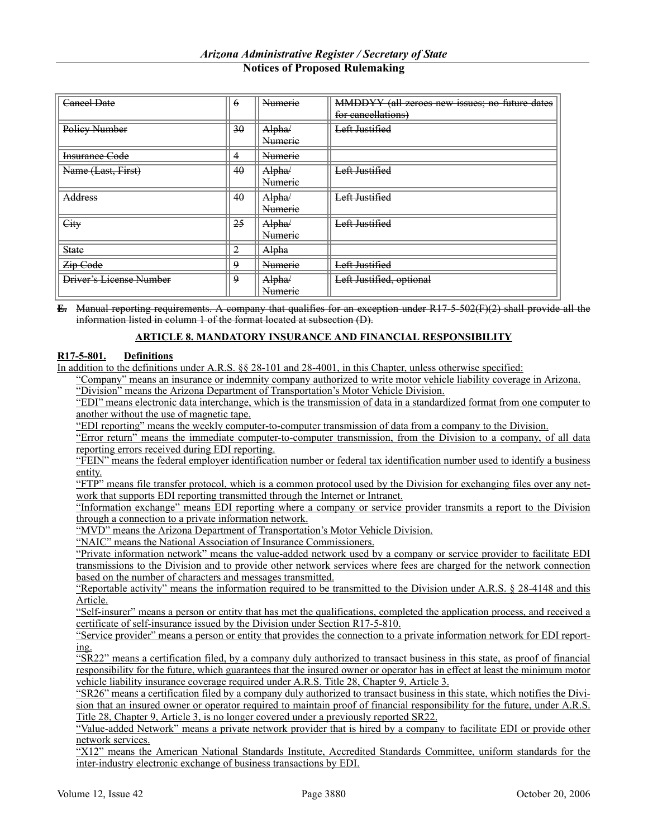| <b>Cancel Date</b>             | $\theta$       | Numerie             | MMDDYY (all zeroes new issues; no future dates |
|--------------------------------|----------------|---------------------|------------------------------------------------|
|                                |                |                     | for eancellations)                             |
| Policy Number                  | 30             | Alpha/              | Left Justified                                 |
|                                |                | <b>Numerie</b>      | ш                                              |
| <b>Insurance Code</b>          | 4              | <b>Numerie</b><br>m |                                                |
| Name (Last, First)             | 40             | Alpha/              | Left Justified                                 |
|                                |                | <b>Numerie</b>      | ш                                              |
| Address                        | 40             | Alpha/              | Left Justified                                 |
|                                |                | <b>Numerie</b>      |                                                |
| City                           | 25             | Alpha/              | Left Justified                                 |
|                                |                | <b>Numerie</b><br>п |                                                |
| <b>State</b>                   | $\overline{2}$ | Alpha               |                                                |
| Zip Code                       | 9              | <b>Numerie</b>      | Left Justified                                 |
| <b>Driver's License Number</b> | $\Omega$       | Alpha/              | Left Justified, optional                       |
|                                |                | <b>Numerie</b>      |                                                |

**E.** Manual reporting requirements. A company that qualifies for an exception under R17-5-502(F)(2) shall provide all the information listed in column 1 of the format located at subsection (D).

### **ARTICLE 8. MANDATORY INSURANCE AND FINANCIAL RESPONSIBILITY**

### **R17-5-801. Definitions**

In addition to the definitions under A.R.S. §§ 28-101 and 28-4001, in this Chapter, unless otherwise specified:

"Company" means an insurance or indemnity company authorized to write motor vehicle liability coverage in Arizona. "Division" means the Arizona Department of Transportation's Motor Vehicle Division.

"EDI" means electronic data interchange, which is the transmission of data in a standardized format from one computer to another without the use of magnetic tape.

"EDI reporting" means the weekly computer-to-computer transmission of data from a company to the Division.

"Error return" means the immediate computer-to-computer transmission, from the Division to a company, of all data reporting errors received during EDI reporting.

"FEIN" means the federal employer identification number or federal tax identification number used to identify a business entity.

"FTP" means file transfer protocol, which is a common protocol used by the Division for exchanging files over any network that supports EDI reporting transmitted through the Internet or Intranet.

"Information exchange" means EDI reporting where a company or service provider transmits a report to the Division through a connection to a private information network.

"MVD" means the Arizona Department of Transportation's Motor Vehicle Division.

"NAIC" means the National Association of Insurance Commissioners.

"Private information network" means the value-added network used by a company or service provider to facilitate EDI transmissions to the Division and to provide other network services where fees are charged for the network connection based on the number of characters and messages transmitted.

"Reportable activity" means the information required to be transmitted to the Division under A.R.S. § 28-4148 and this Article.

"Self-insurer" means a person or entity that has met the qualifications, completed the application process, and received a certificate of self-insurance issued by the Division under Section R17-5-810.

"Service provider" means a person or entity that provides the connection to a private information network for EDI reporting.

"SR22" means a certification filed, by a company duly authorized to transact business in this state, as proof of financial responsibility for the future, which guarantees that the insured owner or operator has in effect at least the minimum motor vehicle liability insurance coverage required under A.R.S. Title 28, Chapter 9, Article 3.

"SR26" means a certification filed by a company duly authorized to transact business in this state, which notifies the Division that an insured owner or operator required to maintain proof of financial responsibility for the future, under A.R.S. Title 28, Chapter 9, Article 3, is no longer covered under a previously reported SR22.

"Value-added Network" means a private network provider that is hired by a company to facilitate EDI or provide other network services.

"X12" means the American National Standards Institute, Accredited Standards Committee, uniform standards for the inter-industry electronic exchange of business transactions by EDI.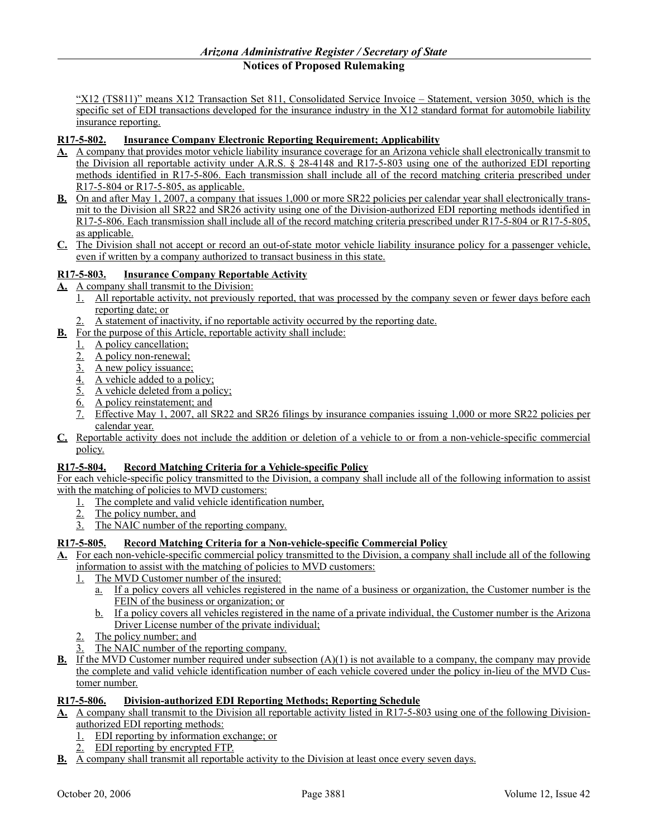"X12 (TS811)" means X12 Transaction Set 811, Consolidated Service Invoice – Statement, version 3050, which is the specific set of EDI transactions developed for the insurance industry in the X12 standard format for automobile liability insurance reporting.

# **R17-5-802. Insurance Company Electronic Reporting Requirement; Applicability**

- **A.** A company that provides motor vehicle liability insurance coverage for an Arizona vehicle shall electronically transmit to the Division all reportable activity under A.R.S. § 28-4148 and R17-5-803 using one of the authorized EDI reporting methods identified in R17-5-806. Each transmission shall include all of the record matching criteria prescribed under R17-5-804 or R17-5-805, as applicable.
- **B.** On and after May 1, 2007, a company that issues 1,000 or more SR22 policies per calendar year shall electronically transmit to the Division all SR22 and SR26 activity using one of the Division-authorized EDI reporting methods identified in R17-5-806. Each transmission shall include all of the record matching criteria prescribed under R17-5-804 or R17-5-805, as applicable.
- **C.** The Division shall not accept or record an out-of-state motor vehicle liability insurance policy for a passenger vehicle, even if written by a company authorized to transact business in this state.

### **R17-5-803. Insurance Company Reportable Activity**

- **A.** A company shall transmit to the Division:
	- 1. All reportable activity, not previously reported, that was processed by the company seven or fewer days before each reporting date; or
	- 2. A statement of inactivity, if no reportable activity occurred by the reporting date.
- **B.** For the purpose of this Article, reportable activity shall include:
	- 1. A policy cancellation;
	- 2. A policy non-renewal;
	- 3. A new policy issuance;
	- 4. A vehicle added to a policy;
	- 5. A vehicle deleted from a policy;
	- 6. A policy reinstatement; and
	- 7. Effective May 1, 2007, all SR22 and SR26 filings by insurance companies issuing 1,000 or more SR22 policies per calendar year.
- **C.** Reportable activity does not include the addition or deletion of a vehicle to or from a non-vehicle-specific commercial policy.

### **R17-5-804. Record Matching Criteria for a Vehicle-specific Policy**

For each vehicle-specific policy transmitted to the Division, a company shall include all of the following information to assist with the matching of policies to MVD customers:

- 1. The complete and valid vehicle identification number,
	- 2. The policy number, and
	- 3. The NAIC number of the reporting company.

### **R17-5-805. Record Matching Criteria for a Non-vehicle-specific Commercial Policy**

- **A.** For each non-vehicle-specific commercial policy transmitted to the Division, a company shall include all of the following information to assist with the matching of policies to MVD customers:
	- 1. The MVD Customer number of the insured:
		- a. If a policy covers all vehicles registered in the name of a business or organization, the Customer number is the FEIN of the business or organization; or
		- b. If a policy covers all vehicles registered in the name of a private individual, the Customer number is the Arizona Driver License number of the private individual;
	- The policy number; and
	- The NAIC number of the reporting company.
- **B.** If the MVD Customer number required under subsection (A)(1) is not available to a company, the company may provide the complete and valid vehicle identification number of each vehicle covered under the policy in-lieu of the MVD Customer number.

### **R17-5-806. Division-authorized EDI Reporting Methods; Reporting Schedule**

**A.** A company shall transmit to the Division all reportable activity listed in R17-5-803 using one of the following Divisionauthorized EDI reporting methods:

- 1. EDI reporting by information exchange; or
- 2. EDI reporting by encrypted FTP.
- **B.** A company shall transmit all reportable activity to the Division at least once every seven days.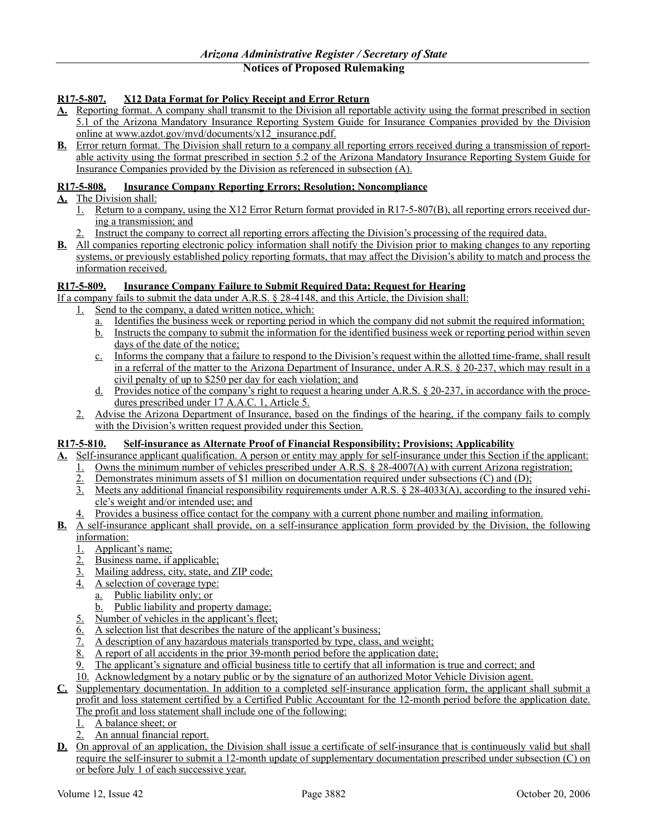# **R17-5-807. X12 Data Format for Policy Receipt and Error Return**

- **A.** Reporting format. A company shall transmit to the Division all reportable activity using the format prescribed in section 5.1 of the Arizona Mandatory Insurance Reporting System Guide for Insurance Companies provided by the Division online at www.azdot.gov/mvd/documents/x12\_insurance.pdf.
- **B.** Error return format. The Division shall return to a company all reporting errors received during a transmission of reportable activity using the format prescribed in section 5.2 of the Arizona Mandatory Insurance Reporting System Guide for Insurance Companies provided by the Division as referenced in subsection (A).

### **R17-5-808. Insurance Company Reporting Errors; Resolution; Noncompliance**

- **A.** The Division shall:
	- 1. Return to a company, using the X12 Error Return format provided in R17-5-807(B), all reporting errors received during a transmission; and
	- 2. Instruct the company to correct all reporting errors affecting the Division's processing of the required data.
- **B.** All companies reporting electronic policy information shall notify the Division prior to making changes to any reporting systems, or previously established policy reporting formats, that may affect the Division's ability to match and process the information received.

### **R17-5-809. Insurance Company Failure to Submit Required Data; Request for Hearing**

If a company fails to submit the data under A.R.S. § 28-4148, and this Article, the Division shall:

- 1. Send to the company, a dated written notice, which:
	- a. Identifies the business week or reporting period in which the company did not submit the required information;
	- b. Instructs the company to submit the information for the identified business week or reporting period within seven days of the date of the notice;
	- c. Informs the company that a failure to respond to the Division's request within the allotted time-frame, shall result in a referral of the matter to the Arizona Department of Insurance, under A.R.S. § 20-237, which may result in a civil penalty of up to \$250 per day for each violation; and
	- d. Provides notice of the company's right to request a hearing under A.R.S. § 20-237, in accordance with the procedures prescribed under 17 A.A.C. 1, Article 5.
- 2. Advise the Arizona Department of Insurance, based on the findings of the hearing, if the company fails to comply with the Division's written request provided under this Section.

# **R17-5-810. Self-insurance as Alternate Proof of Financial Responsibility; Provisions; Applicability**

- **A.** Self-insurance applicant qualification. A person or entity may apply for self-insurance under this Section if the applicant:
	- 1. Owns the minimum number of vehicles prescribed under A.R.S. § 28-4007(A) with current Arizona registration;
	- 2. Demonstrates minimum assets of \$1 million on documentation required under subsections (C) and (D);
	- 3. Meets any additional financial responsibility requirements under A.R.S. § 28-4033(A), according to the insured vehicle's weight and/or intended use; and
	- 4. Provides a business office contact for the company with a current phone number and mailing information.
- **B.** A self-insurance applicant shall provide, on a self-insurance application form provided by the Division, the following information:
	- 1. Applicant's name;
	- 2. Business name, if applicable;
	- 3. Mailing address, city, state, and ZIP code;
	- 4. A selection of coverage type:
		- a. Public liability only; or
		- b. Public liability and property damage;
	- 5. Number of vehicles in the applicant's fleet;
	- $\overline{6}$ . A selection list that describes the nature of the applicant's business;
	- 7. A description of any hazardous materials transported by type, class, and weight;
	- 8. A report of all accidents in the prior 39-month period before the application date;
	- The applicant's signature and official business title to certify that all information is true and correct; and
	- 10. Acknowledgment by a notary public or by the signature of an authorized Motor Vehicle Division agent.
- **C.** Supplementary documentation. In addition to a completed self-insurance application form, the applicant shall submit a profit and loss statement certified by a Certified Public Accountant for the 12-month period before the application date. The profit and loss statement shall include one of the following:
	- 1. A balance sheet; or
	- 2. An annual financial report.
- **D.** On approval of an application, the Division shall issue a certificate of self-insurance that is continuously valid but shall require the self-insurer to submit a 12-month update of supplementary documentation prescribed under subsection (C) on or before July 1 of each successive year.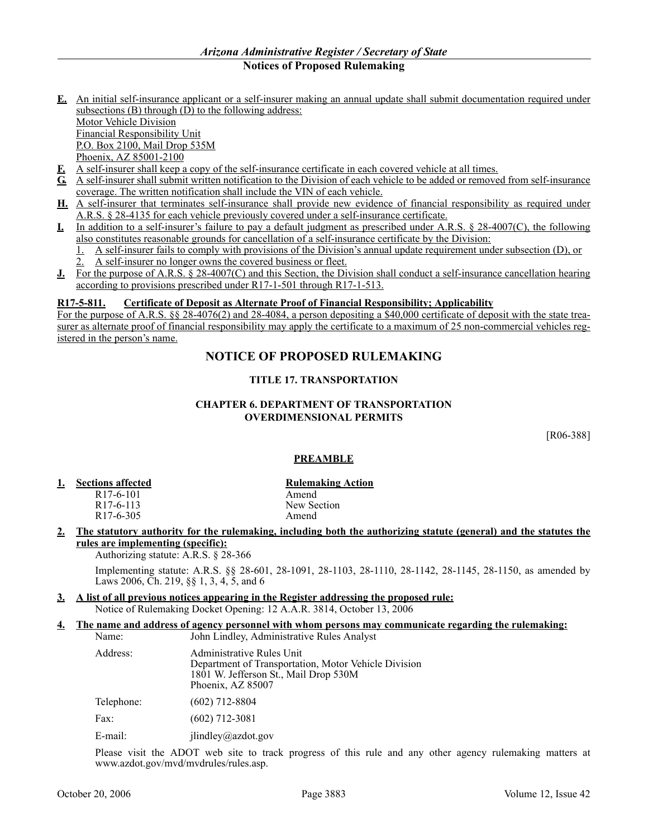- **E.** An initial self-insurance applicant or a self-insurer making an annual update shall submit documentation required under subsections (B) through  $(D)$  to the following address: Motor Vehicle Division Financial Responsibility Unit P.O. Box 2100, Mail Drop 535M Phoenix, AZ 85001-2100
- **F.** A self-insurer shall keep a copy of the self-insurance certificate in each covered vehicle at all times.
- **G.** A self-insurer shall submit written notification to the Division of each vehicle to be added or removed from self-insurance coverage. The written notification shall include the VIN of each vehicle.
- **H.** A self-insurer that terminates self-insurance shall provide new evidence of financial responsibility as required under A.R.S. § 28-4135 for each vehicle previously covered under a self-insurance certificate.
- **I.** In addition to a self-insurer's failure to pay a default judgment as prescribed under A.R.S. § 28-4007(C), the following also constitutes reasonable grounds for cancellation of a self-insurance certificate by the Division:
	- 1. A self-insurer fails to comply with provisions of the Division's annual update requirement under subsection (D), or  $\overline{2}$ . A self-insurer no longer owns the covered business or fleet.
- **J.** For the purpose of A.R.S. § 28-4007(C) and this Section, the Division shall conduct a self-insurance cancellation hearing according to provisions prescribed under R17-1-501 through R17-1-513.

### **R17-5-811. Certificate of Deposit as Alternate Proof of Financial Responsibility; Applicability**

For the purpose of A.R.S. §§ 28-4076(2) and 28-4084, a person depositing a \$40,000 certificate of deposit with the state treasurer as alternate proof of financial responsibility may apply the certificate to a maximum of 25 non-commercial vehicles registered in the person's name.

# **NOTICE OF PROPOSED RULEMAKING**

### **TITLE 17. TRANSPORTATION**

### **CHAPTER 6. DEPARTMENT OF TRANSPORTATION OVERDIMENSIONAL PERMITS**

[R06-388]

### **PREAMBLE**

- **1. Sections affected Rulemaking Action** 
	- R17-6-101 Amend<br>R17-6-113 New Se

New Section<br>Amend

 $R17-6-305$ 

**2. The statutory authority for the rulemaking, including both the authorizing statute (general) and the statutes the rules are implementing (specific):**

Authorizing statute: A.R.S. § 28-366

Implementing statute: A.R.S. §§ 28-601, 28-1091, 28-1103, 28-1110, 28-1142, 28-1145, 28-1150, as amended by Laws 2006, Ch. 219, §§ 1, 3, 4, 5, and 6

- **3. A list of all previous notices appearing in the Register addressing the proposed rule:** Notice of Rulemaking Docket Opening: 12 A.A.R. 3814, October 13, 2006
- **4. The name and address of agency personnel with whom persons may communicate regarding the rulemaking:** Name: John Lindley, Administrative Rules Analyst

| Address:   | Administrative Rules Unit<br>Department of Transportation, Motor Vehicle Division<br>1801 W. Jefferson St., Mail Drop 530M<br>Phoenix, AZ 85007 |
|------------|-------------------------------------------------------------------------------------------------------------------------------------------------|
| Telephone: | $(602)$ 712-8804                                                                                                                                |
| Fax:       | $(602)$ 712-3081                                                                                                                                |
| E-mail:    | $j$ lindley@azdot.gov                                                                                                                           |

Please visit the ADOT web site to track progress of this rule and any other agency rulemaking matters at www.azdot.gov/mvd/mvdrules/rules.asp.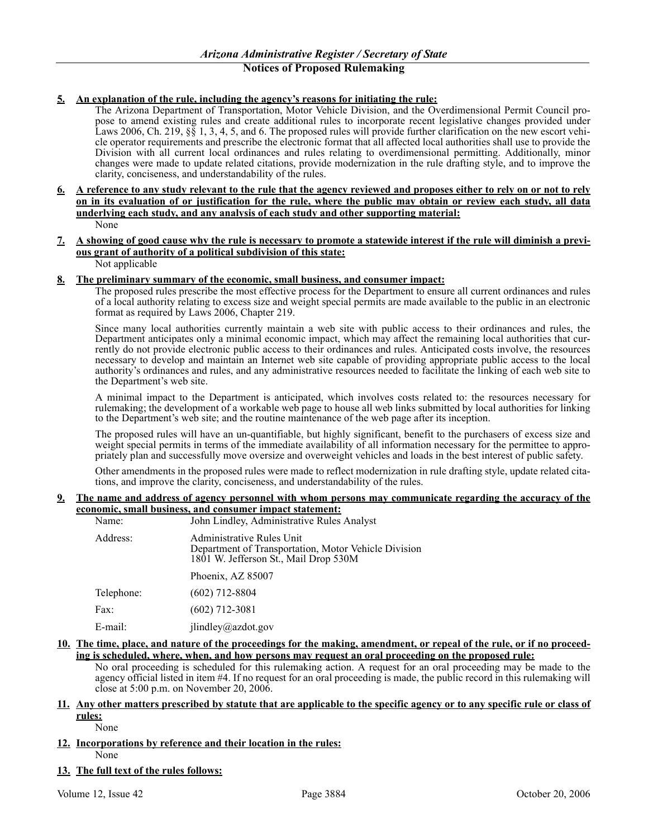# **5. An explanation of the rule, including the agency's reasons for initiating the rule:**

The Arizona Department of Transportation, Motor Vehicle Division, and the Overdimensional Permit Council propose to amend existing rules and create additional rules to incorporate recent legislative changes provided under Laws 2006, Ch. 219,  $\S$ § 1, 3, 4, 5, and 6. The proposed rules will provide further clarification on the new escort vehicle operator requirements and prescribe the electronic format that all affected local authorities shall use to provide the Division with all current local ordinances and rules relating to overdimensional permitting. Additionally, minor changes were made to update related citations, provide modernization in the rule drafting style, and to improve the clarity, conciseness, and understandability of the rules.

- **6. A reference to any study relevant to the rule that the agency reviewed and proposes either to rely on or not to rely on in its evaluation of or justification for the rule, where the public may obtain or review each study, all data underlying each study, and any analysis of each study and other supporting material:** None
- **7. A showing of good cause why the rule is necessary to promote a statewide interest if the rule will diminish a previous grant of authority of a political subdivision of this state:** Not applicable

# **8. The preliminary summary of the economic, small business, and consumer impact:**

The proposed rules prescribe the most effective process for the Department to ensure all current ordinances and rules of a local authority relating to excess size and weight special permits are made available to the public in an electronic format as required by Laws 2006, Chapter 219.

Since many local authorities currently maintain a web site with public access to their ordinances and rules, the Department anticipates only a minimal economic impact, which may affect the remaining local authorities that currently do not provide electronic public access to their ordinances and rules. Anticipated costs involve, the resources necessary to develop and maintain an Internet web site capable of providing appropriate public access to the local authority's ordinances and rules, and any administrative resources needed to facilitate the linking of each web site to the Department's web site.

A minimal impact to the Department is anticipated, which involves costs related to: the resources necessary for rulemaking; the development of a workable web page to house all web links submitted by local authorities for linking to the Department's web site; and the routine maintenance of the web page after its inception.

The proposed rules will have an un-quantifiable, but highly significant, benefit to the purchasers of excess size and weight special permits in terms of the immediate availability of all information necessary for the permittee to appropriately plan and successfully move oversize and overweight vehicles and loads in the best interest of public safety.

Other amendments in the proposed rules were made to reflect modernization in rule drafting style, update related citations, and improve the clarity, conciseness, and understandability of the rules.

### **9. The name and address of agency personnel with whom persons may communicate regarding the accuracy of the economic, small business, and consumer impact statement:**

| Name:      | John Lindley, Administrative Rules Analyst                                                                                 |
|------------|----------------------------------------------------------------------------------------------------------------------------|
| Address:   | Administrative Rules Unit<br>Department of Transportation, Motor Vehicle Division<br>1801 W. Jefferson St., Mail Drop 530M |
|            | Phoenix, AZ 85007                                                                                                          |
| Telephone: | $(602)$ 712-8804                                                                                                           |
| Fax:       | $(602)$ 712-3081                                                                                                           |
| $E$ -mail: | jlindley@azdot.gov                                                                                                         |

# **10. The time, place, and nature of the proceedings for the making, amendment, or repeal of the rule, or if no proceeding is scheduled, where, when, and how persons may request an oral proceeding on the proposed rule:**

No oral proceeding is scheduled for this rulemaking action. A request for an oral proceeding may be made to the agency official listed in item #4. If no request for an oral proceeding is made, the public record in this rulemaking will close at 5:00 p.m. on November 20, 2006.

### **11. Any other matters prescribed by statute that are applicable to the specific agency or to any specific rule or class of rules:**

None

# **12. Incorporations by reference and their location in the rules:**

None

**13. The full text of the rules follows:**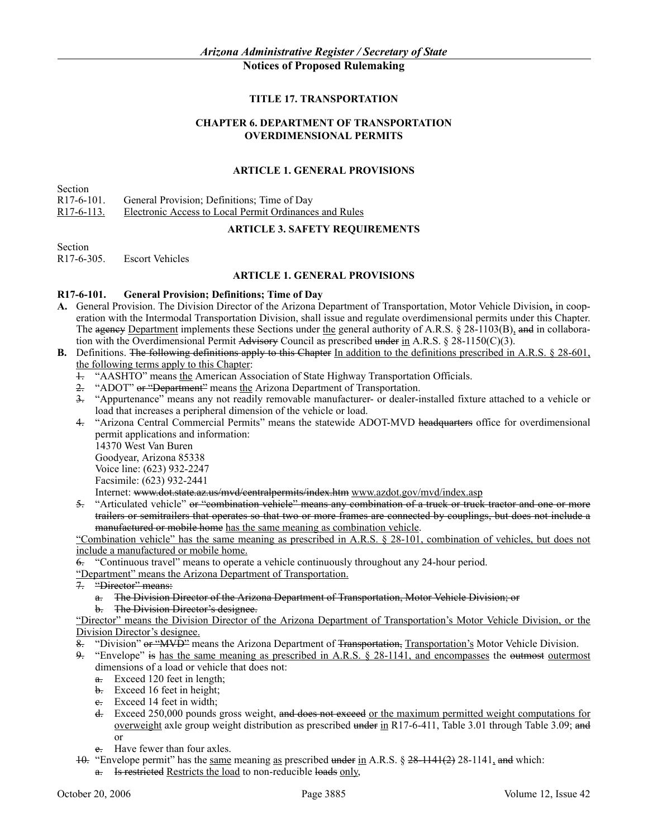### **TITLE 17. TRANSPORTATION**

### **CHAPTER 6. DEPARTMENT OF TRANSPORTATION OVERDIMENSIONAL PERMITS**

### **ARTICLE 1. GENERAL PROVISIONS**

Section

R17-6-101. General Provision; Definitions; Time of Day

R17-6-113. Electronic Access to Local Permit Ordinances and Rules

### **ARTICLE 3. SAFETY REQUIREMENTS**

Section<br>R17-6-305. **Escort Vehicles** 

### **ARTICLE 1. GENERAL PROVISIONS**

### **R17-6-101. General Provision; Definitions; Time of Day**

- **A.** General Provision. The Division Director of the Arizona Department of Transportation, Motor Vehicle Division, in cooperation with the Intermodal Transportation Division, shall issue and regulate overdimensional permits under this Chapter. The agency Department implements these Sections under the general authority of A.R.S. § 28-1103(B), and in collaboration with the Overdimensional Permit Advisory Council as prescribed under in A.R.S. § 28-1150(C)(3).
- **B.** Definitions. The following definitions apply to this Chapter In addition to the definitions prescribed in A.R.S. § 28-601, the following terms apply to this Chapter:
	- 1. "AASHTO" means the American Association of State Highway Transportation Officials.
	- 2. "ADOT" or "Department" means the Arizona Department of Transportation.
	- 3. "Appurtenance" means any not readily removable manufacturer- or dealer-installed fixture attached to a vehicle or load that increases a peripheral dimension of the vehicle or load.
	- 4. "Arizona Central Commercial Permits" means the statewide ADOT-MVD headquarters office for overdimensional permit applications and information:

14370 West Van Buren Goodyear, Arizona 85338 Voice line: (623) 932-2247

Facsimile: (623) 932-2441

Internet: www.dot.state.az.us/mvd/centralpermits/index.htm www.azdot.gov/mvd/index.asp

5. "Articulated vehicle" or "combination vehicle" means any combination of a truck or truck tractor and one or more trailers or semitrailers that operates so that two or more frames are connected by couplings, but does not include a manufactured or mobile home has the same meaning as combination vehicle.

"Combination vehicle" has the same meaning as prescribed in A.R.S. § 28-101, combination of vehicles, but does not include a manufactured or mobile home.

6. "Continuous travel" means to operate a vehicle continuously throughout any 24-hour period.

"Department" means the Arizona Department of Transportation.<br> $\frac{1}{2}$  "Director" means

- "Director" means:
	- a. The Division Director of the Arizona Department of Transportation, Motor Vehicle Division; or
	- b. The Division Director's designee.

"Director" means the Division Director of the Arizona Department of Transportation's Motor Vehicle Division, or the Division Director's designee.

"Division" or "MVD" means the Arizona Department of Transportation, Transportation's Motor Vehicle Division.

"Envelope" is has the same meaning as prescribed in A.R.S. § 28-1141, and encompasses the outmost outermost dimensions of a load or vehicle that does not:

- $\frac{a}{\pi}$  Exceed 120 feet in length;
- b. Exceed 16 feet in height;
- $\frac{e}{c}$  Exceed 14 feet in width;
- d. Exceed 250,000 pounds gross weight, and does not exceed or the maximum permitted weight computations for overweight axle group weight distribution as prescribed under in R17-6-411, Table 3.01 through Table 3.09; and or
- e. Have fewer than four axles.
- 10. "Envelope permit" has the same meaning as prescribed under in A.R.S.  $\S$  28-1141(2) 28-1141, and which:
	- a. Is restricted Restricts the load to non-reducible loads only,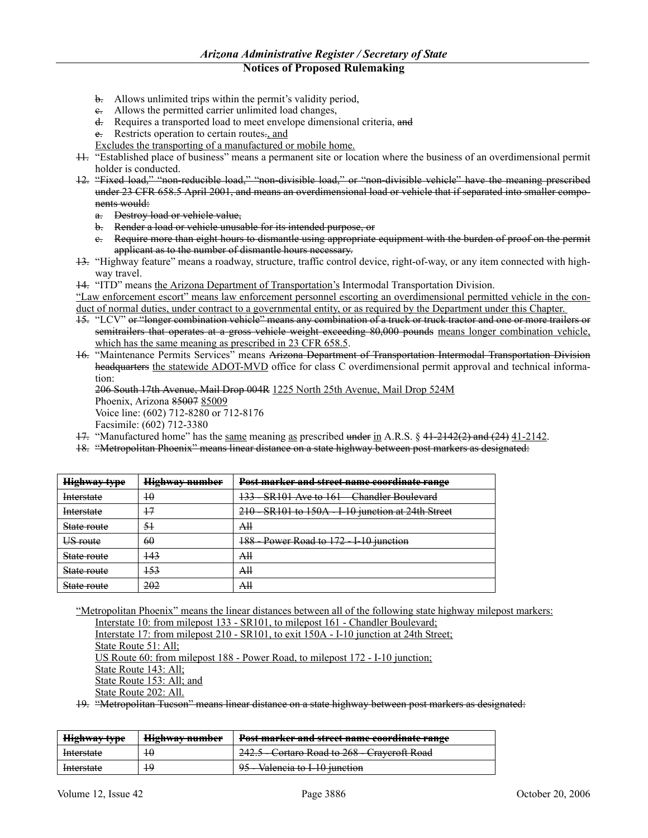- b. Allows unlimited trips within the permit's validity period,
- e. Allows the permitted carrier unlimited load changes,
- d. Requires a transported load to meet envelope dimensional criteria, and
- e. Restricts operation to certain routes., and
- Excludes the transporting of a manufactured or mobile home.
- 11. "Established place of business" means a permanent site or location where the business of an overdimensional permit holder is conducted.
- 12. "Fixed load," "non-reducible load," "non-divisible load," or "non-divisible vehicle" have the meaning prescribed under 23 CFR 658.5 April 2001, and means an overdimensional load or vehicle that if separated into smaller components would:
	- a. Destroy load or vehicle value,
	- b. Render a load or vehicle unusable for its intended purpose, or
	- c. Require more than eight hours to dismantle using appropriate equipment with the burden of proof on the permit applicant as to the number of dismantle hours necessary.
- 13. "Highway feature" means a roadway, structure, traffic control device, right-of-way, or any item connected with highway travel.

14. "ITD" means the Arizona Department of Transportation's Intermodal Transportation Division.

"Law enforcement escort" means law enforcement personnel escorting an overdimensional permitted vehicle in the conduct of normal duties, under contract to a governmental entity, or as required by the Department under this Chapter.

- 15. "LCV" or "longer combination vehicle" means any combination of a truck or truck tractor and one or more trailers or semitrailers that operates at a gross vehicle weight exceeding 80,000 pounds means longer combination vehicle, which has the same meaning as prescribed in 23 CFR 658.5.
- 16. "Maintenance Permits Services" means Arizona Department of Transportation Intermodal Transportation Division headquarters the statewide ADOT-MVD office for class C overdimensional permit approval and technical information:

206 South 17th Avenue, Mail Drop 004R 1225 North 25th Avenue, Mail Drop 524M Phoenix, Arizona 85007 85009 Voice line: (602) 712-8280 or 712-8176

Facsimile: (602) 712-3380

- 17. "Manufactured home" has the same meaning as prescribed under in A.R.S. § 41-2142(2) and (24) 41-2142.
- 18. "Metropolitan Phoenix" means linear distance on a state highway between post markers as designated:

| <b>Highway type</b> | <b>Highway number</b> | Post marker and street name coordinate range                            |
|---------------------|-----------------------|-------------------------------------------------------------------------|
| <b>Interstate</b>   | 10                    | <b>SR101 Ave to 161 – Chandler Boulevard</b><br>122<br>$\overline{1}$ . |
| <b>Interstate</b>   | 17                    | 210 - SR101 to 150A - I-10 junction at 24th Street                      |
| State route         | -51                   | AH                                                                      |
| US route            | 60                    | Power Road to 172 - I-10 junction<br>1 Q Q<br>$\overline{\phantom{a}}$  |
| State route         | 143                   | AH                                                                      |
| State route         | 153                   | AH                                                                      |
| State route         | 202                   | Аll                                                                     |

"Metropolitan Phoenix" means the linear distances between all of the following state highway milepost markers: Interstate 10: from milepost 133 - SR101, to milepost 161 - Chandler Boulevard;

Interstate 17: from milepost 210 - SR101, to exit 150A - I-10 junction at 24th Street; State Route 51: All: US Route 60: from milepost 188 - Power Road, to milepost 172 - I-10 junction; State Route 143: All; State Route 153: All; and State Route 202: All.

19. "Metropolitan Tucson" means linear distance on a state highway between post markers as designated:

| Highway type                       | Highway number<br><del>mguway number</del> | Doct monkey and street name secondinate range<br><u>rost marker and street name coordinate range</u> |
|------------------------------------|--------------------------------------------|------------------------------------------------------------------------------------------------------|
| Interstate                         |                                            | 242.5 - Cortaro Road to 268 - Crayeroft Road                                                         |
| Interatote<br><del>microuate</del> |                                            | 95 - Valencia to I-10 junction                                                                       |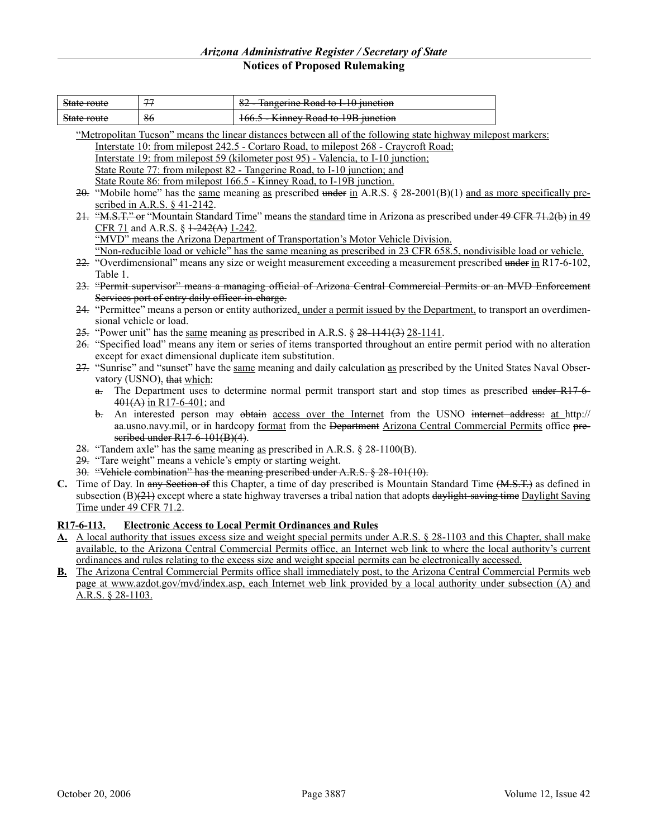| state route<br><del>otate Ivate</del>                       | $\overline{ }$ | Tangerine Road to L10 iunction<br><del>rangerme Road to 1 10 junction</del>               |
|-------------------------------------------------------------|----------------|-------------------------------------------------------------------------------------------|
| $\mathcal{C}^{\text{data}}$ route<br><del>otate Toute</del> | 86             | $V$ innay $D$ and to 10 $D$ innotion<br><del>100.3 - Klilitev Rodu to 1915 function</del> |

|    | "Metropolitan Tucson" means the linear distances between all of the following state highway milepost markers:                                           |
|----|---------------------------------------------------------------------------------------------------------------------------------------------------------|
|    | Interstate 10: from milepost 242.5 - Cortaro Road, to milepost 268 - Craycroft Road;                                                                    |
|    | Interstate 19: from milepost 59 (kilometer post 95) - Valencia, to I-10 junction;                                                                       |
|    | State Route 77: from milepost 82 - Tangerine Road, to I-10 junction; and                                                                                |
|    | State Route 86: from milepost 166.5 - Kinney Road, to I-19B junction.                                                                                   |
|    | $20$ . "Mobile home" has the same meaning as prescribed under in A.R.S. § 28-2001(B)(1) and as more specifically pre-<br>scribed in A.R.S. $§$ 41-2142. |
|    | 21. "M.S.T." or "Mountain Standard Time" means the standard time in Arizona as prescribed under 49 CFR 71.2(b) in 49                                    |
|    | CFR 71 and A.R.S. § $\frac{1-242(A)}{1-242}$ .                                                                                                          |
|    | "MVD" means the Arizona Department of Transportation's Motor Vehicle Division.                                                                          |
|    | "Non-reducible load or vehicle" has the same meaning as prescribed in 23 CFR 658.5, nondivisible load or vehicle.                                       |
|    | 22. "Overdimensional" means any size or weight measurement exceeding a measurement prescribed under in R17-6-102,                                       |
|    | Table 1.                                                                                                                                                |
|    | 23. "Permit supervisor" means a managing official of Arizona Central Commercial Permits or an MVD Enforcement                                           |
|    | Services port of entry daily officer-in-charge.                                                                                                         |
|    | 24. "Permittee" means a person or entity authorized, under a permit issued by the Department, to transport an overdimen-                                |
|    | sional vehicle or load.                                                                                                                                 |
|    | 25. "Power unit" has the <u>same</u> meaning as prescribed in A.R.S. $\S$ 28-1141(3) 28-1141.                                                           |
|    | 26. "Specified load" means any item or series of items transported throughout an entire permit period with no alteration                                |
|    | except for exact dimensional duplicate item substitution.                                                                                               |
|    | 27. "Sunrise" and "sunset" have the same meaning and daily calculation as prescribed by the United States Naval Obser-                                  |
|    | vatory (USNO), that which:                                                                                                                              |
|    | a. The Department uses to determine normal permit transport start and stop times as prescribed under R17-6-<br>$401(A)$ in R17-6-401; and               |
|    | An interested person may obtain access over the Internet from the USNO internet address: at http://<br>$h_{-}$                                          |
|    | aa.usno.navy.mil, or in hardcopy format from the Department Arizona Central Commercial Permits office pre-                                              |
|    | seribed under R17-6-101(B)(4).                                                                                                                          |
|    | 28. "Tandem axle" has the same meaning as prescribed in A.R.S. $\S$ 28-1100(B).                                                                         |
|    | 29. "Tare weight" means a vehicle's empty or starting weight.                                                                                           |
|    | 30. "Vehicle combination" has the meaning prescribed under A.R.S. § 28-101(10).                                                                         |
| C. | Time of Day. In any Section of this Chapter, a time of day prescribed is Mountain Standard Time (M.S.T.) as defined in                                  |
|    | subsection $(B)(21)$ except where a state highway traverses a tribal nation that adopts daylight-saving time Daylight Saving                            |
|    | Time under 49 CFR 71.2.                                                                                                                                 |
|    |                                                                                                                                                         |

### **R17-6-113. Electronic Access to Local Permit Ordinances and Rules**

- **A.** A local authority that issues excess size and weight special permits under A.R.S. § 28-1103 and this Chapter, shall make available, to the Arizona Central Commercial Permits office, an Internet web link to where the local authority's current ordinances and rules relating to the excess size and weight special permits can be electronically accessed.
- **B.** The Arizona Central Commercial Permits office shall immediately post, to the Arizona Central Commercial Permits web page at www.azdot.gov/mvd/index.asp, each Internet web link provided by a local authority under subsection (A) and A.R.S. § 28-1103.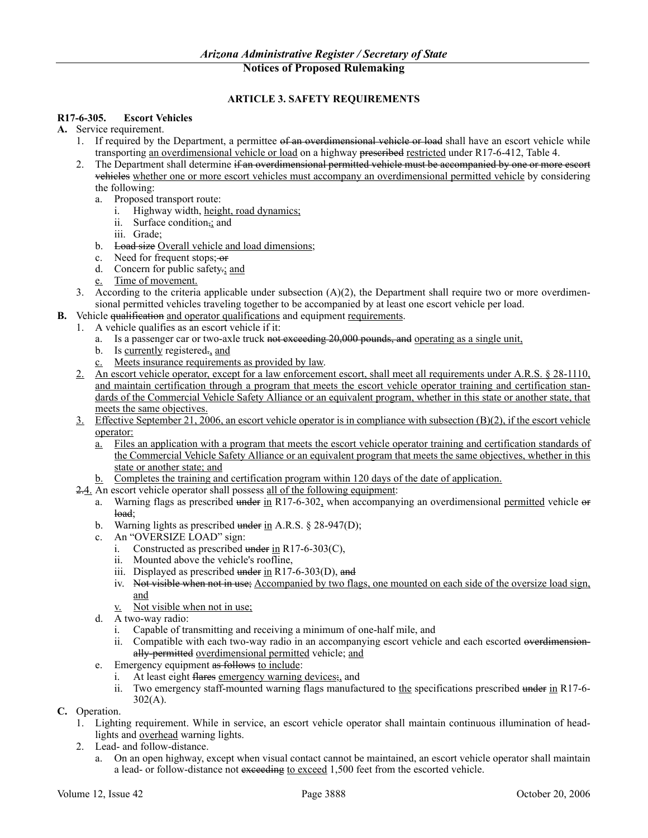### **ARTICLE 3. SAFETY REQUIREMENTS**

### **R17-6-305. Escort Vehicles**

- **A.** Service requirement.
	- 1. If required by the Department, a permittee of an overdimensional vehicle or load shall have an escort vehicle while transporting an overdimensional vehicle or load on a highway prescribed restricted under R17-6-412, Table 4.
	- 2. The Department shall determine if an overdimensional permitted vehicle must be accompanied by one or more escort vehicles whether one or more escort vehicles must accompany an overdimensional permitted vehicle by considering the following:
		- a. Proposed transport route:
			- i. Highway width, height, road dynamics;
			- ii. Surface condition,; and
			- iii. Grade;
		- b. Load size Overall vehicle and load dimensions;
		- c. Need for frequent stops; or
		- d. Concern for public safety.; and
		- e. Time of movement.
	- 3. According to the criteria applicable under subsection  $(A)(2)$ , the Department shall require two or more overdimensional permitted vehicles traveling together to be accompanied by at least one escort vehicle per load.
- **B.** Vehicle qualification and operator qualifications and equipment requirements.
	- 1. A vehicle qualifies as an escort vehicle if it:
		- a. Is a passenger car or two-axle truck not exceeding 20,000 pounds, and operating as a single unit,
		- b. Is currently registered., and
		- c. Meets insurance requirements as provided by law.
	- 2. An escort vehicle operator, except for a law enforcement escort, shall meet all requirements under A.R.S. § 28-1110, and maintain certification through a program that meets the escort vehicle operator training and certification standards of the Commercial Vehicle Safety Alliance or an equivalent program, whether in this state or another state, that meets the same objectives.
	- 3. Effective September 21, 2006, an escort vehicle operator is in compliance with subsection (B)(2), if the escort vehicle operator:
		- a. Files an application with a program that meets the escort vehicle operator training and certification standards of the Commercial Vehicle Safety Alliance or an equivalent program that meets the same objectives, whether in this state or another state; and
		- b. Completes the training and certification program within 120 days of the date of application.
	- 2.4. An escort vehicle operator shall possess all of the following equipment:
		- a. Warning flags as prescribed under in R17-6-302, when accompanying an overdimensional permitted vehicle or load;
		- b. Warning lights as prescribed under in A.R.S. § 28-947(D);
		- c. An "OVERSIZE LOAD" sign:
			- i. Constructed as prescribed under in R17-6-303(C),
			- ii. Mounted above the vehicle's roofline,
			- iii. Displayed as prescribed under in R17-6-303(D), and
			- iv. Not visible when not in use; Accompanied by two flags, one mounted on each side of the oversize load sign, and
			- v. Not visible when not in use;
		- d. A two-way radio:
			- i. Capable of transmitting and receiving a minimum of one-half mile, and
			- ii. Compatible with each two-way radio in an accompanying escort vehicle and each escorted overdimensionally-permitted overdimensional permitted vehicle; and
		- e. Emergency equipment as follows to include:
			- i. At least eight flares emergency warning devices;, and
			- ii. Two emergency staff-mounted warning flags manufactured to the specifications prescribed under in R17-6-  $302(A)$ .
- **C.** Operation.
	- 1. Lighting requirement. While in service, an escort vehicle operator shall maintain continuous illumination of headlights and overhead warning lights.
	- 2. Lead- and follow-distance.
		- a. On an open highway, except when visual contact cannot be maintained, an escort vehicle operator shall maintain a lead- or follow-distance not exceeding to exceed 1,500 feet from the escorted vehicle.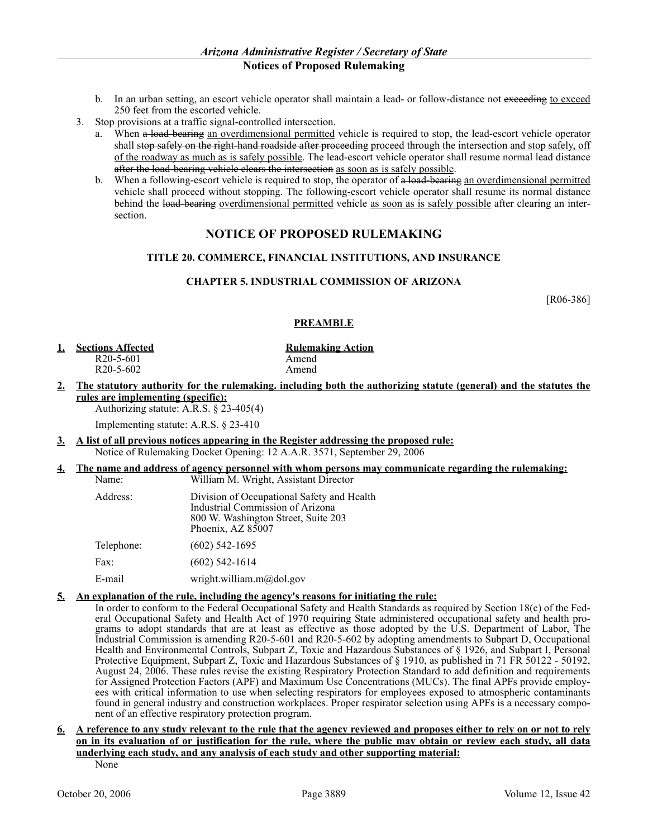- b. In an urban setting, an escort vehicle operator shall maintain a lead- or follow-distance not exceeding to exceed 250 feet from the escorted vehicle.
- 3. Stop provisions at a traffic signal-controlled intersection.
	- a. When a load-bearing an overdimensional permitted vehicle is required to stop, the lead-escort vehicle operator shall stop safely on the right-hand roadside after proceeding proceed through the intersection and stop safely, off of the roadway as much as is safely possible. The lead-escort vehicle operator shall resume normal lead distance after the load-bearing vehicle clears the intersection as soon as is safely possible.
	- b. When a following-escort vehicle is required to stop, the operator of a load-bearing an overdimensional permitted vehicle shall proceed without stopping. The following-escort vehicle operator shall resume its normal distance behind the load-bearing overdimensional permitted vehicle as soon as is safely possible after clearing an intersection.

# **NOTICE OF PROPOSED RULEMAKING**

### **TITLE 20. COMMERCE, FINANCIAL INSTITUTIONS, AND INSURANCE**

### **CHAPTER 5. INDUSTRIAL COMMISSION OF ARIZONA**

[R06-386]

### **PREAMBLE**

**1. Sections Affected Rulemaking Action** 

 $R20-5-602$ 

R20-5-601 Amend<br>R20-5-602 Amend

**2. The statutory authority for the rulemaking. including both the authorizing statute (general) and the statutes the rules are implementing (specific):**

Authorizing statute: A.R.S. § 23-405(4)

Implementing statute: A.R.S. § 23-410

**3. A list of all previous notices appearing in the Register addressing the proposed rule:** Notice of Rulemaking Docket Opening: 12 A.A.R. 3571, September 29, 2006

### **4. The name and address of agency personnel with whom persons may communicate regarding the rulemaking:**

| Name:      | William M. Wright, Assistant Director                                                                                                      |
|------------|--------------------------------------------------------------------------------------------------------------------------------------------|
| Address:   | Division of Occupational Safety and Health<br>Industrial Commission of Arizona<br>800 W. Washington Street, Suite 203<br>Phoenix, AZ 85007 |
| Telephone: | $(602)$ 542-1695                                                                                                                           |
| Fax:       | $(602)$ 542-1614                                                                                                                           |
| E-mail     | wright.william.m@dol.gov                                                                                                                   |

### **5. An explanation of the rule, including the agency's reasons for initiating the rule:**

In order to conform to the Federal Occupational Safety and Health Standards as required by Section 18(c) of the Federal Occupational Safety and Health Act of 1970 requiring State administered occupational safety and health programs to adopt standards that are at least as effective as those adopted by the U.S. Department of Labor, The Industrial Commission is amending R20-5-601 and R20-5-602 by adopting amendments to Subpart D, Occupational Health and Environmental Controls, Subpart Z, Toxic and Hazardous Substances of § 1926, and Subpart I, Personal Protective Equipment, Subpart Z, Toxic and Hazardous Substances of § 1910, as published in 71 FR 50122 - 50192, August 24, 2006. These rules revise the existing Respiratory Protection Standard to add definition and requirements for Assigned Protection Factors (APF) and Maximum Use Concentrations (MUCs). The final APFs provide employees with critical information to use when selecting respirators for employees exposed to atmospheric contaminants found in general industry and construction workplaces. Proper respirator selection using APFs is a necessary component of an effective respiratory protection program.

**6. A reference to any study relevant to the rule that the agency reviewed and proposes either to rely on or not to rely on in its evaluation of or justification for the rule, where the public may obtain or review each study, all data underlying each study, and any analysis of each study and other supporting material:**

None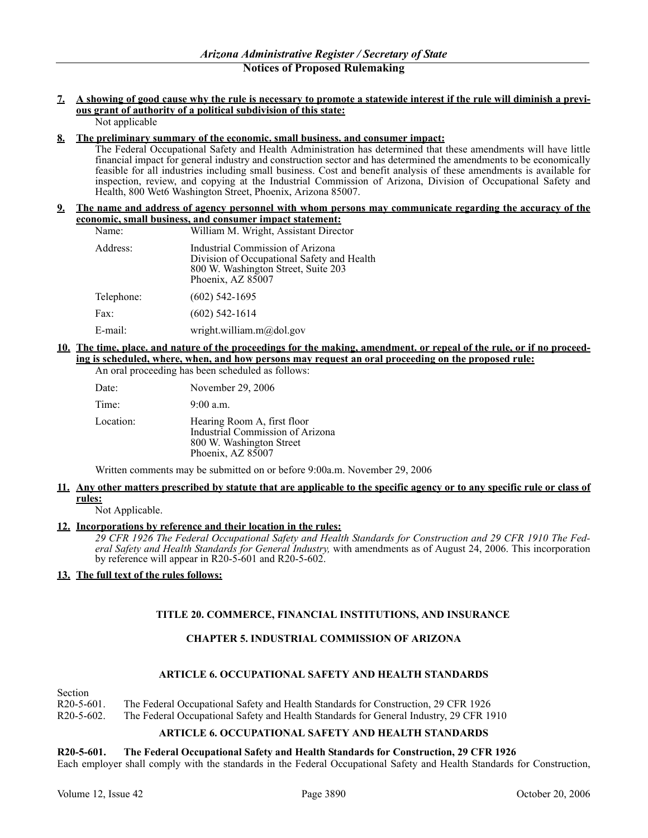### **7. A showing of good cause why the rule is necessary to promote a statewide interest if the rule will diminish a previous grant of authority of a political subdivision of this state:** Not applicable

### **8. The preliminary summary of the economic. small business. and consumer impact:**

The Federal Occupational Safety and Health Administration has determined that these amendments will have little financial impact for general industry and construction sector and has determined the amendments to be economically feasible for all industries including small business. Cost and benefit analysis of these amendments is available for inspection, review, and copying at the Industrial Commission of Arizona, Division of Occupational Safety and Health, 800 Wet6 Washington Street, Phoenix, Arizona 85007.

### **9. The name and address of agency personnel with whom persons may communicate regarding the accuracy of the economic, small business, and consumer impact statement:**

| Name:      | William M. Wright, Assistant Director                                                                                                      |
|------------|--------------------------------------------------------------------------------------------------------------------------------------------|
| Address:   | Industrial Commission of Arizona<br>Division of Occupational Safety and Health<br>800 W. Washington Street, Suite 203<br>Phoenix, AZ 85007 |
| Telephone: | $(602)$ 542-1695                                                                                                                           |
| Fax:       | $(602)$ 542-1614                                                                                                                           |
| E-mail:    | wright.william.m $\omega$ dol.gov                                                                                                          |

# **10. The time, place. and nature of the proceedings for the making, amendment. or repeal of the rule, or if no proceeding is scheduled, where, when, and how persons may request an oral proceeding on the proposed rule:**

An oral proceeding has been scheduled as follows:

| Date:     | November 29, 2006                                                                                                |
|-----------|------------------------------------------------------------------------------------------------------------------|
| Time:     | $9:00$ a.m.                                                                                                      |
| Location: | Hearing Room A, first floor<br>Industrial Commission of Arizona<br>800 W. Washington Street<br>Phoenix, AZ 85007 |

Written comments may be submitted on or before 9:00a.m. November 29, 2006

### **11. Any other matters prescribed by statute that are applicable to the specific agency or to any specific rule or class of rules:**

Not Applicable.

### **12. Incorporations by reference and their location in the rules:**

*29 CFR 1926 The Federal Occupational Safety and Health Standards for Construction and 29 CFR 1910 The Federal Safety and Health Standards for General Industry,* with amendments as of August 24, 2006. This incorporation by reference will appear in R20-5-601 and R20-5-602.

### **13. The full text of the rules follows:**

# **TITLE 20. COMMERCE, FINANCIAL INSTITUTIONS, AND INSURANCE**

# **CHAPTER 5. INDUSTRIAL COMMISSION OF ARIZONA**

### **ARTICLE 6. OCCUPATIONAL SAFETY AND HEALTH STANDARDS**

### **Section**

R20-5-601. The Federal Occupational Safety and Health Standards for Construction, 29 CFR 1926

R20-5-602. The Federal Occupational Safety and Health Standards for General Industry, 29 CFR 1910

### **ARTICLE 6. OCCUPATIONAL SAFETY AND HEALTH STANDARDS**

### **R20-5-601. The Federal Occupational Safety and Health Standards for Construction, 29 CFR 1926**

Each employer shall comply with the standards in the Federal Occupational Safety and Health Standards for Construction,